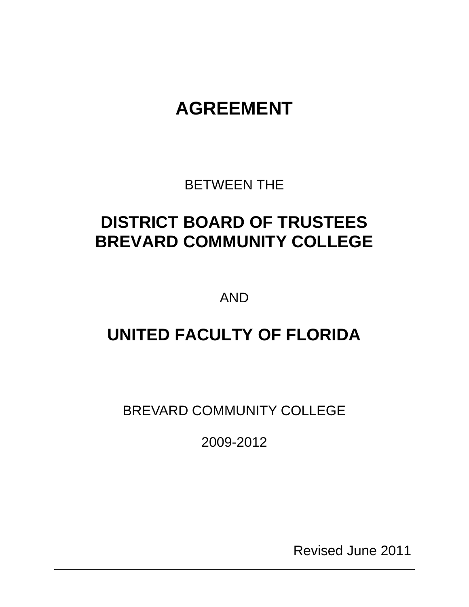# **AGREEMENT**

BETWEEN THE

# **DISTRICT BOARD OF TRUSTEES BREVARD COMMUNITY COLLEGE**

AND

# **UNITED FACULTY OF FLORIDA**

BREVARD COMMUNITY COLLEGE

2009-2012

Revised June 2011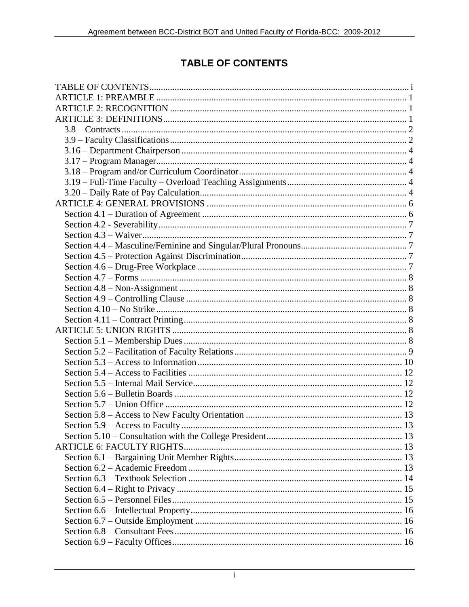# **TABLE OF CONTENTS**

<span id="page-2-0"></span>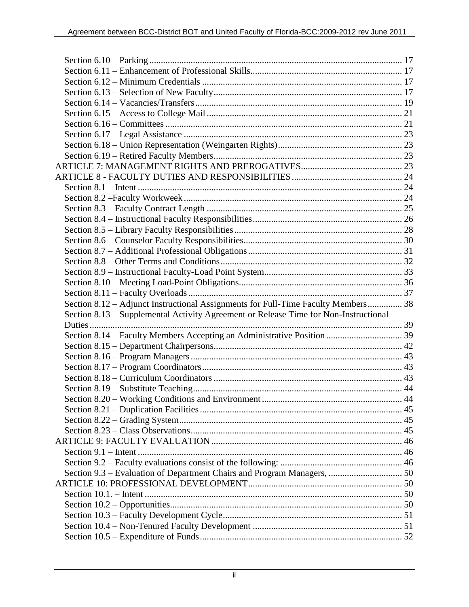| Section 8.12 - Adjunct Instructional Assignments for Full-Time Faculty Members 38    |  |
|--------------------------------------------------------------------------------------|--|
| Section 8.13 – Supplemental Activity Agreement or Release Time for Non-Instructional |  |
|                                                                                      |  |
|                                                                                      |  |
|                                                                                      |  |
|                                                                                      |  |
|                                                                                      |  |
|                                                                                      |  |
|                                                                                      |  |
|                                                                                      |  |
|                                                                                      |  |
|                                                                                      |  |
|                                                                                      |  |
|                                                                                      |  |
|                                                                                      |  |
|                                                                                      |  |
|                                                                                      |  |
|                                                                                      |  |
|                                                                                      |  |
|                                                                                      |  |
|                                                                                      |  |
|                                                                                      |  |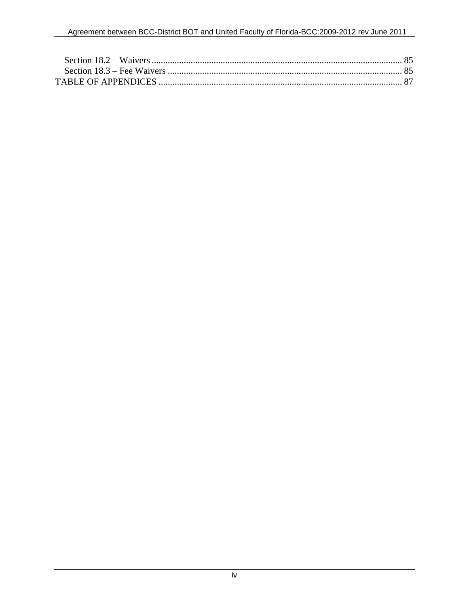<span id="page-5-0"></span>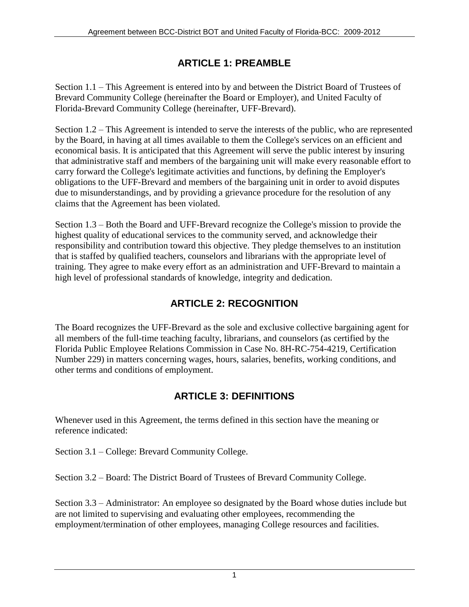# **ARTICLE 1: PREAMBLE**

Section 1.1 – This Agreement is entered into by and between the District Board of Trustees of Brevard Community College (hereinafter the Board or Employer), and United Faculty of Florida-Brevard Community College (hereinafter, UFF-Brevard).

Section 1.2 – This Agreement is intended to serve the interests of the public, who are represented by the Board, in having at all times available to them the College's services on an efficient and economical basis. It is anticipated that this Agreement will serve the public interest by insuring that administrative staff and members of the bargaining unit will make every reasonable effort to carry forward the College's legitimate activities and functions, by defining the Employer's obligations to the UFF-Brevard and members of the bargaining unit in order to avoid disputes due to misunderstandings, and by providing a grievance procedure for the resolution of any claims that the Agreement has been violated.

Section 1.3 – Both the Board and UFF-Brevard recognize the College's mission to provide the highest quality of educational services to the community served, and acknowledge their responsibility and contribution toward this objective. They pledge themselves to an institution that is staffed by qualified teachers, counselors and librarians with the appropriate level of training. They agree to make every effort as an administration and UFF-Brevard to maintain a high level of professional standards of knowledge, integrity and dedication.

# **ARTICLE 2: RECOGNITION**

<span id="page-6-0"></span>The Board recognizes the UFF-Brevard as the sole and exclusive collective bargaining agent for all members of the full-time teaching faculty, librarians, and counselors (as certified by the Florida Public Employee Relations Commission in Case No. 8H-RC-754-4219, Certification Number 229) in matters concerning wages, hours, salaries, benefits, working conditions, and other terms and conditions of employment.

# **ARTICLE 3: DEFINITIONS**

<span id="page-6-1"></span>Whenever used in this Agreement, the terms defined in this section have the meaning or reference indicated:

Section 3.1 – College: Brevard Community College.

Section 3.2 – Board: The District Board of Trustees of Brevard Community College.

Section 3.3 – Administrator: An employee so designated by the Board whose duties include but are not limited to supervising and evaluating other employees, recommending the employment/termination of other employees, managing College resources and facilities.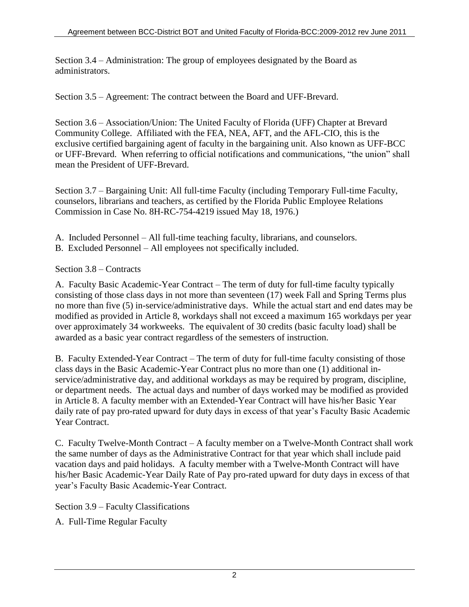Section 3.4 – Administration: The group of employees designated by the Board as administrators.

Section 3.5 – Agreement: The contract between the Board and UFF-Brevard.

Section 3.6 – Association/Union: The United Faculty of Florida (UFF) Chapter at Brevard Community College. Affiliated with the FEA, NEA, AFT, and the AFL-CIO, this is the exclusive certified bargaining agent of faculty in the bargaining unit. Also known as UFF-BCC or UFF-Brevard. When referring to official notifications and communications, "the union" shall mean the President of UFF-Brevard.

Section 3.7 – Bargaining Unit: All full-time Faculty (including Temporary Full-time Faculty, counselors, librarians and teachers, as certified by the Florida Public Employee Relations Commission in Case No. 8H-RC-754-4219 issued May 18, 1976.)

- A. Included Personnel All full-time teaching faculty, librarians, and counselors.
- B. Excluded Personnel All employees not specifically included.

## <span id="page-7-0"></span>Section 3.8 – Contracts

A. Faculty Basic Academic-Year Contract – The term of duty for full-time faculty typically consisting of those class days in not more than seventeen (17) week Fall and Spring Terms plus no more than five (5) in-service/administrative days. While the actual start and end dates may be modified as provided in Article 8, workdays shall not exceed a maximum 165 workdays per year over approximately 34 workweeks. The equivalent of 30 credits (basic faculty load) shall be awarded as a basic year contract regardless of the semesters of instruction.

B. Faculty Extended-Year Contract – The term of duty for full-time faculty consisting of those class days in the Basic Academic-Year Contract plus no more than one (1) additional inservice/administrative day, and additional workdays as may be required by program, discipline, or department needs. The actual days and number of days worked may be modified as provided in Article 8. A faculty member with an Extended-Year Contract will have his/her Basic Year daily rate of pay pro-rated upward for duty days in excess of that year's Faculty Basic Academic Year Contract.

C. Faculty Twelve-Month Contract – A faculty member on a Twelve-Month Contract shall work the same number of days as the Administrative Contract for that year which shall include paid vacation days and paid holidays. A faculty member with a Twelve-Month Contract will have his/her Basic Academic-Year Daily Rate of Pay pro-rated upward for duty days in excess of that year's Faculty Basic Academic-Year Contract.

<span id="page-7-1"></span>Section 3.9 – Faculty Classifications

A. Full-Time Regular Faculty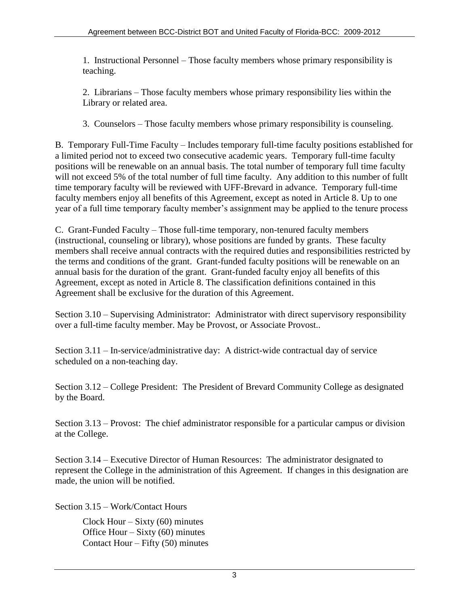1. Instructional Personnel – Those faculty members whose primary responsibility is teaching.

2. Librarians – Those faculty members whose primary responsibility lies within the Library or related area.

3. Counselors – Those faculty members whose primary responsibility is counseling.

B. Temporary Full-Time Faculty – Includes temporary full-time faculty positions established for a limited period not to exceed two consecutive academic years. Temporary full-time faculty positions will be renewable on an annual basis. The total number of temporary full time faculty will not exceed 5% of the total number of full time faculty. Any addition to this number of fullt time temporary faculty will be reviewed with UFF-Brevard in advance. Temporary full-time faculty members enjoy all benefits of this Agreement, except as noted in Article 8. Up to one year of a full time temporary faculty member's assignment may be applied to the tenure process

C. Grant-Funded Faculty – Those full-time temporary, non-tenured faculty members (instructional, counseling or library), whose positions are funded by grants. These faculty members shall receive annual contracts with the required duties and responsibilities restricted by the terms and conditions of the grant. Grant-funded faculty positions will be renewable on an annual basis for the duration of the grant. Grant-funded faculty enjoy all benefits of this Agreement, except as noted in Article 8. The classification definitions contained in this Agreement shall be exclusive for the duration of this Agreement.

Section 3.10 – Supervising Administrator: Administrator with direct supervisory responsibility over a full-time faculty member. May be Provost, or Associate Provost..

Section 3.11 – In-service/administrative day: A district-wide contractual day of service scheduled on a non-teaching day.

Section 3.12 – College President: The President of Brevard Community College as designated by the Board.

Section 3.13 – Provost: The chief administrator responsible for a particular campus or division at the College.

Section 3.14 – Executive Director of Human Resources: The administrator designated to represent the College in the administration of this Agreement. If changes in this designation are made, the union will be notified.

Section 3.15 – Work/Contact Hours

Clock Hour – Sixty  $(60)$  minutes Office Hour – Sixty (60) minutes Contact Hour – Fifty (50) minutes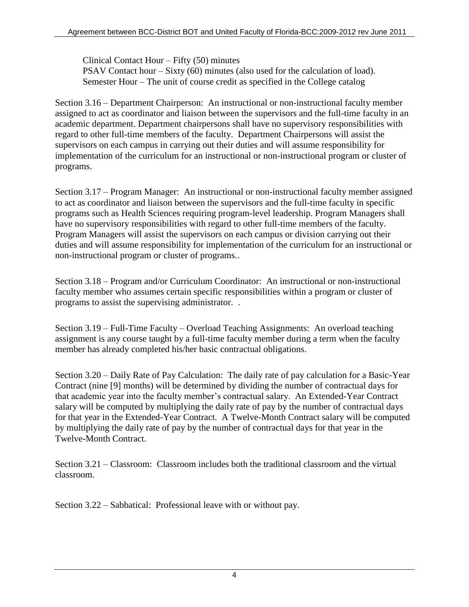Clinical Contact Hour – Fifty (50) minutes PSAV Contact hour – Sixty (60) minutes (also used for the calculation of load). Semester Hour – The unit of course credit as specified in the College catalog

<span id="page-9-0"></span>Section 3.16 – Department Chairperson: An instructional or non-instructional faculty member assigned to act as coordinator and liaison between the supervisors and the full-time faculty in an academic department. Department chairpersons shall have no supervisory responsibilities with regard to other full-time members of the faculty. Department Chairpersons will assist the supervisors on each campus in carrying out their duties and will assume responsibility for implementation of the curriculum for an instructional or non-instructional program or cluster of programs.

<span id="page-9-1"></span>Section 3.17 – Program Manager: An instructional or non-instructional faculty member assigned to act as coordinator and liaison between the supervisors and the full-time faculty in specific programs such as Health Sciences requiring program-level leadership. Program Managers shall have no supervisory responsibilities with regard to other full-time members of the faculty. Program Managers will assist the supervisors on each campus or division carrying out their duties and will assume responsibility for implementation of the curriculum for an instructional or non-instructional program or cluster of programs..

<span id="page-9-2"></span>Section 3.18 – Program and/or Curriculum Coordinator: An instructional or non-instructional faculty member who assumes certain specific responsibilities within a program or cluster of programs to assist the supervising administrator. .

<span id="page-9-3"></span>Section 3.19 – Full-Time Faculty – Overload Teaching Assignments: An overload teaching assignment is any course taught by a full-time faculty member during a term when the faculty member has already completed his/her basic contractual obligations.

<span id="page-9-4"></span>Section 3.20 – Daily Rate of Pay Calculation: The daily rate of pay calculation for a Basic-Year Contract (nine [9] months) will be determined by dividing the number of contractual days for that academic year into the faculty member's contractual salary. An Extended-Year Contract salary will be computed by multiplying the daily rate of pay by the number of contractual days for that year in the Extended-Year Contract. A Twelve-Month Contract salary will be computed by multiplying the daily rate of pay by the number of contractual days for that year in the Twelve-Month Contract.

Section 3.21 – Classroom: Classroom includes both the traditional classroom and the virtual classroom.

Section 3.22 – Sabbatical: Professional leave with or without pay.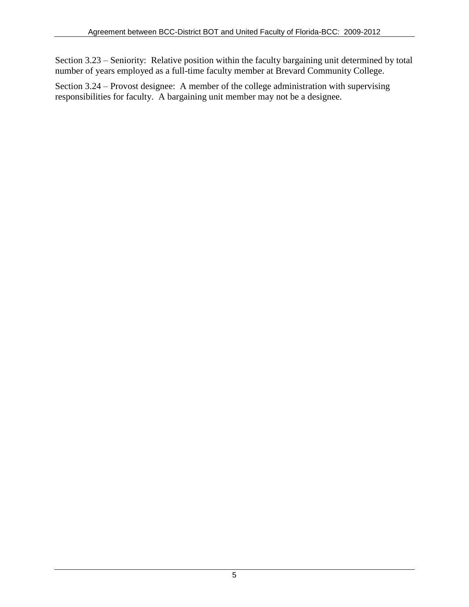Section 3.23 – Seniority: Relative position within the faculty bargaining unit determined by total number of years employed as a full-time faculty member at Brevard Community College.

Section 3.24 – Provost designee: A member of the college administration with supervising responsibilities for faculty. A bargaining unit member may not be a designee.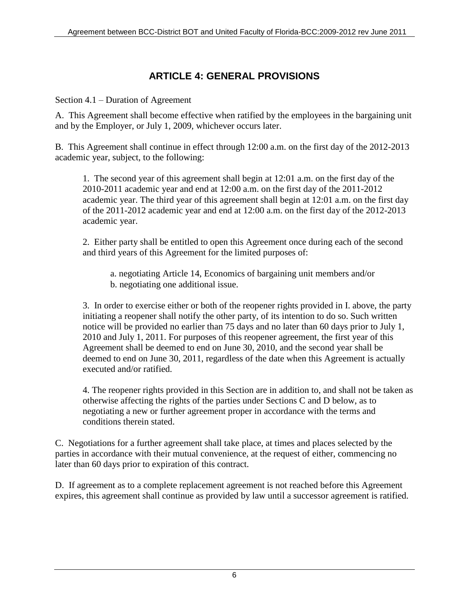# **ARTICLE 4: GENERAL PROVISIONS**

<span id="page-11-1"></span><span id="page-11-0"></span>Section 4.1 – Duration of Agreement

A. This Agreement shall become effective when ratified by the employees in the bargaining unit and by the Employer, or July 1, 2009, whichever occurs later.

B. This Agreement shall continue in effect through 12:00 a.m. on the first day of the 2012-2013 academic year, subject, to the following:

1. The second year of this agreement shall begin at 12:01 a.m. on the first day of the 2010-2011 academic year and end at 12:00 a.m. on the first day of the 2011-2012 academic year. The third year of this agreement shall begin at 12:01 a.m. on the first day of the 2011-2012 academic year and end at 12:00 a.m. on the first day of the 2012-2013 academic year.

2. Either party shall be entitled to open this Agreement once during each of the second and third years of this Agreement for the limited purposes of:

 a. negotiating Article 14, Economics of bargaining unit members and/or b. negotiating one additional issue.

3. In order to exercise either or both of the reopener rights provided in I. above, the party initiating a reopener shall notify the other party, of its intention to do so. Such written notice will be provided no earlier than 75 days and no later than 60 days prior to July 1, 2010 and July 1, 2011. For purposes of this reopener agreement, the first year of this Agreement shall be deemed to end on June 30, 2010, and the second year shall be deemed to end on June 30, 2011, regardless of the date when this Agreement is actually executed and/or ratified.

4. The reopener rights provided in this Section are in addition to, and shall not be taken as otherwise affecting the rights of the parties under Sections C and D below, as to negotiating a new or further agreement proper in accordance with the terms and conditions therein stated.

C. Negotiations for a further agreement shall take place, at times and places selected by the parties in accordance with their mutual convenience, at the request of either, commencing no later than 60 days prior to expiration of this contract.

D. If agreement as to a complete replacement agreement is not reached before this Agreement expires, this agreement shall continue as provided by law until a successor agreement is ratified.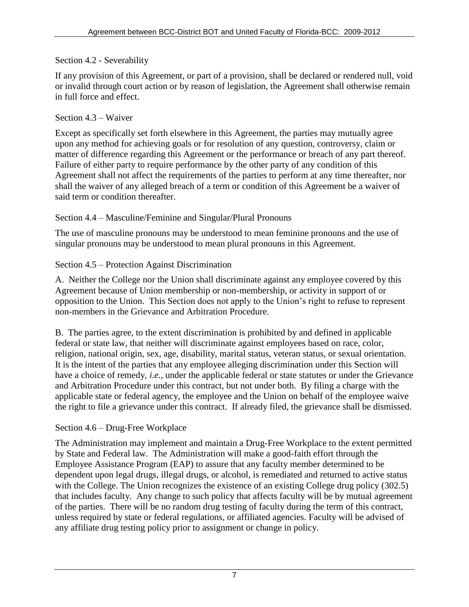#### <span id="page-12-0"></span>Section 4.2 - Severability

If any provision of this Agreement, or part of a provision, shall be declared or rendered null, void or invalid through court action or by reason of legislation, the Agreement shall otherwise remain in full force and effect.

#### <span id="page-12-1"></span>Section 4.3 – Waiver

Except as specifically set forth elsewhere in this Agreement, the parties may mutually agree upon any method for achieving goals or for resolution of any question, controversy, claim or matter of difference regarding this Agreement or the performance or breach of any part thereof. Failure of either party to require performance by the other party of any condition of this Agreement shall not affect the requirements of the parties to perform at any time thereafter, nor shall the waiver of any alleged breach of a term or condition of this Agreement be a waiver of said term or condition thereafter.

## <span id="page-12-2"></span>Section 4.4 – Masculine/Feminine and Singular/Plural Pronouns

The use of masculine pronouns may be understood to mean feminine pronouns and the use of singular pronouns may be understood to mean plural pronouns in this Agreement.

## <span id="page-12-3"></span>Section 4.5 – Protection Against Discrimination

A. Neither the College nor the Union shall discriminate against any employee covered by this Agreement because of Union membership or non-membership, or activity in support of or opposition to the Union. This Section does not apply to the Union's right to refuse to represent non-members in the Grievance and Arbitration Procedure.

B. The parties agree, to the extent discrimination is prohibited by and defined in applicable federal or state law, that neither will discriminate against employees based on race, color, religion, national origin, sex, age, disability, marital status, veteran status, or sexual orientation. It is the intent of the parties that any employee alleging discrimination under this Section will have a choice of remedy, *i.e.*, under the applicable federal or state statutes or under the Grievance and Arbitration Procedure under this contract, but not under both. By filing a charge with the applicable state or federal agency, the employee and the Union on behalf of the employee waive the right to file a grievance under this contract. If already filed, the grievance shall be dismissed.

## <span id="page-12-4"></span>Section 4.6 – Drug-Free Workplace

The Administration may implement and maintain a Drug-Free Workplace to the extent permitted by State and Federal law. The Administration will make a good-faith effort through the Employee Assistance Program (EAP) to assure that any faculty member determined to be dependent upon legal drugs, illegal drugs, or alcohol, is remediated and returned to active status with the College. The Union recognizes the existence of an existing College drug policy (302.5) that includes faculty. Any change to such policy that affects faculty will be by mutual agreement of the parties. There will be no random drug testing of faculty during the term of this contract, unless required by state or federal regulations, or affiliated agencies. Faculty will be advised of any affiliate drug testing policy prior to assignment or change in policy.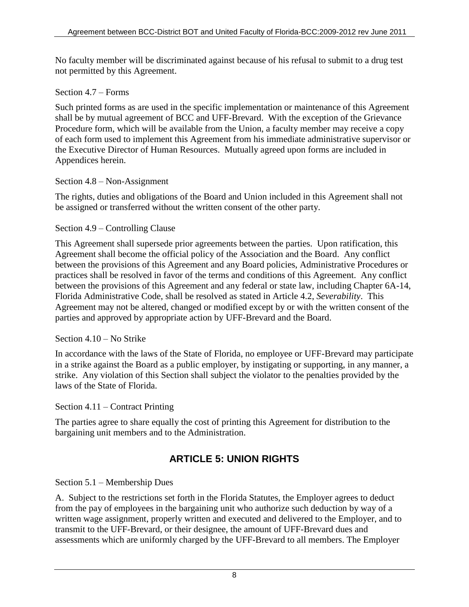No faculty member will be discriminated against because of his refusal to submit to a drug test not permitted by this Agreement.

## <span id="page-13-0"></span>Section 4.7 – Forms

Such printed forms as are used in the specific implementation or maintenance of this Agreement shall be by mutual agreement of BCC and UFF-Brevard. With the exception of the Grievance Procedure form, which will be available from the Union, a faculty member may receive a copy of each form used to implement this Agreement from his immediate administrative supervisor or the Executive Director of Human Resources. Mutually agreed upon forms are included in Appendices herein.

## <span id="page-13-1"></span>Section 4.8 – Non-Assignment

The rights, duties and obligations of the Board and Union included in this Agreement shall not be assigned or transferred without the written consent of the other party.

## <span id="page-13-2"></span>Section 4.9 – Controlling Clause

This Agreement shall supersede prior agreements between the parties. Upon ratification, this Agreement shall become the official policy of the Association and the Board. Any conflict between the provisions of this Agreement and any Board policies, Administrative Procedures or practices shall be resolved in favor of the terms and conditions of this Agreement. Any conflict between the provisions of this Agreement and any federal or state law, including Chapter 6A-14, Florida Administrative Code, shall be resolved as stated in Article 4.2, *Severability*. This Agreement may not be altered, changed or modified except by or with the written consent of the parties and approved by appropriate action by UFF-Brevard and the Board.

## <span id="page-13-3"></span>Section 4.10 – No Strike

In accordance with the laws of the State of Florida, no employee or UFF-Brevard may participate in a strike against the Board as a public employer, by instigating or supporting, in any manner, a strike. Any violation of this Section shall subject the violator to the penalties provided by the laws of the State of Florida.

## <span id="page-13-4"></span>Section 4.11 – Contract Printing

The parties agree to share equally the cost of printing this Agreement for distribution to the bargaining unit members and to the Administration.

# **ARTICLE 5: UNION RIGHTS**

## <span id="page-13-6"></span><span id="page-13-5"></span>Section 5.1 – Membership Dues

A. Subject to the restrictions set forth in the Florida Statutes, the Employer agrees to deduct from the pay of employees in the bargaining unit who authorize such deduction by way of a written wage assignment, properly written and executed and delivered to the Employer, and to transmit to the UFF-Brevard, or their designee, the amount of UFF-Brevard dues and assessments which are uniformly charged by the UFF-Brevard to all members. The Employer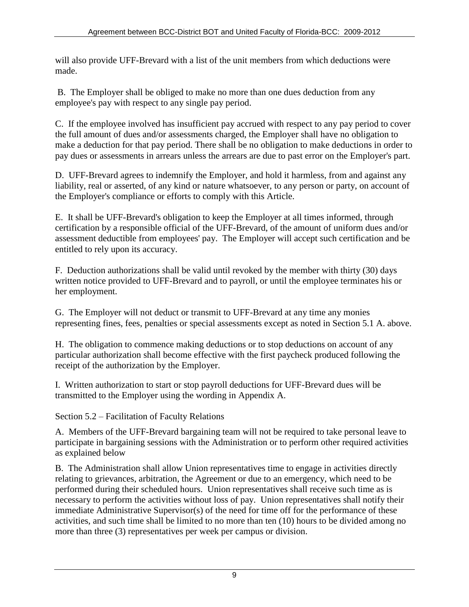will also provide UFF-Brevard with a list of the unit members from which deductions were made.

B. The Employer shall be obliged to make no more than one dues deduction from any employee's pay with respect to any single pay period.

C. If the employee involved has insufficient pay accrued with respect to any pay period to cover the full amount of dues and/or assessments charged, the Employer shall have no obligation to make a deduction for that pay period. There shall be no obligation to make deductions in order to pay dues or assessments in arrears unless the arrears are due to past error on the Employer's part.

D. UFF-Brevard agrees to indemnify the Employer, and hold it harmless, from and against any liability, real or asserted, of any kind or nature whatsoever, to any person or party, on account of the Employer's compliance or efforts to comply with this Article.

E. It shall be UFF-Brevard's obligation to keep the Employer at all times informed, through certification by a responsible official of the UFF-Brevard, of the amount of uniform dues and/or assessment deductible from employees' pay. The Employer will accept such certification and be entitled to rely upon its accuracy.

F. Deduction authorizations shall be valid until revoked by the member with thirty (30) days written notice provided to UFF-Brevard and to payroll, or until the employee terminates his or her employment.

G. The Employer will not deduct or transmit to UFF-Brevard at any time any monies representing fines, fees, penalties or special assessments except as noted in Section 5.1 A. above.

H. The obligation to commence making deductions or to stop deductions on account of any particular authorization shall become effective with the first paycheck produced following the receipt of the authorization by the Employer.

I. Written authorization to start or stop payroll deductions for UFF-Brevard dues will be transmitted to the Employer using the wording in Appendix A.

<span id="page-14-0"></span>Section 5.2 – Facilitation of Faculty Relations

A. Members of the UFF-Brevard bargaining team will not be required to take personal leave to participate in bargaining sessions with the Administration or to perform other required activities as explained below

B. The Administration shall allow Union representatives time to engage in activities directly relating to grievances, arbitration, the Agreement or due to an emergency, which need to be performed during their scheduled hours. Union representatives shall receive such time as is necessary to perform the activities without loss of pay. Union representatives shall notify their immediate Administrative Supervisor(s) of the need for time off for the performance of these activities, and such time shall be limited to no more than ten (10) hours to be divided among no more than three (3) representatives per week per campus or division.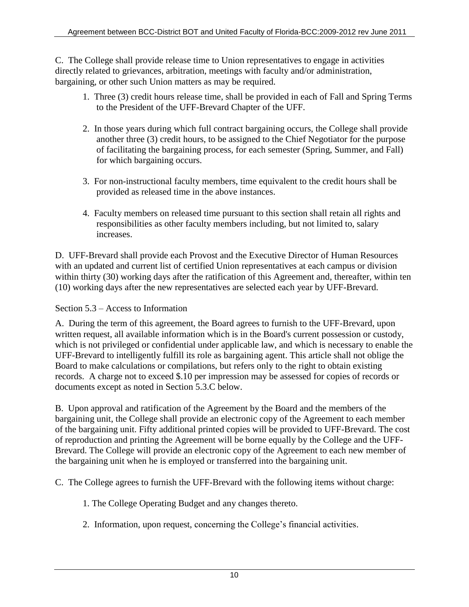C. The College shall provide release time to Union representatives to engage in activities directly related to grievances, arbitration, meetings with faculty and/or administration, bargaining, or other such Union matters as may be required.

- 1. Three (3) credit hours release time, shall be provided in each of Fall and Spring Terms to the President of the UFF-Brevard Chapter of the UFF.
- 2. In those years during which full contract bargaining occurs, the College shall provide another three (3) credit hours, to be assigned to the Chief Negotiator for the purpose of facilitating the bargaining process, for each semester (Spring, Summer, and Fall) for which bargaining occurs.
- 3. For non-instructional faculty members, time equivalent to the credit hours shall be provided as released time in the above instances.
- 4. Faculty members on released time pursuant to this section shall retain all rights and responsibilities as other faculty members including, but not limited to, salary increases.

D. UFF-Brevard shall provide each Provost and the Executive Director of Human Resources with an updated and current list of certified Union representatives at each campus or division within thirty (30) working days after the ratification of this Agreement and, thereafter, within ten (10) working days after the new representatives are selected each year by UFF-Brevard.

## <span id="page-15-0"></span>Section 5.3 – Access to Information

A. During the term of this agreement, the Board agrees to furnish to the UFF-Brevard, upon written request, all available information which is in the Board's current possession or custody, which is not privileged or confidential under applicable law, and which is necessary to enable the UFF-Brevard to intelligently fulfill its role as bargaining agent. This article shall not oblige the Board to make calculations or compilations, but refers only to the right to obtain existing records. A charge not to exceed \$.10 per impression may be assessed for copies of records or documents except as noted in Section 5.3.C below.

B. Upon approval and ratification of the Agreement by the Board and the members of the bargaining unit, the College shall provide an electronic copy of the Agreement to each member of the bargaining unit. Fifty additional printed copies will be provided to UFF-Brevard. The cost of reproduction and printing the Agreement will be borne equally by the College and the UFF-Brevard. The College will provide an electronic copy of the Agreement to each new member of the bargaining unit when he is employed or transferred into the bargaining unit.

C. The College agrees to furnish the UFF-Brevard with the following items without charge:

- 1. The College Operating Budget and any changes thereto.
- 2. Information, upon request, concerning the College's financial activities.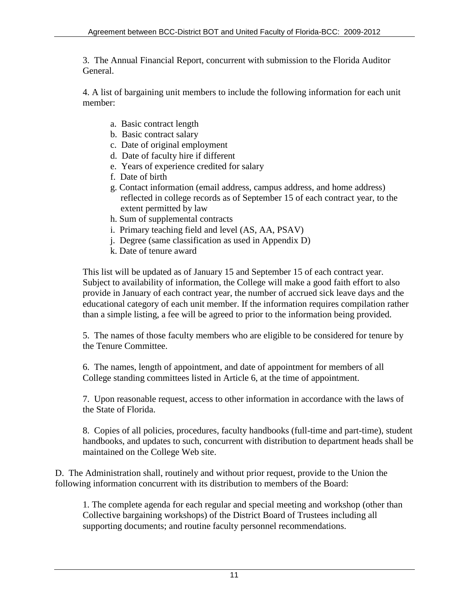3. The Annual Financial Report, concurrent with submission to the Florida Auditor General.

4. A list of bargaining unit members to include the following information for each unit member:

- a. Basic contract length
- b. Basic contract salary
- c. Date of original employment
- d. Date of faculty hire if different
- e. Years of experience credited for salary
- f. Date of birth
- g. Contact information (email address, campus address, and home address) reflected in college records as of September 15 of each contract year, to the extent permitted by law
- h. Sum of supplemental contracts
- i. Primary teaching field and level (AS, AA, PSAV)
- j. Degree (same classification as used in Appendix D)
- k. Date of tenure award

This list will be updated as of January 15 and September 15 of each contract year. Subject to availability of information, the College will make a good faith effort to also provide in January of each contract year, the number of accrued sick leave days and the educational category of each unit member. If the information requires compilation rather than a simple listing, a fee will be agreed to prior to the information being provided.

5. The names of those faculty members who are eligible to be considered for tenure by the Tenure Committee.

6. The names, length of appointment, and date of appointment for members of all College standing committees listed in Article 6, at the time of appointment.

7. Upon reasonable request, access to other information in accordance with the laws of the State of Florida.

8. Copies of all policies, procedures, faculty handbooks (full-time and part-time), student handbooks, and updates to such, concurrent with distribution to department heads shall be maintained on the College Web site.

D. The Administration shall, routinely and without prior request, provide to the Union the following information concurrent with its distribution to members of the Board:

1. The complete agenda for each regular and special meeting and workshop (other than Collective bargaining workshops) of the District Board of Trustees including all supporting documents; and routine faculty personnel recommendations.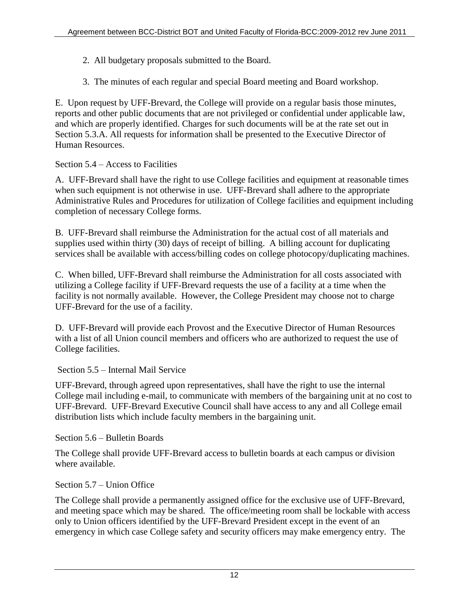- 2. All budgetary proposals submitted to the Board.
- 3. The minutes of each regular and special Board meeting and Board workshop.

E. Upon request by UFF-Brevard, the College will provide on a regular basis those minutes, reports and other public documents that are not privileged or confidential under applicable law, and which are properly identified. Charges for such documents will be at the rate set out in Section 5.3.A. All requests for information shall be presented to the Executive Director of Human Resources.

## <span id="page-17-0"></span>Section 5.4 – Access to Facilities

A. UFF-Brevard shall have the right to use College facilities and equipment at reasonable times when such equipment is not otherwise in use. UFF-Brevard shall adhere to the appropriate Administrative Rules and Procedures for utilization of College facilities and equipment including completion of necessary College forms.

B. UFF-Brevard shall reimburse the Administration for the actual cost of all materials and supplies used within thirty (30) days of receipt of billing. A billing account for duplicating services shall be available with access/billing codes on college photocopy/duplicating machines.

C. When billed, UFF-Brevard shall reimburse the Administration for all costs associated with utilizing a College facility if UFF-Brevard requests the use of a facility at a time when the facility is not normally available. However, the College President may choose not to charge UFF-Brevard for the use of a facility.

D. UFF-Brevard will provide each Provost and the Executive Director of Human Resources with a list of all Union council members and officers who are authorized to request the use of College facilities.

## <span id="page-17-1"></span>Section 5.5 – Internal Mail Service

UFF-Brevard, through agreed upon representatives, shall have the right to use the internal College mail including e-mail, to communicate with members of the bargaining unit at no cost to UFF-Brevard. UFF-Brevard Executive Council shall have access to any and all College email distribution lists which include faculty members in the bargaining unit.

<span id="page-17-2"></span>Section 5.6 – Bulletin Boards

The College shall provide UFF-Brevard access to bulletin boards at each campus or division where available.

## <span id="page-17-3"></span>Section 5.7 – Union Office

The College shall provide a permanently assigned office for the exclusive use of UFF-Brevard, and meeting space which may be shared. The office/meeting room shall be lockable with access only to Union officers identified by the UFF-Brevard President except in the event of an emergency in which case College safety and security officers may make emergency entry. The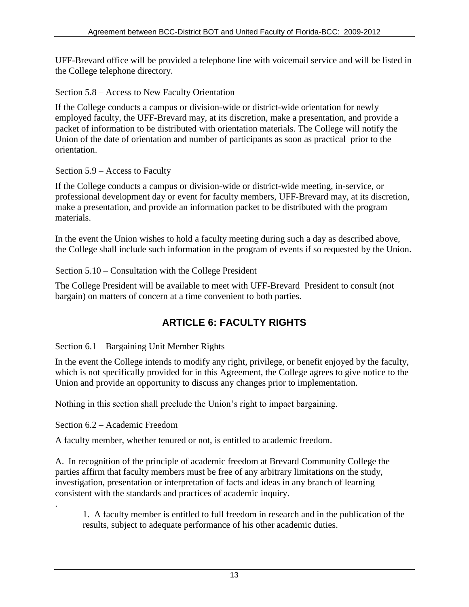UFF-Brevard office will be provided a telephone line with voicemail service and will be listed in the College telephone directory.

<span id="page-18-0"></span>Section 5.8 – Access to New Faculty Orientation

If the College conducts a campus or division-wide or district-wide orientation for newly employed faculty, the UFF-Brevard may, at its discretion, make a presentation, and provide a packet of information to be distributed with orientation materials. The College will notify the Union of the date of orientation and number of participants as soon as practical prior to the orientation.

<span id="page-18-1"></span>Section 5.9 – Access to Faculty

If the College conducts a campus or division-wide or district-wide meeting, in-service, or professional development day or event for faculty members, UFF-Brevard may, at its discretion, make a presentation, and provide an information packet to be distributed with the program materials.

In the event the Union wishes to hold a faculty meeting during such a day as described above, the College shall include such information in the program of events if so requested by the Union.

<span id="page-18-2"></span>Section 5.10 – Consultation with the College President

The College President will be available to meet with UFF-Brevard President to consult (not bargain) on matters of concern at a time convenient to both parties.

# **ARTICLE 6: FACULTY RIGHTS**

<span id="page-18-4"></span><span id="page-18-3"></span>Section 6.1 – Bargaining Unit Member Rights

In the event the College intends to modify any right, privilege, or benefit enjoyed by the faculty, which is not specifically provided for in this Agreement, the College agrees to give notice to the Union and provide an opportunity to discuss any changes prior to implementation.

Nothing in this section shall preclude the Union's right to impact bargaining.

<span id="page-18-5"></span>Section 6.2 – Academic Freedom

.

A faculty member, whether tenured or not, is entitled to academic freedom.

A. In recognition of the principle of academic freedom at Brevard Community College the parties affirm that faculty members must be free of any arbitrary limitations on the study, investigation, presentation or interpretation of facts and ideas in any branch of learning consistent with the standards and practices of academic inquiry.

1. A faculty member is entitled to full freedom in research and in the publication of the results, subject to adequate performance of his other academic duties.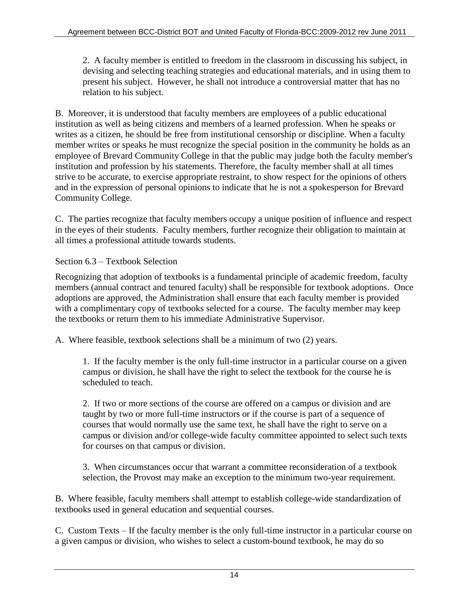2. A faculty member is entitled to freedom in the classroom in discussing his subject, in devising and selecting teaching strategies and educational materials, and in using them to present his subject. However, he shall not introduce a controversial matter that has no relation to his subject.

B. Moreover, it is understood that faculty members are employees of a public educational institution as well as being citizens and members of a learned profession. When he speaks or writes as a citizen, he should be free from institutional censorship or discipline. When a faculty member writes or speaks he must recognize the special position in the community he holds as an employee of Brevard Community College in that the public may judge both the faculty member's institution and profession by his statements. Therefore, the faculty member shall at all times strive to be accurate, to exercise appropriate restraint, to show respect for the opinions of others and in the expression of personal opinions to indicate that he is not a spokesperson for Brevard Community College.

C. The parties recognize that faculty members occupy a unique position of influence and respect in the eyes of their students. Faculty members, further recognize their obligation to maintain at all times a professional attitude towards students.

<span id="page-19-0"></span>Section 6.3 – Textbook Selection

Recognizing that adoption of textbooks is a fundamental principle of academic freedom, faculty members (annual contract and tenured faculty) shall be responsible for textbook adoptions. Once adoptions are approved, the Administration shall ensure that each faculty member is provided with a complimentary copy of textbooks selected for a course. The faculty member may keep the textbooks or return them to his immediate Administrative Supervisor.

A. Where feasible, textbook selections shall be a minimum of two (2) years.

1. If the faculty member is the only full-time instructor in a particular course on a given campus or division, he shall have the right to select the textbook for the course he is scheduled to teach.

2. If two or more sections of the course are offered on a campus or division and are taught by two or more full-time instructors or if the course is part of a sequence of courses that would normally use the same text, he shall have the right to serve on a campus or division and/or college-wide faculty committee appointed to select such texts for courses on that campus or division.

3. When circumstances occur that warrant a committee reconsideration of a textbook selection, the Provost may make an exception to the minimum two-year requirement.

B. Where feasible, faculty members shall attempt to establish college-wide standardization of textbooks used in general education and sequential courses.

C. Custom Texts – If the faculty member is the only full-time instructor in a particular course on a given campus or division, who wishes to select a custom-bound textbook, he may do so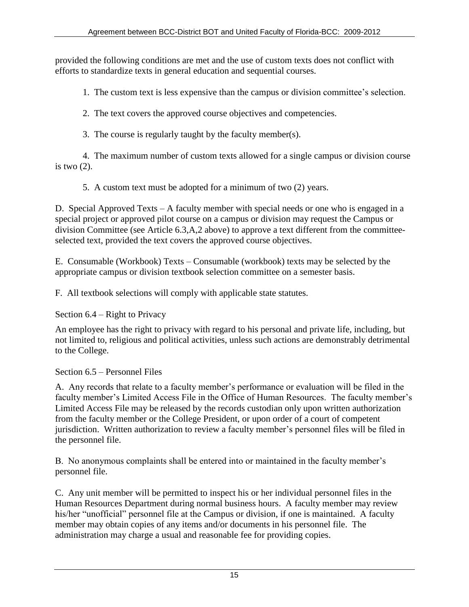provided the following conditions are met and the use of custom texts does not conflict with efforts to standardize texts in general education and sequential courses.

1. The custom text is less expensive than the campus or division committee's selection.

2. The text covers the approved course objectives and competencies.

3. The course is regularly taught by the faculty member(s).

4. The maximum number of custom texts allowed for a single campus or division course is two  $(2)$ .

5. A custom text must be adopted for a minimum of two (2) years.

D. Special Approved Texts – A faculty member with special needs or one who is engaged in a special project or approved pilot course on a campus or division may request the Campus or division Committee (see Article 6.3,A,2 above) to approve a text different from the committeeselected text, provided the text covers the approved course objectives.

E. Consumable (Workbook) Texts – Consumable (workbook) texts may be selected by the appropriate campus or division textbook selection committee on a semester basis.

F. All textbook selections will comply with applicable state statutes.

<span id="page-20-0"></span>Section 6.4 – Right to Privacy

An employee has the right to privacy with regard to his personal and private life, including, but not limited to, religious and political activities, unless such actions are demonstrably detrimental to the College.

<span id="page-20-1"></span>Section 6.5 – Personnel Files

A. Any records that relate to a faculty member's performance or evaluation will be filed in the faculty member's Limited Access File in the Office of Human Resources. The faculty member's Limited Access File may be released by the records custodian only upon written authorization from the faculty member or the College President, or upon order of a court of competent jurisdiction. Written authorization to review a faculty member's personnel files will be filed in the personnel file.

B. No anonymous complaints shall be entered into or maintained in the faculty member's personnel file.

C. Any unit member will be permitted to inspect his or her individual personnel files in the Human Resources Department during normal business hours. A faculty member may review his/her "unofficial" personnel file at the Campus or division, if one is maintained. A faculty member may obtain copies of any items and/or documents in his personnel file. The administration may charge a usual and reasonable fee for providing copies.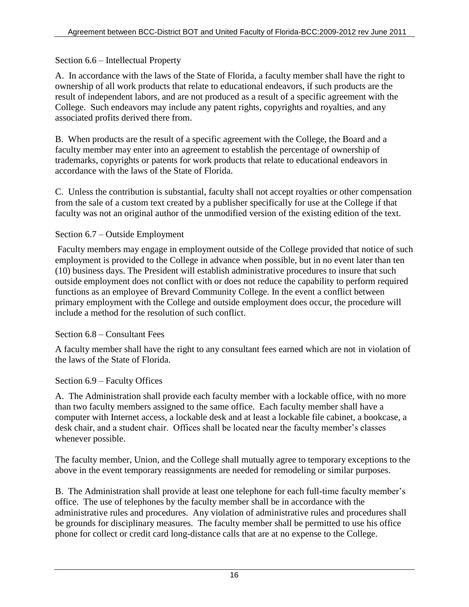## <span id="page-21-0"></span>Section 6.6 – Intellectual Property

A. In accordance with the laws of the State of Florida, a faculty member shall have the right to ownership of all work products that relate to educational endeavors, if such products are the result of independent labors, and are not produced as a result of a specific agreement with the College. Such endeavors may include any patent rights, copyrights and royalties, and any associated profits derived there from.

B. When products are the result of a specific agreement with the College, the Board and a faculty member may enter into an agreement to establish the percentage of ownership of trademarks, copyrights or patents for work products that relate to educational endeavors in accordance with the laws of the State of Florida.

C. Unless the contribution is substantial, faculty shall not accept royalties or other compensation from the sale of a custom text created by a publisher specifically for use at the College if that faculty was not an original author of the unmodified version of the existing edition of the text.

## <span id="page-21-1"></span>Section 6.7 – Outside Employment

 Faculty members may engage in employment outside of the College provided that notice of such employment is provided to the College in advance when possible, but in no event later than ten (10) business days. The President will establish administrative procedures to insure that such outside employment does not conflict with or does not reduce the capability to perform required functions as an employee of Brevard Community College. In the event a conflict between primary employment with the College and outside employment does occur, the procedure will include a method for the resolution of such conflict.

## <span id="page-21-2"></span>Section 6.8 – Consultant Fees

A faculty member shall have the right to any consultant fees earned which are not in violation of the laws of the State of Florida.

## <span id="page-21-3"></span>Section 6.9 – Faculty Offices

A. The Administration shall provide each faculty member with a lockable office, with no more than two faculty members assigned to the same office. Each faculty member shall have a computer with Internet access, a lockable desk and at least a lockable file cabinet, a bookcase, a desk chair, and a student chair. Offices shall be located near the faculty member's classes whenever possible.

The faculty member, Union, and the College shall mutually agree to temporary exceptions to the above in the event temporary reassignments are needed for remodeling or similar purposes.

B. The Administration shall provide at least one telephone for each full-time faculty member's office. The use of telephones by the faculty member shall be in accordance with the administrative rules and procedures. Any violation of administrative rules and procedures shall be grounds for disciplinary measures. The faculty member shall be permitted to use his office phone for collect or credit card long-distance calls that are at no expense to the College.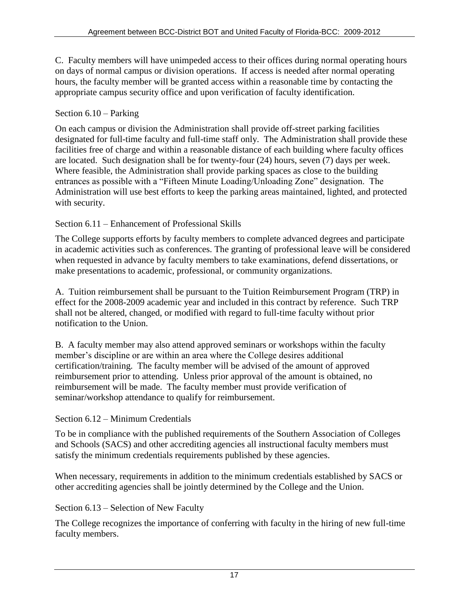C. Faculty members will have unimpeded access to their offices during normal operating hours on days of normal campus or division operations. If access is needed after normal operating hours, the faculty member will be granted access within a reasonable time by contacting the appropriate campus security office and upon verification of faculty identification.

## <span id="page-22-0"></span>Section 6.10 – Parking

On each campus or division the Administration shall provide off-street parking facilities designated for full-time faculty and full-time staff only. The Administration shall provide these facilities free of charge and within a reasonable distance of each building where faculty offices are located. Such designation shall be for twenty-four (24) hours, seven (7) days per week. Where feasible, the Administration shall provide parking spaces as close to the building entrances as possible with a "Fifteen Minute Loading/Unloading Zone" designation. The Administration will use best efforts to keep the parking areas maintained, lighted, and protected with security.

## <span id="page-22-1"></span>Section 6.11 – Enhancement of Professional Skills

The College supports efforts by faculty members to complete advanced degrees and participate in academic activities such as conferences. The granting of professional leave will be considered when requested in advance by faculty members to take examinations, defend dissertations, or make presentations to academic, professional, or community organizations.

A. Tuition reimbursement shall be pursuant to the Tuition Reimbursement Program (TRP) in effect for the 2008-2009 academic year and included in this contract by reference. Such TRP shall not be altered, changed, or modified with regard to full-time faculty without prior notification to the Union.

B. A faculty member may also attend approved seminars or workshops within the faculty member's discipline or are within an area where the College desires additional certification/training. The faculty member will be advised of the amount of approved reimbursement prior to attending. Unless prior approval of the amount is obtained, no reimbursement will be made. The faculty member must provide verification of seminar/workshop attendance to qualify for reimbursement.

<span id="page-22-2"></span>Section 6.12 – Minimum Credentials

To be in compliance with the published requirements of the Southern Association of Colleges and Schools (SACS) and other accrediting agencies all instructional faculty members must satisfy the minimum credentials requirements published by these agencies.

When necessary, requirements in addition to the minimum credentials established by SACS or other accrediting agencies shall be jointly determined by the College and the Union.

## <span id="page-22-3"></span>Section 6.13 – Selection of New Faculty

The College recognizes the importance of conferring with faculty in the hiring of new full-time faculty members.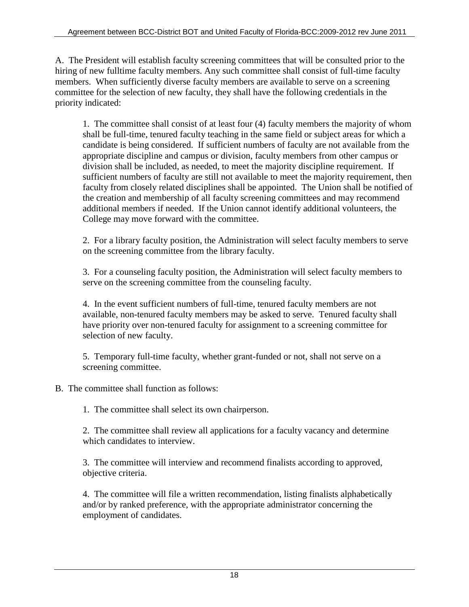A. The President will establish faculty screening committees that will be consulted prior to the hiring of new fulltime faculty members. Any such committee shall consist of full-time faculty members. When sufficiently diverse faculty members are available to serve on a screening committee for the selection of new faculty, they shall have the following credentials in the priority indicated:

1. The committee shall consist of at least four (4) faculty members the majority of whom shall be full-time, tenured faculty teaching in the same field or subject areas for which a candidate is being considered. If sufficient numbers of faculty are not available from the appropriate discipline and campus or division, faculty members from other campus or division shall be included, as needed, to meet the majority discipline requirement. If sufficient numbers of faculty are still not available to meet the majority requirement, then faculty from closely related disciplines shall be appointed. The Union shall be notified of the creation and membership of all faculty screening committees and may recommend additional members if needed. If the Union cannot identify additional volunteers, the College may move forward with the committee.

2. For a library faculty position, the Administration will select faculty members to serve on the screening committee from the library faculty.

3. For a counseling faculty position, the Administration will select faculty members to serve on the screening committee from the counseling faculty.

4. In the event sufficient numbers of full-time, tenured faculty members are not available, non-tenured faculty members may be asked to serve. Tenured faculty shall have priority over non-tenured faculty for assignment to a screening committee for selection of new faculty.

5. Temporary full-time faculty, whether grant-funded or not, shall not serve on a screening committee.

B. The committee shall function as follows:

1. The committee shall select its own chairperson.

2. The committee shall review all applications for a faculty vacancy and determine which candidates to interview.

3. The committee will interview and recommend finalists according to approved, objective criteria.

4. The committee will file a written recommendation, listing finalists alphabetically and/or by ranked preference, with the appropriate administrator concerning the employment of candidates.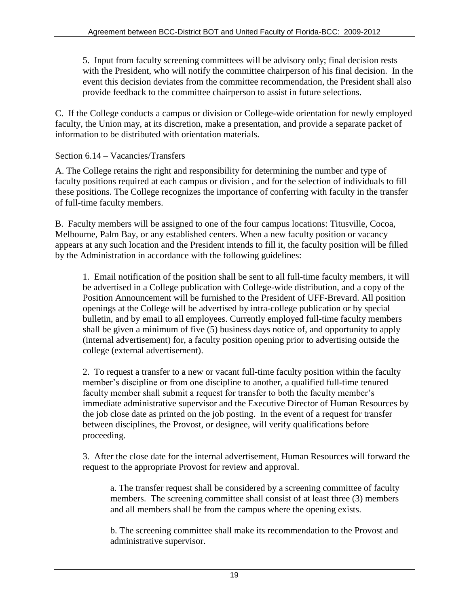5. Input from faculty screening committees will be advisory only; final decision rests with the President, who will notify the committee chairperson of his final decision. In the event this decision deviates from the committee recommendation, the President shall also provide feedback to the committee chairperson to assist in future selections.

C. If the College conducts a campus or division or College-wide orientation for newly employed faculty, the Union may, at its discretion, make a presentation, and provide a separate packet of information to be distributed with orientation materials.

<span id="page-24-0"></span>Section 6.14 – Vacancies/Transfers

A. The College retains the right and responsibility for determining the number and type of faculty positions required at each campus or division , and for the selection of individuals to fill these positions. The College recognizes the importance of conferring with faculty in the transfer of full-time faculty members.

B. Faculty members will be assigned to one of the four campus locations: Titusville, Cocoa, Melbourne, Palm Bay, or any established centers. When a new faculty position or vacancy appears at any such location and the President intends to fill it, the faculty position will be filled by the Administration in accordance with the following guidelines:

1. Email notification of the position shall be sent to all full-time faculty members, it will be advertised in a College publication with College-wide distribution, and a copy of the Position Announcement will be furnished to the President of UFF-Brevard. All position openings at the College will be advertised by intra-college publication or by special bulletin, and by email to all employees. Currently employed full-time faculty members shall be given a minimum of five (5) business days notice of, and opportunity to apply (internal advertisement) for, a faculty position opening prior to advertising outside the college (external advertisement).

2. To request a transfer to a new or vacant full-time faculty position within the faculty member's discipline or from one discipline to another, a qualified full-time tenured faculty member shall submit a request for transfer to both the faculty member's immediate administrative supervisor and the Executive Director of Human Resources by the job close date as printed on the job posting. In the event of a request for transfer between disciplines, the Provost, or designee, will verify qualifications before proceeding.

3. After the close date for the internal advertisement, Human Resources will forward the request to the appropriate Provost for review and approval.

a. The transfer request shall be considered by a screening committee of faculty members. The screening committee shall consist of at least three (3) members and all members shall be from the campus where the opening exists.

b. The screening committee shall make its recommendation to the Provost and administrative supervisor.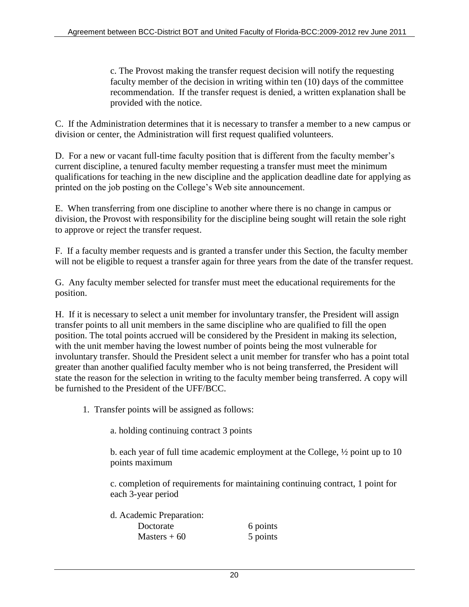c. The Provost making the transfer request decision will notify the requesting faculty member of the decision in writing within ten (10) days of the committee recommendation. If the transfer request is denied, a written explanation shall be provided with the notice.

C. If the Administration determines that it is necessary to transfer a member to a new campus or division or center, the Administration will first request qualified volunteers.

D. For a new or vacant full-time faculty position that is different from the faculty member's current discipline, a tenured faculty member requesting a transfer must meet the minimum qualifications for teaching in the new discipline and the application deadline date for applying as printed on the job posting on the College's Web site announcement.

E. When transferring from one discipline to another where there is no change in campus or division, the Provost with responsibility for the discipline being sought will retain the sole right to approve or reject the transfer request.

F. If a faculty member requests and is granted a transfer under this Section, the faculty member will not be eligible to request a transfer again for three years from the date of the transfer request.

G. Any faculty member selected for transfer must meet the educational requirements for the position.

H. If it is necessary to select a unit member for involuntary transfer, the President will assign transfer points to all unit members in the same discipline who are qualified to fill the open position. The total points accrued will be considered by the President in making its selection, with the unit member having the lowest number of points being the most vulnerable for involuntary transfer. Should the President select a unit member for transfer who has a point total greater than another qualified faculty member who is not being transferred, the President will state the reason for the selection in writing to the faculty member being transferred. A copy will be furnished to the President of the UFF/BCC.

1. Transfer points will be assigned as follows:

a. holding continuing contract 3 points

b. each year of full time academic employment at the College, ½ point up to 10 points maximum

c. completion of requirements for maintaining continuing contract, 1 point for each 3-year period

d. Academic Preparation: Doctorate 6 points  $Masters + 60$  5 points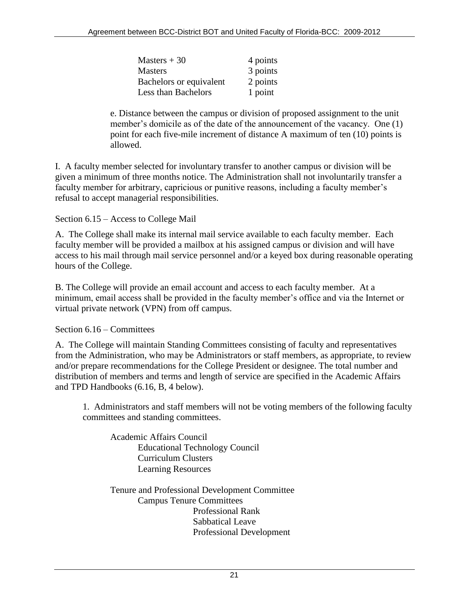| Masters $+30$              | 4 points |
|----------------------------|----------|
| <b>Masters</b>             | 3 points |
| Bachelors or equivalent    | 2 points |
| <b>Less than Bachelors</b> | 1 point  |

e. Distance between the campus or division of proposed assignment to the unit member's domicile as of the date of the announcement of the vacancy. One (1) point for each five-mile increment of distance A maximum of ten (10) points is allowed.

I. A faculty member selected for involuntary transfer to another campus or division will be given a minimum of three months notice. The Administration shall not involuntarily transfer a faculty member for arbitrary, capricious or punitive reasons, including a faculty member's refusal to accept managerial responsibilities.

<span id="page-26-0"></span>Section 6.15 – Access to College Mail

A. The College shall make its internal mail service available to each faculty member. Each faculty member will be provided a mailbox at his assigned campus or division and will have access to his mail through mail service personnel and/or a keyed box during reasonable operating hours of the College.

B. The College will provide an email account and access to each faculty member. At a minimum, email access shall be provided in the faculty member's office and via the Internet or virtual private network (VPN) from off campus.

<span id="page-26-1"></span>Section 6.16 – Committees

A. The College will maintain Standing Committees consisting of faculty and representatives from the Administration, who may be Administrators or staff members, as appropriate, to review and/or prepare recommendations for the College President or designee. The total number and distribution of members and terms and length of service are specified in the Academic Affairs and TPD Handbooks (6.16, B, 4 below).

1. Administrators and staff members will not be voting members of the following faculty committees and standing committees.

Academic Affairs Council Educational Technology Council Curriculum Clusters Learning Resources

Tenure and Professional Development Committee Campus Tenure Committees Professional Rank Sabbatical Leave Professional Development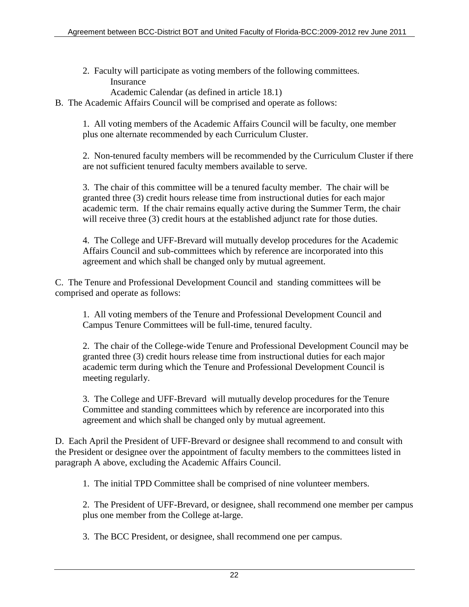- 2. Faculty will participate as voting members of the following committees. **Insurance** 
	- Academic Calendar (as defined in article 18.1)

B. The Academic Affairs Council will be comprised and operate as follows:

1. All voting members of the Academic Affairs Council will be faculty, one member plus one alternate recommended by each Curriculum Cluster.

2. Non-tenured faculty members will be recommended by the Curriculum Cluster if there are not sufficient tenured faculty members available to serve.

3. The chair of this committee will be a tenured faculty member. The chair will be granted three (3) credit hours release time from instructional duties for each major academic term. If the chair remains equally active during the Summer Term, the chair will receive three (3) credit hours at the established adjunct rate for those duties.

4. The College and UFF-Brevard will mutually develop procedures for the Academic Affairs Council and sub-committees which by reference are incorporated into this agreement and which shall be changed only by mutual agreement.

C. The Tenure and Professional Development Council and standing committees will be comprised and operate as follows:

1. All voting members of the Tenure and Professional Development Council and Campus Tenure Committees will be full-time, tenured faculty.

2. The chair of the College-wide Tenure and Professional Development Council may be granted three (3) credit hours release time from instructional duties for each major academic term during which the Tenure and Professional Development Council is meeting regularly.

3. The College and UFF-Brevard will mutually develop procedures for the Tenure Committee and standing committees which by reference are incorporated into this agreement and which shall be changed only by mutual agreement.

D. Each April the President of UFF-Brevard or designee shall recommend to and consult with the President or designee over the appointment of faculty members to the committees listed in paragraph A above, excluding the Academic Affairs Council.

1. The initial TPD Committee shall be comprised of nine volunteer members.

2. The President of UFF-Brevard, or designee, shall recommend one member per campus plus one member from the College at-large.

3. The BCC President, or designee, shall recommend one per campus.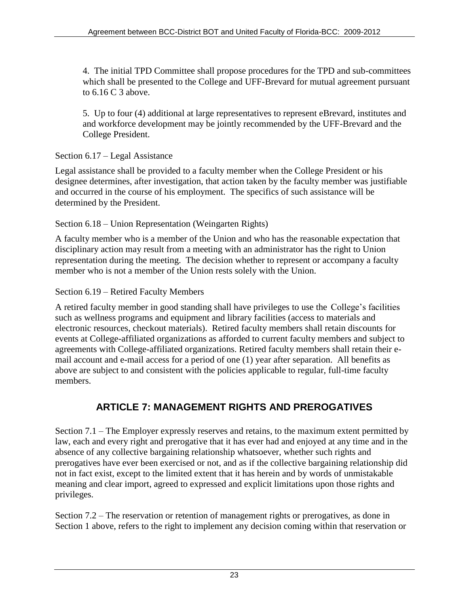4. The initial TPD Committee shall propose procedures for the TPD and sub-committees which shall be presented to the College and UFF-Brevard for mutual agreement pursuant to 6.16 C 3 above.

5. Up to four (4) additional at large representatives to represent eBrevard, institutes and and workforce development may be jointly recommended by the UFF-Brevard and the College President.

## <span id="page-28-0"></span>Section 6.17 – Legal Assistance

Legal assistance shall be provided to a faculty member when the College President or his designee determines, after investigation, that action taken by the faculty member was justifiable and occurred in the course of his employment. The specifics of such assistance will be determined by the President.

## <span id="page-28-1"></span>Section 6.18 – Union Representation (Weingarten Rights)

A faculty member who is a member of the Union and who has the reasonable expectation that disciplinary action may result from a meeting with an administrator has the right to Union representation during the meeting. The decision whether to represent or accompany a faculty member who is not a member of the Union rests solely with the Union.

## <span id="page-28-2"></span>Section 6.19 – Retired Faculty Members

A retired faculty member in good standing shall have privileges to use the College's facilities such as wellness programs and equipment and library facilities (access to materials and electronic resources, checkout materials). Retired faculty members shall retain discounts for events at College-affiliated organizations as afforded to current faculty members and subject to agreements with College-affiliated organizations. Retired faculty members shall retain their email account and e-mail access for a period of one (1) year after separation. All benefits as above are subject to and consistent with the policies applicable to regular, full-time faculty members.

## **ARTICLE 7: MANAGEMENT RIGHTS AND PREROGATIVES**

<span id="page-28-3"></span>Section 7.1 – The Employer expressly reserves and retains, to the maximum extent permitted by law, each and every right and prerogative that it has ever had and enjoyed at any time and in the absence of any collective bargaining relationship whatsoever, whether such rights and prerogatives have ever been exercised or not, and as if the collective bargaining relationship did not in fact exist, except to the limited extent that it has herein and by words of unmistakable meaning and clear import, agreed to expressed and explicit limitations upon those rights and privileges.

Section 7.2 – The reservation or retention of management rights or prerogatives, as done in Section 1 above, refers to the right to implement any decision coming within that reservation or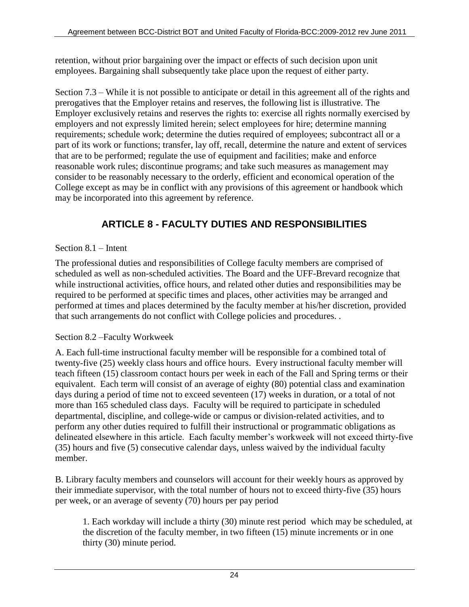retention, without prior bargaining over the impact or effects of such decision upon unit employees. Bargaining shall subsequently take place upon the request of either party.

Section 7.3 – While it is not possible to anticipate or detail in this agreement all of the rights and prerogatives that the Employer retains and reserves, the following list is illustrative. The Employer exclusively retains and reserves the rights to: exercise all rights normally exercised by employers and not expressly limited herein; select employees for hire; determine manning requirements; schedule work; determine the duties required of employees; subcontract all or a part of its work or functions; transfer, lay off, recall, determine the nature and extent of services that are to be performed; regulate the use of equipment and facilities; make and enforce reasonable work rules; discontinue programs; and take such measures as management may consider to be reasonably necessary to the orderly, efficient and economical operation of the College except as may be in conflict with any provisions of this agreement or handbook which may be incorporated into this agreement by reference.

## **ARTICLE 8 - FACULTY DUTIES AND RESPONSIBILITIES**

## <span id="page-29-1"></span><span id="page-29-0"></span>Section 8.1 – Intent

The professional duties and responsibilities of College faculty members are comprised of scheduled as well as non-scheduled activities. The Board and the UFF-Brevard recognize that while instructional activities, office hours, and related other duties and responsibilities may be required to be performed at specific times and places, other activities may be arranged and performed at times and places determined by the faculty member at his/her discretion, provided that such arrangements do not conflict with College policies and procedures. .

## <span id="page-29-2"></span>Section 8.2 –Faculty Workweek

A. Each full-time instructional faculty member will be responsible for a combined total of twenty-five (25) weekly class hours and office hours. Every instructional faculty member will teach fifteen (15) classroom contact hours per week in each of the Fall and Spring terms or their equivalent. Each term will consist of an average of eighty (80) potential class and examination days during a period of time not to exceed seventeen (17) weeks in duration, or a total of not more than 165 scheduled class days. Faculty will be required to participate in scheduled departmental, discipline, and college-wide or campus or division-related activities, and to perform any other duties required to fulfill their instructional or programmatic obligations as delineated elsewhere in this article. Each faculty member's workweek will not exceed thirty-five (35) hours and five (5) consecutive calendar days, unless waived by the individual faculty member.

B. Library faculty members and counselors will account for their weekly hours as approved by their immediate supervisor, with the total number of hours not to exceed thirty-five (35) hours per week, or an average of seventy (70) hours per pay period

1. Each workday will include a thirty (30) minute rest period which may be scheduled, at the discretion of the faculty member, in two fifteen (15) minute increments or in one thirty (30) minute period.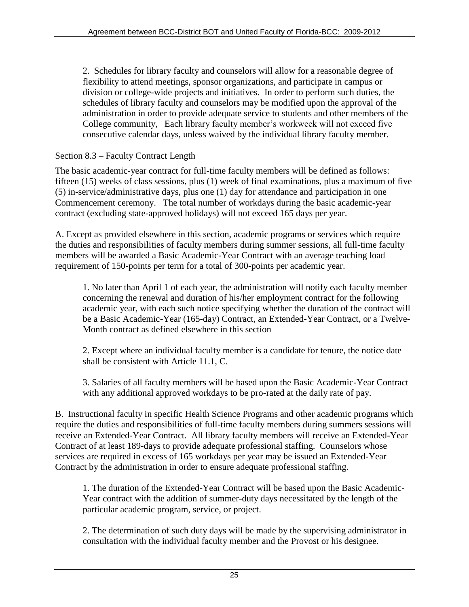2. Schedules for library faculty and counselors will allow for a reasonable degree of flexibility to attend meetings, sponsor organizations, and participate in campus or division or college-wide projects and initiatives. In order to perform such duties, the schedules of library faculty and counselors may be modified upon the approval of the administration in order to provide adequate service to students and other members of the College community, Each library faculty member's workweek will not exceed five consecutive calendar days, unless waived by the individual library faculty member.

## <span id="page-30-0"></span>Section 8.3 – Faculty Contract Length

The basic academic-year contract for full-time faculty members will be defined as follows: fifteen (15) weeks of class sessions, plus (1) week of final examinations, plus a maximum of five (5) in-service/administrative days, plus one (1) day for attendance and participation in one Commencement ceremony. The total number of workdays during the basic academic-year contract (excluding state-approved holidays) will not exceed 165 days per year.

A. Except as provided elsewhere in this section, academic programs or services which require the duties and responsibilities of faculty members during summer sessions, all full-time faculty members will be awarded a Basic Academic-Year Contract with an average teaching load requirement of 150-points per term for a total of 300-points per academic year.

1. No later than April 1 of each year, the administration will notify each faculty member concerning the renewal and duration of his/her employment contract for the following academic year, with each such notice specifying whether the duration of the contract will be a Basic Academic-Year (165-day) Contract, an Extended-Year Contract, or a Twelve-Month contract as defined elsewhere in this section

2. Except where an individual faculty member is a candidate for tenure, the notice date shall be consistent with Article 11.1, C.

3. Salaries of all faculty members will be based upon the Basic Academic-Year Contract with any additional approved workdays to be pro-rated at the daily rate of pay.

B. Instructional faculty in specific Health Science Programs and other academic programs which require the duties and responsibilities of full-time faculty members during summers sessions will receive an Extended-Year Contract. All library faculty members will receive an Extended-Year Contract of at least 189-days to provide adequate professional staffing. Counselors whose services are required in excess of 165 workdays per year may be issued an Extended-Year Contract by the administration in order to ensure adequate professional staffing.

1. The duration of the Extended-Year Contract will be based upon the Basic Academic-Year contract with the addition of summer-duty days necessitated by the length of the particular academic program, service, or project.

2. The determination of such duty days will be made by the supervising administrator in consultation with the individual faculty member and the Provost or his designee.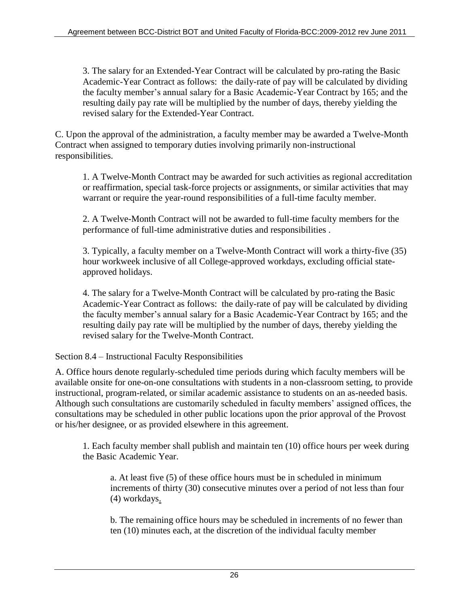3. The salary for an Extended-Year Contract will be calculated by pro-rating the Basic Academic-Year Contract as follows: the daily-rate of pay will be calculated by dividing the faculty member's annual salary for a Basic Academic-Year Contract by 165; and the resulting daily pay rate will be multiplied by the number of days, thereby yielding the revised salary for the Extended-Year Contract.

C. Upon the approval of the administration, a faculty member may be awarded a Twelve-Month Contract when assigned to temporary duties involving primarily non-instructional responsibilities.

1. A Twelve-Month Contract may be awarded for such activities as regional accreditation or reaffirmation, special task-force projects or assignments, or similar activities that may warrant or require the year-round responsibilities of a full-time faculty member.

2. A Twelve-Month Contract will not be awarded to full-time faculty members for the performance of full-time administrative duties and responsibilities .

3. Typically, a faculty member on a Twelve-Month Contract will work a thirty-five (35) hour workweek inclusive of all College-approved workdays, excluding official stateapproved holidays.

4. The salary for a Twelve-Month Contract will be calculated by pro-rating the Basic Academic-Year Contract as follows: the daily-rate of pay will be calculated by dividing the faculty member's annual salary for a Basic Academic-Year Contract by 165; and the resulting daily pay rate will be multiplied by the number of days, thereby yielding the revised salary for the Twelve-Month Contract.

<span id="page-31-0"></span>Section 8.4 – Instructional Faculty Responsibilities

A. Office hours denote regularly-scheduled time periods during which faculty members will be available onsite for one-on-one consultations with students in a non-classroom setting, to provide instructional, program-related, or similar academic assistance to students on an as-needed basis. Although such consultations are customarily scheduled in faculty members' assigned offices, the consultations may be scheduled in other public locations upon the prior approval of the Provost or his/her designee, or as provided elsewhere in this agreement.

1. Each faculty member shall publish and maintain ten (10) office hours per week during the Basic Academic Year.

a. At least five (5) of these office hours must be in scheduled in minimum increments of thirty (30) consecutive minutes over a period of not less than four (4) workdays.

b. The remaining office hours may be scheduled in increments of no fewer than ten (10) minutes each, at the discretion of the individual faculty member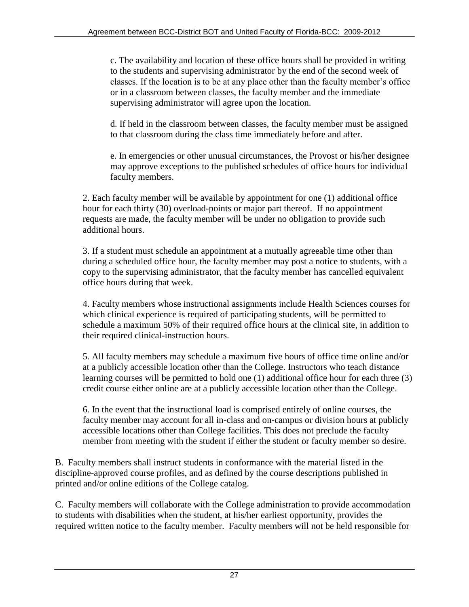c. The availability and location of these office hours shall be provided in writing to the students and supervising administrator by the end of the second week of classes. If the location is to be at any place other than the faculty member's office or in a classroom between classes, the faculty member and the immediate supervising administrator will agree upon the location.

d. If held in the classroom between classes, the faculty member must be assigned to that classroom during the class time immediately before and after.

e. In emergencies or other unusual circumstances, the Provost or his/her designee may approve exceptions to the published schedules of office hours for individual faculty members.

2. Each faculty member will be available by appointment for one (1) additional office hour for each thirty (30) overload-points or major part thereof. If no appointment requests are made, the faculty member will be under no obligation to provide such additional hours.

3. If a student must schedule an appointment at a mutually agreeable time other than during a scheduled office hour, the faculty member may post a notice to students, with a copy to the supervising administrator, that the faculty member has cancelled equivalent office hours during that week.

4. Faculty members whose instructional assignments include Health Sciences courses for which clinical experience is required of participating students, will be permitted to schedule a maximum 50% of their required office hours at the clinical site, in addition to their required clinical-instruction hours.

5. All faculty members may schedule a maximum five hours of office time online and/or at a publicly accessible location other than the College. Instructors who teach distance learning courses will be permitted to hold one (1) additional office hour for each three (3) credit course either online are at a publicly accessible location other than the College.

6. In the event that the instructional load is comprised entirely of online courses, the faculty member may account for all in-class and on-campus or division hours at publicly accessible locations other than College facilities. This does not preclude the faculty member from meeting with the student if either the student or faculty member so desire.

B. Faculty members shall instruct students in conformance with the material listed in the discipline-approved course profiles, and as defined by the course descriptions published in printed and/or online editions of the College catalog.

C. Faculty members will collaborate with the College administration to provide accommodation to students with disabilities when the student, at his/her earliest opportunity, provides the required written notice to the faculty member. Faculty members will not be held responsible for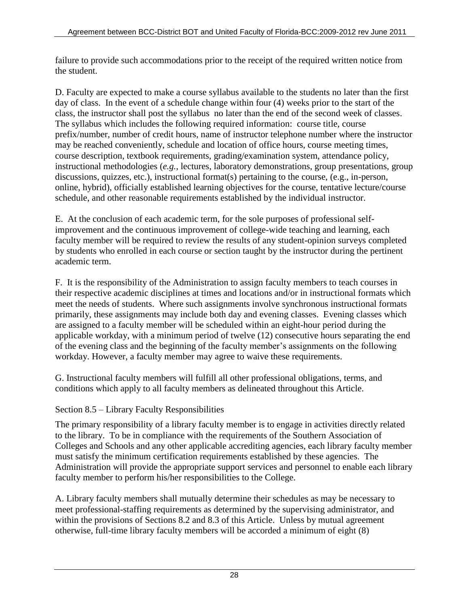failure to provide such accommodations prior to the receipt of the required written notice from the student.

D. Faculty are expected to make a course syllabus available to the students no later than the first day of class. In the event of a schedule change within four (4) weeks prior to the start of the class, the instructor shall post the syllabus no later than the end of the second week of classes. The syllabus which includes the following required information: course title, course prefix/number, number of credit hours, name of instructor telephone number where the instructor may be reached conveniently, schedule and location of office hours, course meeting times, course description, textbook requirements, grading/examination system, attendance policy, instructional methodologies (*e.g.*, lectures, laboratory demonstrations, group presentations, group discussions, quizzes, etc.), instructional format(s) pertaining to the course, (e.g., in-person, online, hybrid), officially established learning objectives for the course, tentative lecture/course schedule, and other reasonable requirements established by the individual instructor.

E. At the conclusion of each academic term, for the sole purposes of professional selfimprovement and the continuous improvement of college-wide teaching and learning, each faculty member will be required to review the results of any student-opinion surveys completed by students who enrolled in each course or section taught by the instructor during the pertinent academic term.

F. It is the responsibility of the Administration to assign faculty members to teach courses in their respective academic disciplines at times and locations and/or in instructional formats which meet the needs of students. Where such assignments involve synchronous instructional formats primarily, these assignments may include both day and evening classes. Evening classes which are assigned to a faculty member will be scheduled within an eight-hour period during the applicable workday, with a minimum period of twelve (12) consecutive hours separating the end of the evening class and the beginning of the faculty member's assignments on the following workday. However, a faculty member may agree to waive these requirements.

G. Instructional faculty members will fulfill all other professional obligations, terms, and conditions which apply to all faculty members as delineated throughout this Article.

## <span id="page-33-0"></span>Section 8.5 – Library Faculty Responsibilities

The primary responsibility of a library faculty member is to engage in activities directly related to the library. To be in compliance with the requirements of the Southern Association of Colleges and Schools and any other applicable accrediting agencies, each library faculty member must satisfy the minimum certification requirements established by these agencies. The Administration will provide the appropriate support services and personnel to enable each library faculty member to perform his/her responsibilities to the College.

A. Library faculty members shall mutually determine their schedules as may be necessary to meet professional-staffing requirements as determined by the supervising administrator, and within the provisions of Sections 8.2 and 8.3 of this Article. Unless by mutual agreement otherwise, full-time library faculty members will be accorded a minimum of eight (8)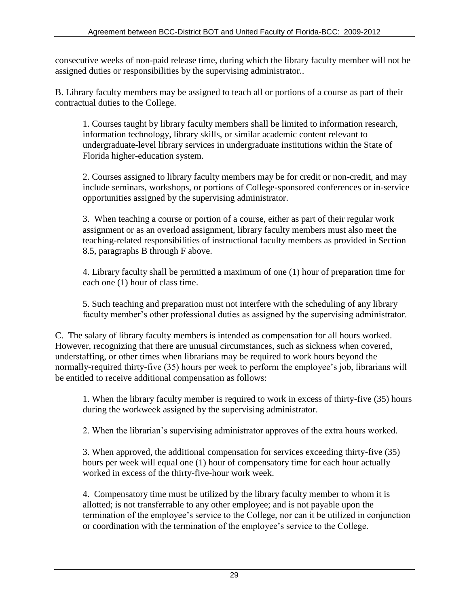consecutive weeks of non-paid release time, during which the library faculty member will not be assigned duties or responsibilities by the supervising administrator..

B. Library faculty members may be assigned to teach all or portions of a course as part of their contractual duties to the College.

1. Courses taught by library faculty members shall be limited to information research, information technology, library skills, or similar academic content relevant to undergraduate-level library services in undergraduate institutions within the State of Florida higher-education system.

2. Courses assigned to library faculty members may be for credit or non-credit, and may include seminars, workshops, or portions of College-sponsored conferences or in-service opportunities assigned by the supervising administrator.

3. When teaching a course or portion of a course, either as part of their regular work assignment or as an overload assignment, library faculty members must also meet the teaching-related responsibilities of instructional faculty members as provided in Section 8.5, paragraphs B through F above.

4. Library faculty shall be permitted a maximum of one (1) hour of preparation time for each one (1) hour of class time.

5. Such teaching and preparation must not interfere with the scheduling of any library faculty member's other professional duties as assigned by the supervising administrator.

C. The salary of library faculty members is intended as compensation for all hours worked. However, recognizing that there are unusual circumstances, such as sickness when covered, understaffing, or other times when librarians may be required to work hours beyond the normally-required thirty-five (35) hours per week to perform the employee's job, librarians will be entitled to receive additional compensation as follows:

1. When the library faculty member is required to work in excess of thirty-five (35) hours during the workweek assigned by the supervising administrator.

2. When the librarian's supervising administrator approves of the extra hours worked.

3. When approved, the additional compensation for services exceeding thirty-five (35) hours per week will equal one (1) hour of compensatory time for each hour actually worked in excess of the thirty-five-hour work week.

4. Compensatory time must be utilized by the library faculty member to whom it is allotted; is not transferrable to any other employee; and is not payable upon the termination of the employee's service to the College, nor can it be utilized in conjunction or coordination with the termination of the employee's service to the College.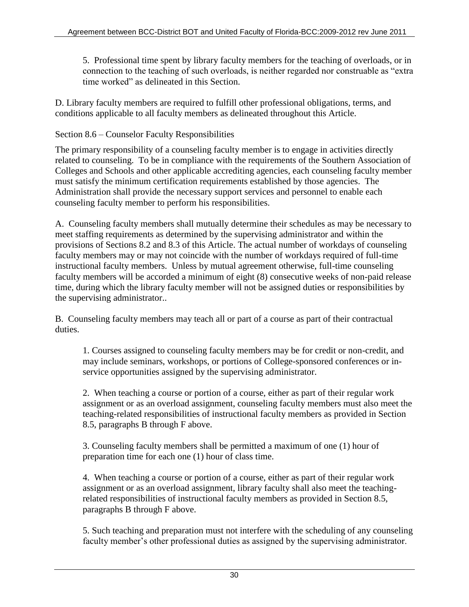5. Professional time spent by library faculty members for the teaching of overloads, or in connection to the teaching of such overloads, is neither regarded nor construable as "extra time worked" as delineated in this Section.

D. Library faculty members are required to fulfill other professional obligations, terms, and conditions applicable to all faculty members as delineated throughout this Article.

## <span id="page-35-0"></span>Section 8.6 – Counselor Faculty Responsibilities

The primary responsibility of a counseling faculty member is to engage in activities directly related to counseling. To be in compliance with the requirements of the Southern Association of Colleges and Schools and other applicable accrediting agencies, each counseling faculty member must satisfy the minimum certification requirements established by those agencies. The Administration shall provide the necessary support services and personnel to enable each counseling faculty member to perform his responsibilities.

A. Counseling faculty members shall mutually determine their schedules as may be necessary to meet staffing requirements as determined by the supervising administrator and within the provisions of Sections 8.2 and 8.3 of this Article. The actual number of workdays of counseling faculty members may or may not coincide with the number of workdays required of full-time instructional faculty members. Unless by mutual agreement otherwise, full-time counseling faculty members will be accorded a minimum of eight (8) consecutive weeks of non-paid release time, during which the library faculty member will not be assigned duties or responsibilities by the supervising administrator..

B. Counseling faculty members may teach all or part of a course as part of their contractual duties.

1. Courses assigned to counseling faculty members may be for credit or non-credit, and may include seminars, workshops, or portions of College-sponsored conferences or inservice opportunities assigned by the supervising administrator.

2. When teaching a course or portion of a course, either as part of their regular work assignment or as an overload assignment, counseling faculty members must also meet the teaching-related responsibilities of instructional faculty members as provided in Section 8.5, paragraphs B through F above.

3. Counseling faculty members shall be permitted a maximum of one (1) hour of preparation time for each one (1) hour of class time.

4. When teaching a course or portion of a course, either as part of their regular work assignment or as an overload assignment, library faculty shall also meet the teachingrelated responsibilities of instructional faculty members as provided in Section 8.5, paragraphs B through F above.

5. Such teaching and preparation must not interfere with the scheduling of any counseling faculty member's other professional duties as assigned by the supervising administrator.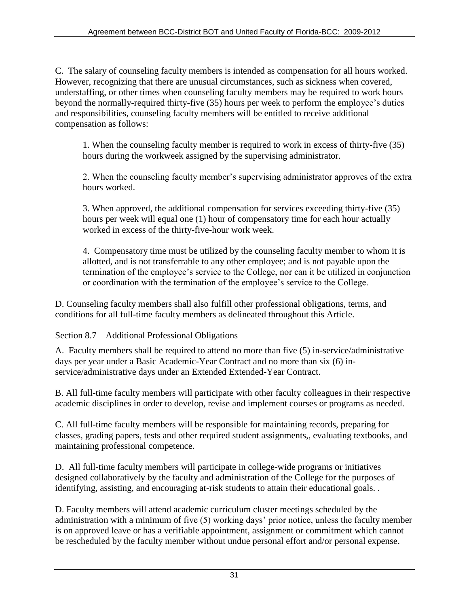C. The salary of counseling faculty members is intended as compensation for all hours worked. However, recognizing that there are unusual circumstances, such as sickness when covered, understaffing, or other times when counseling faculty members may be required to work hours beyond the normally-required thirty-five (35) hours per week to perform the employee's duties and responsibilities, counseling faculty members will be entitled to receive additional compensation as follows:

1. When the counseling faculty member is required to work in excess of thirty-five (35) hours during the workweek assigned by the supervising administrator.

2. When the counseling faculty member's supervising administrator approves of the extra hours worked.

3. When approved, the additional compensation for services exceeding thirty-five (35) hours per week will equal one (1) hour of compensatory time for each hour actually worked in excess of the thirty-five-hour work week.

4. Compensatory time must be utilized by the counseling faculty member to whom it is allotted, and is not transferrable to any other employee; and is not payable upon the termination of the employee's service to the College, nor can it be utilized in conjunction or coordination with the termination of the employee's service to the College.

D. Counseling faculty members shall also fulfill other professional obligations, terms, and conditions for all full-time faculty members as delineated throughout this Article.

Section 8.7 – Additional Professional Obligations

A. Faculty members shall be required to attend no more than five (5) in-service/administrative days per year under a Basic Academic-Year Contract and no more than six (6) inservice/administrative days under an Extended Extended-Year Contract.

B. All full-time faculty members will participate with other faculty colleagues in their respective academic disciplines in order to develop, revise and implement courses or programs as needed.

C. All full-time faculty members will be responsible for maintaining records, preparing for classes, grading papers, tests and other required student assignments,, evaluating textbooks, and maintaining professional competence.

D. All full-time faculty members will participate in college-wide programs or initiatives designed collaboratively by the faculty and administration of the College for the purposes of identifying, assisting, and encouraging at-risk students to attain their educational goals. .

D. Faculty members will attend academic curriculum cluster meetings scheduled by the administration with a minimum of five (5) working days' prior notice, unless the faculty member is on approved leave or has a verifiable appointment, assignment or commitment which cannot be rescheduled by the faculty member without undue personal effort and/or personal expense.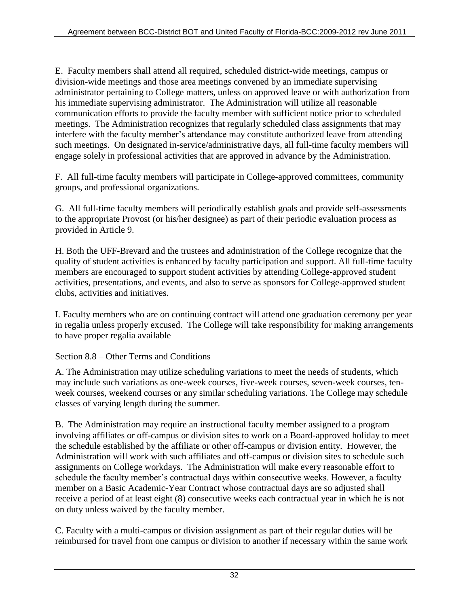E. Faculty members shall attend all required, scheduled district-wide meetings, campus or division-wide meetings and those area meetings convened by an immediate supervising administrator pertaining to College matters, unless on approved leave or with authorization from his immediate supervising administrator. The Administration will utilize all reasonable communication efforts to provide the faculty member with sufficient notice prior to scheduled meetings. The Administration recognizes that regularly scheduled class assignments that may interfere with the faculty member's attendance may constitute authorized leave from attending such meetings. On designated in-service/administrative days, all full-time faculty members will engage solely in professional activities that are approved in advance by the Administration.

F. All full-time faculty members will participate in College-approved committees, community groups, and professional organizations.

G. All full-time faculty members will periodically establish goals and provide self-assessments to the appropriate Provost (or his/her designee) as part of their periodic evaluation process as provided in Article 9.

H. Both the UFF-Brevard and the trustees and administration of the College recognize that the quality of student activities is enhanced by faculty participation and support. All full-time faculty members are encouraged to support student activities by attending College-approved student activities, presentations, and events, and also to serve as sponsors for College-approved student clubs, activities and initiatives.

I. Faculty members who are on continuing contract will attend one graduation ceremony per year in regalia unless properly excused. The College will take responsibility for making arrangements to have proper regalia available

## Section 8.8 – Other Terms and Conditions

A. The Administration may utilize scheduling variations to meet the needs of students, which may include such variations as one-week courses, five-week courses, seven-week courses, tenweek courses, weekend courses or any similar scheduling variations. The College may schedule classes of varying length during the summer.

B. The Administration may require an instructional faculty member assigned to a program involving affiliates or off-campus or division sites to work on a Board-approved holiday to meet the schedule established by the affiliate or other off-campus or division entity. However, the Administration will work with such affiliates and off-campus or division sites to schedule such assignments on College workdays. The Administration will make every reasonable effort to schedule the faculty member's contractual days within consecutive weeks. However, a faculty member on a Basic Academic-Year Contract whose contractual days are so adjusted shall receive a period of at least eight (8) consecutive weeks each contractual year in which he is not on duty unless waived by the faculty member.

C. Faculty with a multi-campus or division assignment as part of their regular duties will be reimbursed for travel from one campus or division to another if necessary within the same work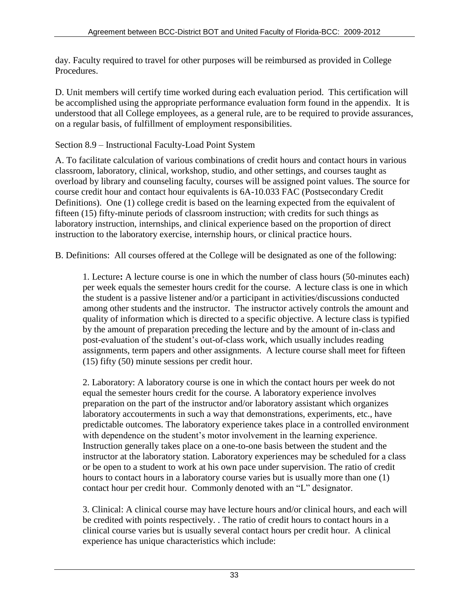day. Faculty required to travel for other purposes will be reimbursed as provided in College Procedures.

D. Unit members will certify time worked during each evaluation period. This certification will be accomplished using the appropriate performance evaluation form found in the appendix. It is understood that all College employees, as a general rule, are to be required to provide assurances, on a regular basis, of fulfillment of employment responsibilities.

### Section 8.9 – Instructional Faculty-Load Point System

A. To facilitate calculation of various combinations of credit hours and contact hours in various classroom, laboratory, clinical, workshop, studio, and other settings, and courses taught as overload by library and counseling faculty, courses will be assigned point values. The source for course credit hour and contact hour equivalents is 6A-10.033 FAC (Postsecondary Credit Definitions). One (1) college credit is based on the learning expected from the equivalent of fifteen (15) fifty-minute periods of classroom instruction; with credits for such things as laboratory instruction, internships, and clinical experience based on the proportion of direct instruction to the laboratory exercise, internship hours, or clinical practice hours.

B. Definitions: All courses offered at the College will be designated as one of the following:

1. Lecture**:** A lecture course is one in which the number of class hours (50-minutes each) per week equals the semester hours credit for the course. A lecture class is one in which the student is a passive listener and/or a participant in activities/discussions conducted among other students and the instructor. The instructor actively controls the amount and quality of information which is directed to a specific objective. A lecture class is typified by the amount of preparation preceding the lecture and by the amount of in-class and post-evaluation of the student's out-of-class work, which usually includes reading assignments, term papers and other assignments. A lecture course shall meet for fifteen (15) fifty (50) minute sessions per credit hour.

2. Laboratory: A laboratory course is one in which the contact hours per week do not equal the semester hours credit for the course. A laboratory experience involves preparation on the part of the instructor and/or laboratory assistant which organizes laboratory accouterments in such a way that demonstrations, experiments, etc., have predictable outcomes. The laboratory experience takes place in a controlled environment with dependence on the student's motor involvement in the learning experience. Instruction generally takes place on a one-to-one basis between the student and the instructor at the laboratory station. Laboratory experiences may be scheduled for a class or be open to a student to work at his own pace under supervision. The ratio of credit hours to contact hours in a laboratory course varies but is usually more than one (1) contact hour per credit hour. Commonly denoted with an "L" designator.

3. Clinical: A clinical course may have lecture hours and/or clinical hours, and each will be credited with points respectively. . The ratio of credit hours to contact hours in a clinical course varies but is usually several contact hours per credit hour. A clinical experience has unique characteristics which include: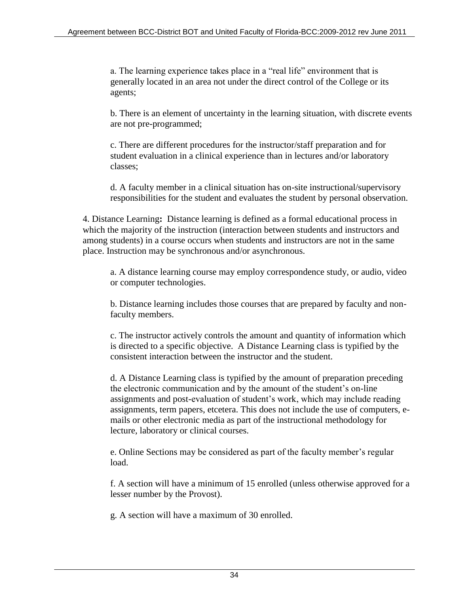a. The learning experience takes place in a "real life" environment that is generally located in an area not under the direct control of the College or its agents;

b. There is an element of uncertainty in the learning situation, with discrete events are not pre-programmed;

c. There are different procedures for the instructor/staff preparation and for student evaluation in a clinical experience than in lectures and/or laboratory classes;

d. A faculty member in a clinical situation has on-site instructional/supervisory responsibilities for the student and evaluates the student by personal observation.

4. Distance Learning**:** Distance learning is defined as a formal educational process in which the majority of the instruction (interaction between students and instructors and among students) in a course occurs when students and instructors are not in the same place. Instruction may be synchronous and/or asynchronous.

a. A distance learning course may employ correspondence study, or audio, video or computer technologies.

b. Distance learning includes those courses that are prepared by faculty and nonfaculty members.

c. The instructor actively controls the amount and quantity of information which is directed to a specific objective. A Distance Learning class is typified by the consistent interaction between the instructor and the student.

d. A Distance Learning class is typified by the amount of preparation preceding the electronic communication and by the amount of the student's on-line assignments and post-evaluation of student's work, which may include reading assignments, term papers, etcetera. This does not include the use of computers, emails or other electronic media as part of the instructional methodology for lecture, laboratory or clinical courses.

e. Online Sections may be considered as part of the faculty member's regular load.

f. A section will have a minimum of 15 enrolled (unless otherwise approved for a lesser number by the Provost).

g. A section will have a maximum of 30 enrolled.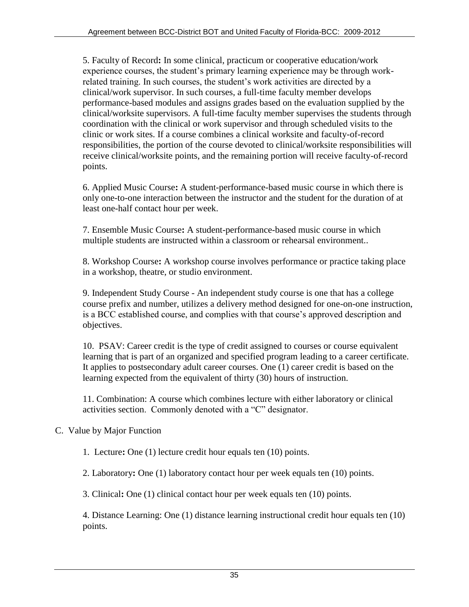5. Faculty of Record**:** In some clinical, practicum or cooperative education/work experience courses, the student's primary learning experience may be through workrelated training. In such courses, the student's work activities are directed by a clinical/work supervisor. In such courses, a full-time faculty member develops performance-based modules and assigns grades based on the evaluation supplied by the clinical/worksite supervisors. A full-time faculty member supervises the students through coordination with the clinical or work supervisor and through scheduled visits to the clinic or work sites. If a course combines a clinical worksite and faculty-of-record responsibilities, the portion of the course devoted to clinical/worksite responsibilities will receive clinical/worksite points, and the remaining portion will receive faculty-of-record points.

6. Applied Music Course**:** A student-performance-based music course in which there is only one-to-one interaction between the instructor and the student for the duration of at least one-half contact hour per week.

7. Ensemble Music Course**:** A student-performance-based music course in which multiple students are instructed within a classroom or rehearsal environment..

8. Workshop Course**:** A workshop course involves performance or practice taking place in a workshop, theatre, or studio environment.

9. Independent Study Course - An independent study course is one that has a college course prefix and number, utilizes a delivery method designed for one-on-one instruction, is a BCC established course, and complies with that course's approved description and objectives.

10. PSAV: Career credit is the type of credit assigned to courses or course equivalent learning that is part of an organized and specified program leading to a career certificate. It applies to postsecondary adult career courses. One (1) career credit is based on the learning expected from the equivalent of thirty (30) hours of instruction.

11. Combination: A course which combines lecture with either laboratory or clinical activities section. Commonly denoted with a "C" designator.

## C. Value by Major Function

1. Lecture**:** One (1) lecture credit hour equals ten (10) points.

2. Laboratory**:** One (1) laboratory contact hour per week equals ten (10) points.

3. Clinical**:** One (1) clinical contact hour per week equals ten (10) points.

4. Distance Learning: One (1) distance learning instructional credit hour equals ten (10) points.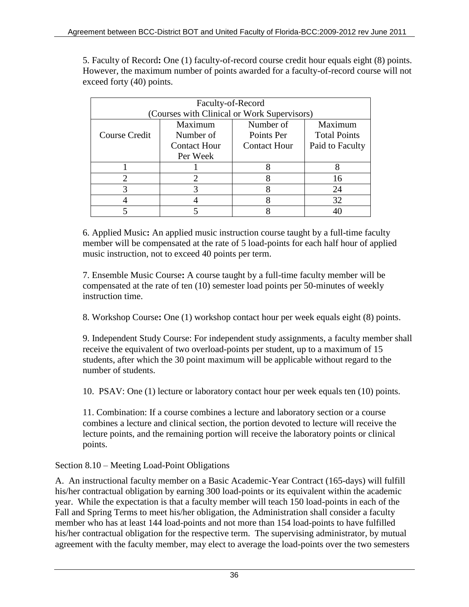5. Faculty of Record**:** One (1) faculty-of-record course credit hour equals eight (8) points. However, the maximum number of points awarded for a faculty-of-record course will not exceed forty (40) points.

| Faculty-of-Record                           |                     |                     |                     |  |
|---------------------------------------------|---------------------|---------------------|---------------------|--|
| (Courses with Clinical or Work Supervisors) |                     |                     |                     |  |
|                                             | Maximum             | Number of           | Maximum             |  |
| Course Credit                               | Number of           | Points Per          | <b>Total Points</b> |  |
|                                             | <b>Contact Hour</b> | <b>Contact Hour</b> | Paid to Faculty     |  |
|                                             | Per Week            |                     |                     |  |
|                                             |                     |                     |                     |  |
|                                             |                     |                     | 16                  |  |
|                                             |                     |                     | 24                  |  |
|                                             |                     |                     | 32                  |  |
|                                             |                     |                     |                     |  |

6. Applied Music**:** An applied music instruction course taught by a full-time faculty member will be compensated at the rate of 5 load-points for each half hour of applied music instruction, not to exceed 40 points per term.

7. Ensemble Music Course**:** A course taught by a full-time faculty member will be compensated at the rate of ten (10) semester load points per 50-minutes of weekly instruction time.

8. Workshop Course**:** One (1) workshop contact hour per week equals eight (8) points.

9. Independent Study Course: For independent study assignments, a faculty member shall receive the equivalent of two overload-points per student, up to a maximum of 15 students, after which the 30 point maximum will be applicable without regard to the number of students.

10. PSAV: One (1) lecture or laboratory contact hour per week equals ten (10) points.

11. Combination: If a course combines a lecture and laboratory section or a course combines a lecture and clinical section, the portion devoted to lecture will receive the lecture points, and the remaining portion will receive the laboratory points or clinical points.

## Section 8.10 – Meeting Load-Point Obligations

A. An instructional faculty member on a Basic Academic-Year Contract (165-days) will fulfill his/her contractual obligation by earning 300 load-points or its equivalent within the academic year. While the expectation is that a faculty member will teach 150 load-points in each of the Fall and Spring Terms to meet his/her obligation, the Administration shall consider a faculty member who has at least 144 load-points and not more than 154 load-points to have fulfilled his/her contractual obligation for the respective term. The supervising administrator, by mutual agreement with the faculty member, may elect to average the load-points over the two semesters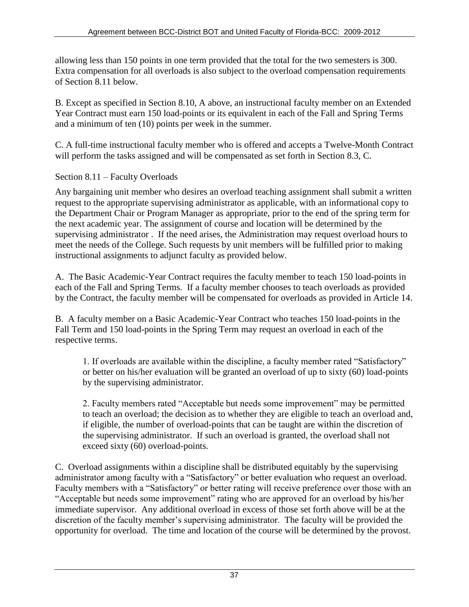allowing less than 150 points in one term provided that the total for the two semesters is 300. Extra compensation for all overloads is also subject to the overload compensation requirements of Section 8.11 below.

B. Except as specified in Section 8.10, A above, an instructional faculty member on an Extended Year Contract must earn 150 load-points or its equivalent in each of the Fall and Spring Terms and a minimum of ten (10) points per week in the summer.

C. A full-time instructional faculty member who is offered and accepts a Twelve-Month Contract will perform the tasks assigned and will be compensated as set forth in Section 8.3, C.

Section 8.11 – Faculty Overloads

Any bargaining unit member who desires an overload teaching assignment shall submit a written request to the appropriate supervising administrator as applicable, with an informational copy to the Department Chair or Program Manager as appropriate, prior to the end of the spring term for the next academic year. The assignment of course and location will be determined by the supervising administrator . If the need arises, the Administration may request overload hours to meet the needs of the College. Such requests by unit members will be fulfilled prior to making instructional assignments to adjunct faculty as provided below.

A. The Basic Academic-Year Contract requires the faculty member to teach 150 load-points in each of the Fall and Spring Terms. If a faculty member chooses to teach overloads as provided by the Contract, the faculty member will be compensated for overloads as provided in Article 14.

B. A faculty member on a Basic Academic-Year Contract who teaches 150 load-points in the Fall Term and 150 load-points in the Spring Term may request an overload in each of the respective terms.

1. If overloads are available within the discipline, a faculty member rated "Satisfactory" or better on his/her evaluation will be granted an overload of up to sixty (60) load-points by the supervising administrator.

2. Faculty members rated "Acceptable but needs some improvement" may be permitted to teach an overload; the decision as to whether they are eligible to teach an overload and, if eligible, the number of overload-points that can be taught are within the discretion of the supervising administrator. If such an overload is granted, the overload shall not exceed sixty (60) overload-points.

C. Overload assignments within a discipline shall be distributed equitably by the supervising administrator among faculty with a "Satisfactory" or better evaluation who request an overload. Faculty members with a "Satisfactory" or better rating will receive preference over those with an "Acceptable but needs some improvement" rating who are approved for an overload by his/her immediate supervisor. Any additional overload in excess of those set forth above will be at the discretion of the faculty member's supervising administrator. The faculty will be provided the opportunity for overload. The time and location of the course will be determined by the provost.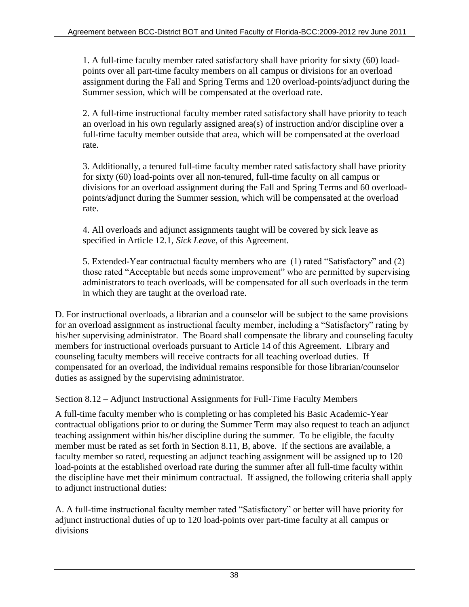1. A full-time faculty member rated satisfactory shall have priority for sixty (60) loadpoints over all part-time faculty members on all campus or divisions for an overload assignment during the Fall and Spring Terms and 120 overload-points/adjunct during the Summer session, which will be compensated at the overload rate.

2. A full-time instructional faculty member rated satisfactory shall have priority to teach an overload in his own regularly assigned area(s) of instruction and/or discipline over a full-time faculty member outside that area, which will be compensated at the overload rate.

3. Additionally, a tenured full-time faculty member rated satisfactory shall have priority for sixty (60) load-points over all non-tenured, full-time faculty on all campus or divisions for an overload assignment during the Fall and Spring Terms and 60 overloadpoints/adjunct during the Summer session, which will be compensated at the overload rate.

4. All overloads and adjunct assignments taught will be covered by sick leave as specified in Article 12.1, *Sick Leave*, of this Agreement.

5. Extended-Year contractual faculty members who are (1) rated "Satisfactory" and (2) those rated "Acceptable but needs some improvement" who are permitted by supervising administrators to teach overloads, will be compensated for all such overloads in the term in which they are taught at the overload rate.

D. For instructional overloads, a librarian and a counselor will be subject to the same provisions for an overload assignment as instructional faculty member, including a "Satisfactory" rating by his/her supervising administrator. The Board shall compensate the library and counseling faculty members for instructional overloads pursuant to Article 14 of this Agreement. Library and counseling faculty members will receive contracts for all teaching overload duties. If compensated for an overload, the individual remains responsible for those librarian/counselor duties as assigned by the supervising administrator.

Section 8.12 – Adjunct Instructional Assignments for Full-Time Faculty Members

A full-time faculty member who is completing or has completed his Basic Academic-Year contractual obligations prior to or during the Summer Term may also request to teach an adjunct teaching assignment within his/her discipline during the summer. To be eligible, the faculty member must be rated as set forth in Section 8.11, B, above. If the sections are available, a faculty member so rated, requesting an adjunct teaching assignment will be assigned up to 120 load-points at the established overload rate during the summer after all full-time faculty within the discipline have met their minimum contractual. If assigned, the following criteria shall apply to adjunct instructional duties:

A. A full-time instructional faculty member rated "Satisfactory" or better will have priority for adjunct instructional duties of up to 120 load-points over part-time faculty at all campus or divisions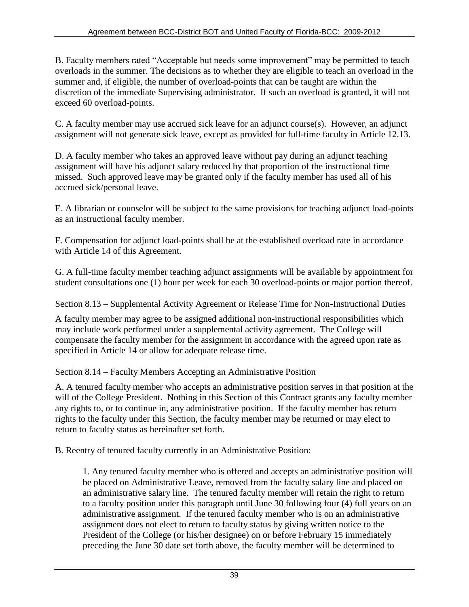B. Faculty members rated "Acceptable but needs some improvement" may be permitted to teach overloads in the summer. The decisions as to whether they are eligible to teach an overload in the summer and, if eligible, the number of overload-points that can be taught are within the discretion of the immediate Supervising administrator. If such an overload is granted, it will not exceed 60 overload-points.

C. A faculty member may use accrued sick leave for an adjunct course(s). However, an adjunct assignment will not generate sick leave, except as provided for full-time faculty in Article 12.13.

D. A faculty member who takes an approved leave without pay during an adjunct teaching assignment will have his adjunct salary reduced by that proportion of the instructional time missed. Such approved leave may be granted only if the faculty member has used all of his accrued sick/personal leave.

E. A librarian or counselor will be subject to the same provisions for teaching adjunct load-points as an instructional faculty member.

F. Compensation for adjunct load-points shall be at the established overload rate in accordance with Article 14 of this Agreement.

G. A full-time faculty member teaching adjunct assignments will be available by appointment for student consultations one (1) hour per week for each 30 overload-points or major portion thereof.

Section 8.13 – Supplemental Activity Agreement or Release Time for Non-Instructional Duties

A faculty member may agree to be assigned additional non-instructional responsibilities which may include work performed under a supplemental activity agreement. The College will compensate the faculty member for the assignment in accordance with the agreed upon rate as specified in Article 14 or allow for adequate release time.

Section 8.14 – Faculty Members Accepting an Administrative Position

A. A tenured faculty member who accepts an administrative position serves in that position at the will of the College President. Nothing in this Section of this Contract grants any faculty member any rights to, or to continue in, any administrative position. If the faculty member has return rights to the faculty under this Section, the faculty member may be returned or may elect to return to faculty status as hereinafter set forth.

B. Reentry of tenured faculty currently in an Administrative Position:

1. Any tenured faculty member who is offered and accepts an administrative position will be placed on Administrative Leave, removed from the faculty salary line and placed on an administrative salary line. The tenured faculty member will retain the right to return to a faculty position under this paragraph until June 30 following four (4) full years on an administrative assignment. If the tenured faculty member who is on an administrative assignment does not elect to return to faculty status by giving written notice to the President of the College (or his/her designee) on or before February 15 immediately preceding the June 30 date set forth above, the faculty member will be determined to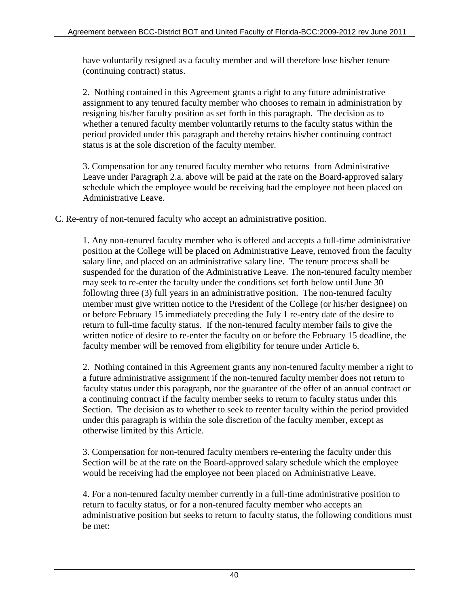have voluntarily resigned as a faculty member and will therefore lose his/her tenure (continuing contract) status.

2. Nothing contained in this Agreement grants a right to any future administrative assignment to any tenured faculty member who chooses to remain in administration by resigning his/her faculty position as set forth in this paragraph. The decision as to whether a tenured faculty member voluntarily returns to the faculty status within the period provided under this paragraph and thereby retains his/her continuing contract status is at the sole discretion of the faculty member.

3. Compensation for any tenured faculty member who returns from Administrative Leave under Paragraph 2.a. above will be paid at the rate on the Board-approved salary schedule which the employee would be receiving had the employee not been placed on Administrative Leave.

C. Re-entry of non-tenured faculty who accept an administrative position.

1. Any non-tenured faculty member who is offered and accepts a full-time administrative position at the College will be placed on Administrative Leave, removed from the faculty salary line, and placed on an administrative salary line. The tenure process shall be suspended for the duration of the Administrative Leave. The non-tenured faculty member may seek to re-enter the faculty under the conditions set forth below until June 30 following three (3) full years in an administrative position. The non-tenured faculty member must give written notice to the President of the College (or his/her designee) on or before February 15 immediately preceding the July 1 re-entry date of the desire to return to full-time faculty status. If the non-tenured faculty member fails to give the written notice of desire to re-enter the faculty on or before the February 15 deadline, the faculty member will be removed from eligibility for tenure under Article 6.

2. Nothing contained in this Agreement grants any non-tenured faculty member a right to a future administrative assignment if the non-tenured faculty member does not return to faculty status under this paragraph, nor the guarantee of the offer of an annual contract or a continuing contract if the faculty member seeks to return to faculty status under this Section. The decision as to whether to seek to reenter faculty within the period provided under this paragraph is within the sole discretion of the faculty member, except as otherwise limited by this Article.

3. Compensation for non-tenured faculty members re-entering the faculty under this Section will be at the rate on the Board-approved salary schedule which the employee would be receiving had the employee not been placed on Administrative Leave.

4. For a non-tenured faculty member currently in a full-time administrative position to return to faculty status, or for a non-tenured faculty member who accepts an administrative position but seeks to return to faculty status, the following conditions must be met: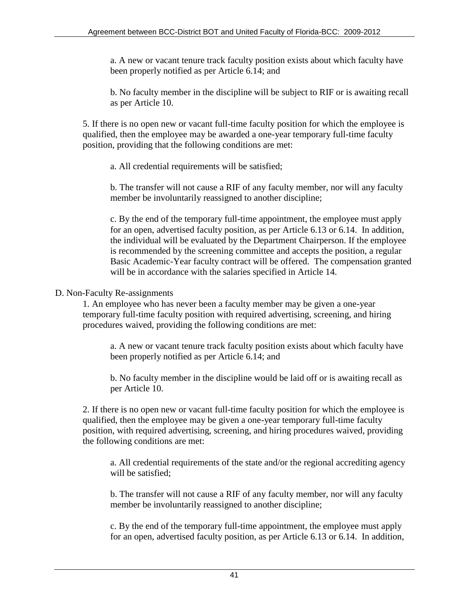a. A new or vacant tenure track faculty position exists about which faculty have been properly notified as per Article 6.14; and

b. No faculty member in the discipline will be subject to RIF or is awaiting recall as per Article 10.

5. If there is no open new or vacant full-time faculty position for which the employee is qualified, then the employee may be awarded a one-year temporary full-time faculty position, providing that the following conditions are met:

a. All credential requirements will be satisfied;

b. The transfer will not cause a RIF of any faculty member, nor will any faculty member be involuntarily reassigned to another discipline;

c. By the end of the temporary full-time appointment, the employee must apply for an open, advertised faculty position, as per Article 6.13 or 6.14. In addition, the individual will be evaluated by the Department Chairperson. If the employee is recommended by the screening committee and accepts the position, a regular Basic Academic-Year faculty contract will be offered. The compensation granted will be in accordance with the salaries specified in Article 14.

### D. Non-Faculty Re-assignments

1. An employee who has never been a faculty member may be given a one-year temporary full-time faculty position with required advertising, screening, and hiring procedures waived, providing the following conditions are met:

a. A new or vacant tenure track faculty position exists about which faculty have been properly notified as per Article 6.14; and

b. No faculty member in the discipline would be laid off or is awaiting recall as per Article 10.

2. If there is no open new or vacant full-time faculty position for which the employee is qualified, then the employee may be given a one-year temporary full-time faculty position, with required advertising, screening, and hiring procedures waived, providing the following conditions are met:

a. All credential requirements of the state and/or the regional accrediting agency will be satisfied:

b. The transfer will not cause a RIF of any faculty member, nor will any faculty member be involuntarily reassigned to another discipline;

c. By the end of the temporary full-time appointment, the employee must apply for an open, advertised faculty position, as per Article 6.13 or 6.14. In addition,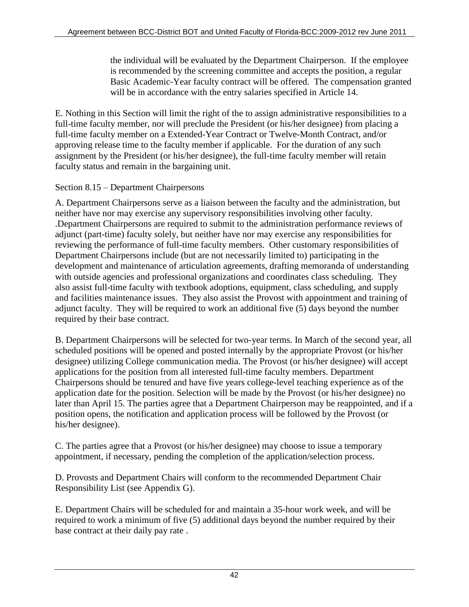the individual will be evaluated by the Department Chairperson. If the employee is recommended by the screening committee and accepts the position, a regular Basic Academic-Year faculty contract will be offered. The compensation granted will be in accordance with the entry salaries specified in Article 14.

E. Nothing in this Section will limit the right of the to assign administrative responsibilities to a full-time faculty member, nor will preclude the President (or his/her designee) from placing a full-time faculty member on a Extended-Year Contract or Twelve-Month Contract, and/or approving release time to the faculty member if applicable. For the duration of any such assignment by the President (or his/her designee), the full-time faculty member will retain faculty status and remain in the bargaining unit.

Section 8.15 – Department Chairpersons

A. Department Chairpersons serve as a liaison between the faculty and the administration, but neither have nor may exercise any supervisory responsibilities involving other faculty. .Department Chairpersons are required to submit to the administration performance reviews of adjunct (part-time) faculty solely, but neither have nor may exercise any responsibilities for reviewing the performance of full-time faculty members. Other customary responsibilities of Department Chairpersons include (but are not necessarily limited to) participating in the development and maintenance of articulation agreements, drafting memoranda of understanding with outside agencies and professional organizations and coordinates class scheduling. They also assist full-time faculty with textbook adoptions, equipment, class scheduling, and supply and facilities maintenance issues. They also assist the Provost with appointment and training of adjunct faculty. They will be required to work an additional five (5) days beyond the number required by their base contract.

B. Department Chairpersons will be selected for two-year terms. In March of the second year, all scheduled positions will be opened and posted internally by the appropriate Provost (or his/her designee) utilizing College communication media. The Provost (or his/her designee) will accept applications for the position from all interested full-time faculty members. Department Chairpersons should be tenured and have five years college-level teaching experience as of the application date for the position. Selection will be made by the Provost (or his/her designee) no later than April 15. The parties agree that a Department Chairperson may be reappointed, and if a position opens, the notification and application process will be followed by the Provost (or his/her designee).

C. The parties agree that a Provost (or his/her designee) may choose to issue a temporary appointment, if necessary, pending the completion of the application/selection process.

D. Provosts and Department Chairs will conform to the recommended Department Chair Responsibility List (see Appendix G).

E. Department Chairs will be scheduled for and maintain a 35-hour work week, and will be required to work a minimum of five (5) additional days beyond the number required by their base contract at their daily pay rate .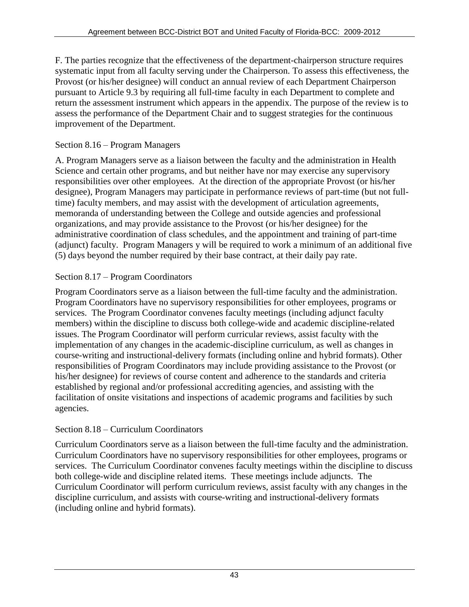F. The parties recognize that the effectiveness of the department-chairperson structure requires systematic input from all faculty serving under the Chairperson. To assess this effectiveness, the Provost (or his/her designee) will conduct an annual review of each Department Chairperson pursuant to Article 9.3 by requiring all full-time faculty in each Department to complete and return the assessment instrument which appears in the appendix. The purpose of the review is to assess the performance of the Department Chair and to suggest strategies for the continuous improvement of the Department.

### Section 8.16 – Program Managers

A. Program Managers serve as a liaison between the faculty and the administration in Health Science and certain other programs, and but neither have nor may exercise any supervisory responsibilities over other employees. At the direction of the appropriate Provost (or his/her designee), Program Managers may participate in performance reviews of part-time (but not fulltime) faculty members, and may assist with the development of articulation agreements, memoranda of understanding between the College and outside agencies and professional organizations, and may provide assistance to the Provost (or his/her designee) for the administrative coordination of class schedules, and the appointment and training of part-time (adjunct) faculty. Program Managers y will be required to work a minimum of an additional five (5) days beyond the number required by their base contract, at their daily pay rate.

### Section 8.17 – Program Coordinators

Program Coordinators serve as a liaison between the full-time faculty and the administration. Program Coordinators have no supervisory responsibilities for other employees, programs or services. The Program Coordinator convenes faculty meetings (including adjunct faculty members) within the discipline to discuss both college-wide and academic discipline-related issues. The Program Coordinator will perform curricular reviews, assist faculty with the implementation of any changes in the academic-discipline curriculum, as well as changes in course-writing and instructional-delivery formats (including online and hybrid formats). Other responsibilities of Program Coordinators may include providing assistance to the Provost (or his/her designee) for reviews of course content and adherence to the standards and criteria established by regional and/or professional accrediting agencies, and assisting with the facilitation of onsite visitations and inspections of academic programs and facilities by such agencies.

### Section 8.18 – Curriculum Coordinators

Curriculum Coordinators serve as a liaison between the full-time faculty and the administration. Curriculum Coordinators have no supervisory responsibilities for other employees, programs or services. The Curriculum Coordinator convenes faculty meetings within the discipline to discuss both college-wide and discipline related items. These meetings include adjuncts. The Curriculum Coordinator will perform curriculum reviews, assist faculty with any changes in the discipline curriculum, and assists with course-writing and instructional-delivery formats (including online and hybrid formats).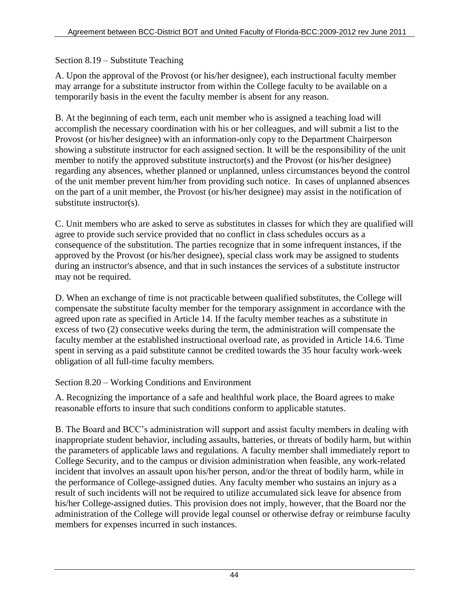Section 8.19 – Substitute Teaching

A. Upon the approval of the Provost (or his/her designee), each instructional faculty member may arrange for a substitute instructor from within the College faculty to be available on a temporarily basis in the event the faculty member is absent for any reason.

B. At the beginning of each term, each unit member who is assigned a teaching load will accomplish the necessary coordination with his or her colleagues, and will submit a list to the Provost (or his/her designee) with an information-only copy to the Department Chairperson showing a substitute instructor for each assigned section. It will be the responsibility of the unit member to notify the approved substitute instructor(s) and the Provost (or his/her designee) regarding any absences, whether planned or unplanned, unless circumstances beyond the control of the unit member prevent him/her from providing such notice. In cases of unplanned absences on the part of a unit member, the Provost (or his/her designee) may assist in the notification of substitute instructor(s).

C. Unit members who are asked to serve as substitutes in classes for which they are qualified will agree to provide such service provided that no conflict in class schedules occurs as a consequence of the substitution. The parties recognize that in some infrequent instances, if the approved by the Provost (or his/her designee), special class work may be assigned to students during an instructor's absence, and that in such instances the services of a substitute instructor may not be required.

D. When an exchange of time is not practicable between qualified substitutes, the College will compensate the substitute faculty member for the temporary assignment in accordance with the agreed upon rate as specified in Article 14. If the faculty member teaches as a substitute in excess of two (2) consecutive weeks during the term, the administration will compensate the faculty member at the established instructional overload rate, as provided in Article 14.6. Time spent in serving as a paid substitute cannot be credited towards the 35 hour faculty work-week obligation of all full-time faculty members.

Section 8.20 – Working Conditions and Environment

A. Recognizing the importance of a safe and healthful work place, the Board agrees to make reasonable efforts to insure that such conditions conform to applicable statutes.

B. The Board and BCC's administration will support and assist faculty members in dealing with inappropriate student behavior, including assaults, batteries, or threats of bodily harm, but within the parameters of applicable laws and regulations. A faculty member shall immediately report to College Security, and to the campus or division administration when feasible, any work-related incident that involves an assault upon his/her person, and/or the threat of bodily harm, while in the performance of College-assigned duties. Any faculty member who sustains an injury as a result of such incidents will not be required to utilize accumulated sick leave for absence from his/her College-assigned duties. This provision does not imply, however, that the Board nor the administration of the College will provide legal counsel or otherwise defray or reimburse faculty members for expenses incurred in such instances.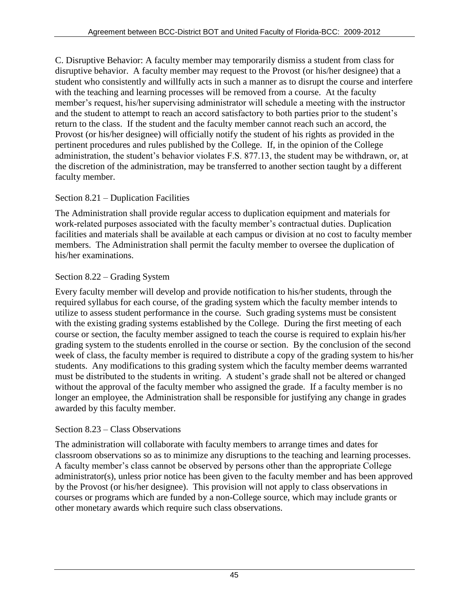C. Disruptive Behavior: A faculty member may temporarily dismiss a student from class for disruptive behavior. A faculty member may request to the Provost (or his/her designee) that a student who consistently and willfully acts in such a manner as to disrupt the course and interfere with the teaching and learning processes will be removed from a course. At the faculty member's request, his/her supervising administrator will schedule a meeting with the instructor and the student to attempt to reach an accord satisfactory to both parties prior to the student's return to the class. If the student and the faculty member cannot reach such an accord, the Provost (or his/her designee) will officially notify the student of his rights as provided in the pertinent procedures and rules published by the College. If, in the opinion of the College administration, the student's behavior violates F.S. 877.13, the student may be withdrawn, or, at the discretion of the administration, may be transferred to another section taught by a different faculty member.

## Section 8.21 – Duplication Facilities

The Administration shall provide regular access to duplication equipment and materials for work-related purposes associated with the faculty member's contractual duties. Duplication facilities and materials shall be available at each campus or division at no cost to faculty member members. The Administration shall permit the faculty member to oversee the duplication of his/her examinations.

### Section 8.22 – Grading System

Every faculty member will develop and provide notification to his/her students, through the required syllabus for each course, of the grading system which the faculty member intends to utilize to assess student performance in the course. Such grading systems must be consistent with the existing grading systems established by the College. During the first meeting of each course or section, the faculty member assigned to teach the course is required to explain his/her grading system to the students enrolled in the course or section. By the conclusion of the second week of class, the faculty member is required to distribute a copy of the grading system to his/her students. Any modifications to this grading system which the faculty member deems warranted must be distributed to the students in writing. A student's grade shall not be altered or changed without the approval of the faculty member who assigned the grade. If a faculty member is no longer an employee, the Administration shall be responsible for justifying any change in grades awarded by this faculty member.

### Section 8.23 – Class Observations

The administration will collaborate with faculty members to arrange times and dates for classroom observations so as to minimize any disruptions to the teaching and learning processes. A faculty member's class cannot be observed by persons other than the appropriate College administrator(s), unless prior notice has been given to the faculty member and has been approved by the Provost (or his/her designee). This provision will not apply to class observations in courses or programs which are funded by a non-College source, which may include grants or other monetary awards which require such class observations.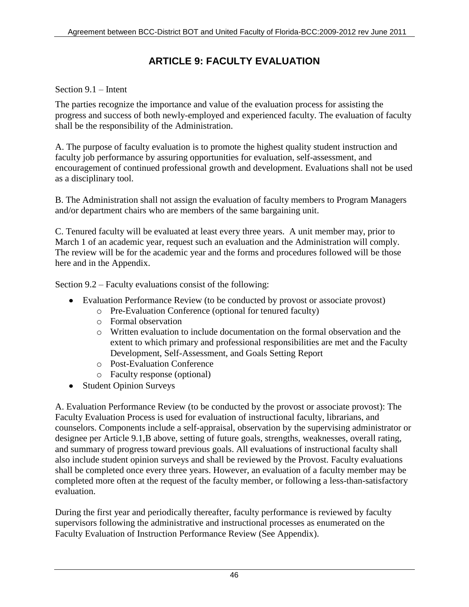# **ARTICLE 9: FACULTY EVALUATION**

### Section 9.1 – Intent

The parties recognize the importance and value of the evaluation process for assisting the progress and success of both newly-employed and experienced faculty. The evaluation of faculty shall be the responsibility of the Administration.

A. The purpose of faculty evaluation is to promote the highest quality student instruction and faculty job performance by assuring opportunities for evaluation, self-assessment, and encouragement of continued professional growth and development. Evaluations shall not be used as a disciplinary tool.

B. The Administration shall not assign the evaluation of faculty members to Program Managers and/or department chairs who are members of the same bargaining unit.

C. Tenured faculty will be evaluated at least every three years. A unit member may, prior to March 1 of an academic year, request such an evaluation and the Administration will comply. The review will be for the academic year and the forms and procedures followed will be those here and in the Appendix.

Section 9.2 – Faculty evaluations consist of the following:

- Evaluation Performance Review (to be conducted by provost or associate provost)
	- o Pre-Evaluation Conference (optional for tenured faculty)
	- o Formal observation
	- o Written evaluation to include documentation on the formal observation and the extent to which primary and professional responsibilities are met and the Faculty Development, Self-Assessment, and Goals Setting Report
	- o Post-Evaluation Conference
	- o Faculty response (optional)
- Student Opinion Surveys

A. Evaluation Performance Review (to be conducted by the provost or associate provost): The Faculty Evaluation Process is used for evaluation of instructional faculty, librarians, and counselors. Components include a self-appraisal, observation by the supervising administrator or designee per Article 9.1,B above, setting of future goals, strengths, weaknesses, overall rating, and summary of progress toward previous goals. All evaluations of instructional faculty shall also include student opinion surveys and shall be reviewed by the Provost. Faculty evaluations shall be completed once every three years. However, an evaluation of a faculty member may be completed more often at the request of the faculty member, or following a less-than-satisfactory evaluation.

During the first year and periodically thereafter, faculty performance is reviewed by faculty supervisors following the administrative and instructional processes as enumerated on the Faculty Evaluation of Instruction Performance Review (See Appendix).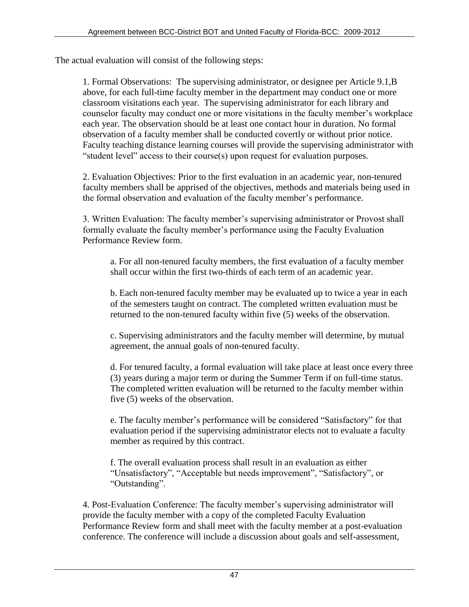The actual evaluation will consist of the following steps:

1. Formal Observations: The supervising administrator, or designee per Article 9.1,B above, for each full-time faculty member in the department may conduct one or more classroom visitations each year. The supervising administrator for each library and counselor faculty may conduct one or more visitations in the faculty member's workplace each year. The observation should be at least one contact hour in duration. No formal observation of a faculty member shall be conducted covertly or without prior notice. Faculty teaching distance learning courses will provide the supervising administrator with "student level" access to their course(s) upon request for evaluation purposes.

2. Evaluation Objectives: Prior to the first evaluation in an academic year, non-tenured faculty members shall be apprised of the objectives, methods and materials being used in the formal observation and evaluation of the faculty member's performance.

3. Written Evaluation: The faculty member's supervising administrator or Provost shall formally evaluate the faculty member's performance using the Faculty Evaluation Performance Review form.

a. For all non-tenured faculty members, the first evaluation of a faculty member shall occur within the first two-thirds of each term of an academic year.

b. Each non-tenured faculty member may be evaluated up to twice a year in each of the semesters taught on contract. The completed written evaluation must be returned to the non-tenured faculty within five (5) weeks of the observation.

c. Supervising administrators and the faculty member will determine, by mutual agreement, the annual goals of non-tenured faculty.

d. For tenured faculty, a formal evaluation will take place at least once every three (3) years during a major term or during the Summer Term if on full-time status. The completed written evaluation will be returned to the faculty member within five (5) weeks of the observation.

e. The faculty member's performance will be considered "Satisfactory" for that evaluation period if the supervising administrator elects not to evaluate a faculty member as required by this contract.

f. The overall evaluation process shall result in an evaluation as either "Unsatisfactory", "Acceptable but needs improvement", "Satisfactory", or "Outstanding".

4. Post-Evaluation Conference: The faculty member's supervising administrator will provide the faculty member with a copy of the completed Faculty Evaluation Performance Review form and shall meet with the faculty member at a post-evaluation conference. The conference will include a discussion about goals and self-assessment,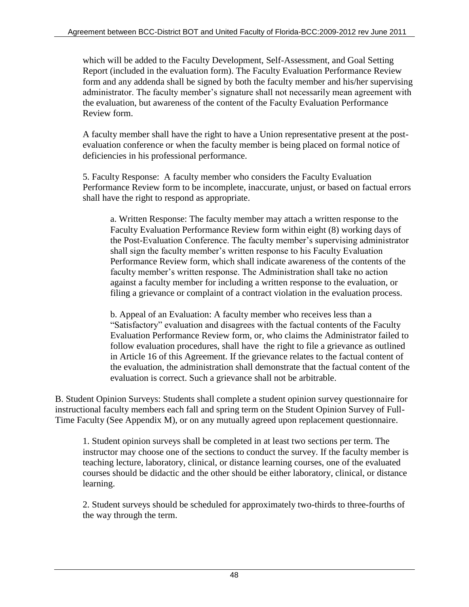which will be added to the Faculty Development, Self-Assessment, and Goal Setting Report (included in the evaluation form). The Faculty Evaluation Performance Review form and any addenda shall be signed by both the faculty member and his/her supervising administrator. The faculty member's signature shall not necessarily mean agreement with the evaluation, but awareness of the content of the Faculty Evaluation Performance Review form.

A faculty member shall have the right to have a Union representative present at the postevaluation conference or when the faculty member is being placed on formal notice of deficiencies in his professional performance.

5. Faculty Response: A faculty member who considers the Faculty Evaluation Performance Review form to be incomplete, inaccurate, unjust, or based on factual errors shall have the right to respond as appropriate.

a. Written Response: The faculty member may attach a written response to the Faculty Evaluation Performance Review form within eight (8) working days of the Post-Evaluation Conference. The faculty member's supervising administrator shall sign the faculty member's written response to his Faculty Evaluation Performance Review form, which shall indicate awareness of the contents of the faculty member's written response. The Administration shall take no action against a faculty member for including a written response to the evaluation, or filing a grievance or complaint of a contract violation in the evaluation process.

b. Appeal of an Evaluation: A faculty member who receives less than a "Satisfactory" evaluation and disagrees with the factual contents of the Faculty Evaluation Performance Review form, or, who claims the Administrator failed to follow evaluation procedures, shall have the right to file a grievance as outlined in Article 16 of this Agreement. If the grievance relates to the factual content of the evaluation, the administration shall demonstrate that the factual content of the evaluation is correct. Such a grievance shall not be arbitrable.

B. Student Opinion Surveys: Students shall complete a student opinion survey questionnaire for instructional faculty members each fall and spring term on the Student Opinion Survey of Full-Time Faculty (See Appendix M), or on any mutually agreed upon replacement questionnaire.

1. Student opinion surveys shall be completed in at least two sections per term. The instructor may choose one of the sections to conduct the survey. If the faculty member is teaching lecture, laboratory, clinical, or distance learning courses, one of the evaluated courses should be didactic and the other should be either laboratory, clinical, or distance learning.

2. Student surveys should be scheduled for approximately two-thirds to three-fourths of the way through the term.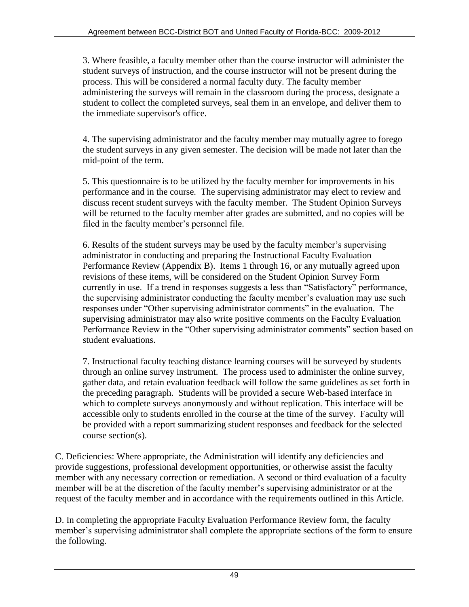3. Where feasible, a faculty member other than the course instructor will administer the student surveys of instruction, and the course instructor will not be present during the process. This will be considered a normal faculty duty. The faculty member administering the surveys will remain in the classroom during the process, designate a student to collect the completed surveys, seal them in an envelope, and deliver them to the immediate supervisor's office.

4. The supervising administrator and the faculty member may mutually agree to forego the student surveys in any given semester. The decision will be made not later than the mid-point of the term.

5. This questionnaire is to be utilized by the faculty member for improvements in his performance and in the course. The supervising administrator may elect to review and discuss recent student surveys with the faculty member. The Student Opinion Surveys will be returned to the faculty member after grades are submitted, and no copies will be filed in the faculty member's personnel file.

6. Results of the student surveys may be used by the faculty member's supervising administrator in conducting and preparing the Instructional Faculty Evaluation Performance Review (Appendix B). Items 1 through 16, or any mutually agreed upon revisions of these items, will be considered on the Student Opinion Survey Form currently in use. If a trend in responses suggests a less than "Satisfactory" performance, the supervising administrator conducting the faculty member's evaluation may use such responses under "Other supervising administrator comments" in the evaluation. The supervising administrator may also write positive comments on the Faculty Evaluation Performance Review in the "Other supervising administrator comments" section based on student evaluations.

7. Instructional faculty teaching distance learning courses will be surveyed by students through an online survey instrument. The process used to administer the online survey, gather data, and retain evaluation feedback will follow the same guidelines as set forth in the preceding paragraph. Students will be provided a secure Web-based interface in which to complete surveys anonymously and without replication. This interface will be accessible only to students enrolled in the course at the time of the survey. Faculty will be provided with a report summarizing student responses and feedback for the selected course section(s).

C. Deficiencies: Where appropriate, the Administration will identify any deficiencies and provide suggestions, professional development opportunities, or otherwise assist the faculty member with any necessary correction or remediation. A second or third evaluation of a faculty member will be at the discretion of the faculty member's supervising administrator or at the request of the faculty member and in accordance with the requirements outlined in this Article.

D. In completing the appropriate Faculty Evaluation Performance Review form, the faculty member's supervising administrator shall complete the appropriate sections of the form to ensure the following.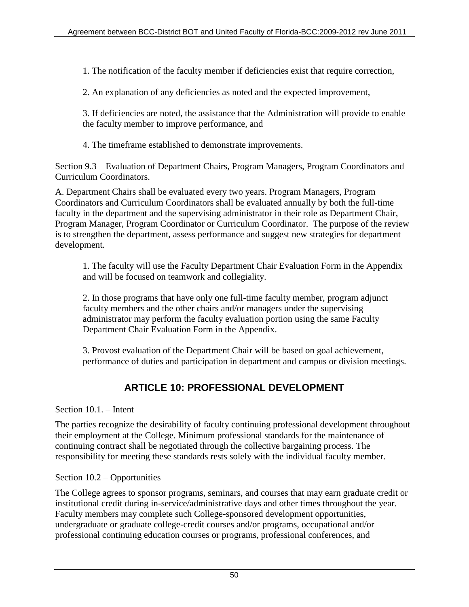1. The notification of the faculty member if deficiencies exist that require correction,

2. An explanation of any deficiencies as noted and the expected improvement,

3. If deficiencies are noted, the assistance that the Administration will provide to enable the faculty member to improve performance, and

4. The timeframe established to demonstrate improvements.

Section 9.3 – Evaluation of Department Chairs, Program Managers, Program Coordinators and Curriculum Coordinators.

A. Department Chairs shall be evaluated every two years. Program Managers, Program Coordinators and Curriculum Coordinators shall be evaluated annually by both the full-time faculty in the department and the supervising administrator in their role as Department Chair, Program Manager, Program Coordinator or Curriculum Coordinator. The purpose of the review is to strengthen the department, assess performance and suggest new strategies for department development.

1. The faculty will use the Faculty Department Chair Evaluation Form in the Appendix and will be focused on teamwork and collegiality.

2. In those programs that have only one full-time faculty member, program adjunct faculty members and the other chairs and/or managers under the supervising administrator may perform the faculty evaluation portion using the same Faculty Department Chair Evaluation Form in the Appendix.

3. Provost evaluation of the Department Chair will be based on goal achievement, performance of duties and participation in department and campus or division meetings.

# **ARTICLE 10: PROFESSIONAL DEVELOPMENT**

Section 10.1. – Intent

The parties recognize the desirability of faculty continuing professional development throughout their employment at the College. Minimum professional standards for the maintenance of continuing contract shall be negotiated through the collective bargaining process. The responsibility for meeting these standards rests solely with the individual faculty member.

### Section 10.2 – Opportunities

The College agrees to sponsor programs, seminars, and courses that may earn graduate credit or institutional credit during in-service/administrative days and other times throughout the year. Faculty members may complete such College-sponsored development opportunities, undergraduate or graduate college-credit courses and/or programs, occupational and/or professional continuing education courses or programs, professional conferences, and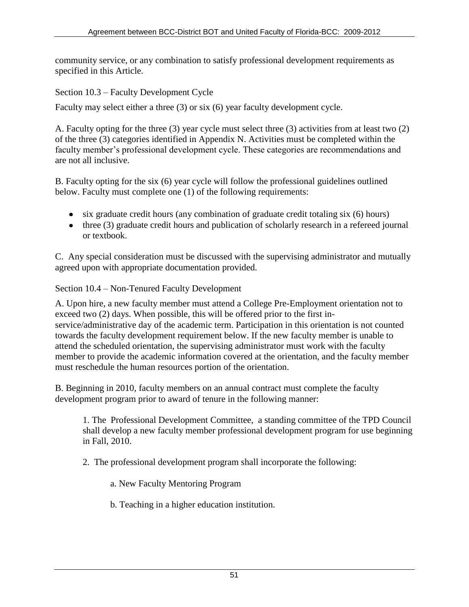community service, or any combination to satisfy professional development requirements as specified in this Article.

Section 10.3 – Faculty Development Cycle

Faculty may select either a three (3) or six (6) year faculty development cycle.

A. Faculty opting for the three (3) year cycle must select three (3) activities from at least two (2) of the three (3) categories identified in Appendix N. Activities must be completed within the faculty member's professional development cycle. These categories are recommendations and are not all inclusive.

B. Faculty opting for the six (6) year cycle will follow the professional guidelines outlined below. Faculty must complete one (1) of the following requirements:

- $\bullet$  six graduate credit hours (any combination of graduate credit totaling six (6) hours)
- three (3) graduate credit hours and publication of scholarly research in a refereed journal or textbook.

C. Any special consideration must be discussed with the supervising administrator and mutually agreed upon with appropriate documentation provided.

### Section 10.4 – Non-Tenured Faculty Development

A. Upon hire, a new faculty member must attend a College Pre-Employment orientation not to exceed two (2) days. When possible, this will be offered prior to the first inservice/administrative day of the academic term. Participation in this orientation is not counted towards the faculty development requirement below. If the new faculty member is unable to attend the scheduled orientation, the supervising administrator must work with the faculty member to provide the academic information covered at the orientation, and the faculty member must reschedule the human resources portion of the orientation.

B. Beginning in 2010, faculty members on an annual contract must complete the faculty development program prior to award of tenure in the following manner:

1. The Professional Development Committee, a standing committee of the TPD Council shall develop a new faculty member professional development program for use beginning in Fall, 2010.

2. The professional development program shall incorporate the following:

a. New Faculty Mentoring Program

b. Teaching in a higher education institution.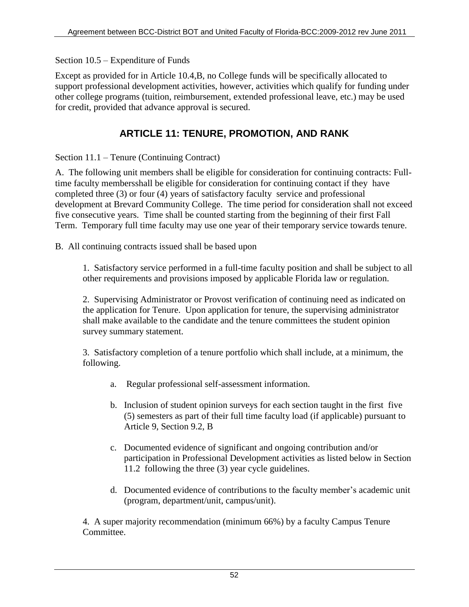Section 10.5 – Expenditure of Funds

Except as provided for in Article 10.4,B, no College funds will be specifically allocated to support professional development activities, however, activities which qualify for funding under other college programs (tuition, reimbursement, extended professional leave, etc.) may be used for credit, provided that advance approval is secured.

## **ARTICLE 11: TENURE, PROMOTION, AND RANK**

Section 11.1 – Tenure (Continuing Contract)

A. The following unit members shall be eligible for consideration for continuing contracts: Fulltime faculty membersshall be eligible for consideration for continuing contact if they have completed three (3) or four (4) years of satisfactory faculty service and professional development at Brevard Community College. The time period for consideration shall not exceed five consecutive years. Time shall be counted starting from the beginning of their first Fall Term. Temporary full time faculty may use one year of their temporary service towards tenure.

B. All continuing contracts issued shall be based upon

1. Satisfactory service performed in a full-time faculty position and shall be subject to all other requirements and provisions imposed by applicable Florida law or regulation.

2. Supervising Administrator or Provost verification of continuing need as indicated on the application for Tenure. Upon application for tenure, the supervising administrator shall make available to the candidate and the tenure committees the student opinion survey summary statement.

3. Satisfactory completion of a tenure portfolio which shall include, at a minimum, the following.

- a. Regular professional self-assessment information.
- b. Inclusion of student opinion surveys for each section taught in the first five (5) semesters as part of their full time faculty load (if applicable) pursuant to Article 9, Section 9.2, B
- c. Documented evidence of significant and ongoing contribution and/or participation in Professional Development activities as listed below in Section 11.2 following the three (3) year cycle guidelines.
- d. Documented evidence of contributions to the faculty member's academic unit (program, department/unit, campus/unit).

4. A super majority recommendation (minimum 66%) by a faculty Campus Tenure Committee.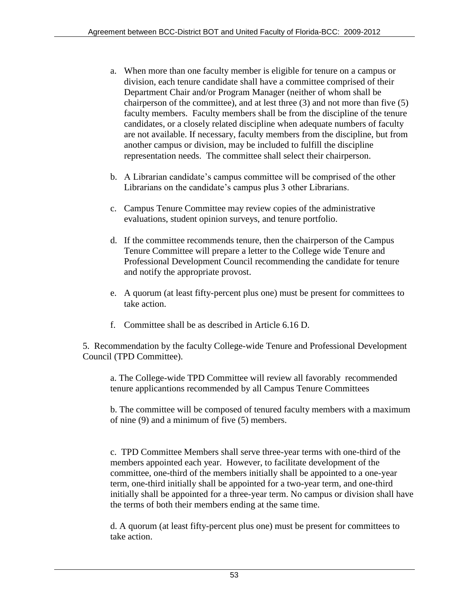- a. When more than one faculty member is eligible for tenure on a campus or division, each tenure candidate shall have a committee comprised of their Department Chair and/or Program Manager (neither of whom shall be chairperson of the committee), and at lest three (3) and not more than five (5) faculty members. Faculty members shall be from the discipline of the tenure candidates, or a closely related discipline when adequate numbers of faculty are not available. If necessary, faculty members from the discipline, but from another campus or division, may be included to fulfill the discipline representation needs. The committee shall select their chairperson.
- b. A Librarian candidate's campus committee will be comprised of the other Librarians on the candidate's campus plus 3 other Librarians.
- c. Campus Tenure Committee may review copies of the administrative evaluations, student opinion surveys, and tenure portfolio.
- d. If the committee recommends tenure, then the chairperson of the Campus Tenure Committee will prepare a letter to the College wide Tenure and Professional Development Council recommending the candidate for tenure and notify the appropriate provost.
- e. A quorum (at least fifty-percent plus one) must be present for committees to take action.
- f. Committee shall be as described in Article 6.16 D.

5. Recommendation by the faculty College-wide Tenure and Professional Development Council (TPD Committee).

a. The College-wide TPD Committee will review all favorably recommended tenure applicantions recommended by all Campus Tenure Committees

b. The committee will be composed of tenured faculty members with a maximum of nine (9) and a minimum of five (5) members.

c. TPD Committee Members shall serve three-year terms with one-third of the members appointed each year. However, to facilitate development of the committee, one-third of the members initially shall be appointed to a one-year term, one-third initially shall be appointed for a two-year term, and one-third initially shall be appointed for a three-year term. No campus or division shall have the terms of both their members ending at the same time.

d. A quorum (at least fifty-percent plus one) must be present for committees to take action.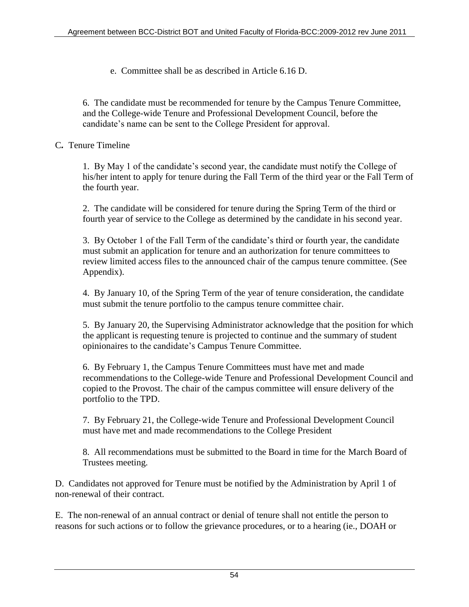e. Committee shall be as described in Article 6.16 D.

6. The candidate must be recommended for tenure by the Campus Tenure Committee, and the College-wide Tenure and Professional Development Council, before the candidate's name can be sent to the College President for approval.

### C*.* Tenure Timeline

1. By May 1 of the candidate's second year, the candidate must notify the College of his/her intent to apply for tenure during the Fall Term of the third year or the Fall Term of the fourth year.

2. The candidate will be considered for tenure during the Spring Term of the third or fourth year of service to the College as determined by the candidate in his second year.

3. By October 1 of the Fall Term of the candidate's third or fourth year, the candidate must submit an application for tenure and an authorization for tenure committees to review limited access files to the announced chair of the campus tenure committee. (See Appendix).

4. By January 10, of the Spring Term of the year of tenure consideration, the candidate must submit the tenure portfolio to the campus tenure committee chair.

5. By January 20, the Supervising Administrator acknowledge that the position for which the applicant is requesting tenure is projected to continue and the summary of student opinionaires to the candidate's Campus Tenure Committee.

6. By February 1, the Campus Tenure Committees must have met and made recommendations to the College-wide Tenure and Professional Development Council and copied to the Provost. The chair of the campus committee will ensure delivery of the portfolio to the TPD.

7. By February 21, the College-wide Tenure and Professional Development Council must have met and made recommendations to the College President

8. All recommendations must be submitted to the Board in time for the March Board of Trustees meeting.

D. Candidates not approved for Tenure must be notified by the Administration by April 1 of non-renewal of their contract.

E. The non-renewal of an annual contract or denial of tenure shall not entitle the person to reasons for such actions or to follow the grievance procedures, or to a hearing (ie., DOAH or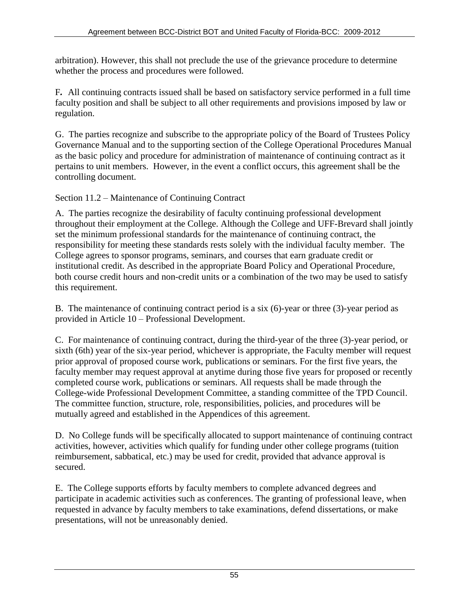arbitration). However, this shall not preclude the use of the grievance procedure to determine whether the process and procedures were followed.

F*.* All continuing contracts issued shall be based on satisfactory service performed in a full time faculty position and shall be subject to all other requirements and provisions imposed by law or regulation.

G. The parties recognize and subscribe to the appropriate policy of the Board of Trustees Policy Governance Manual and to the supporting section of the College Operational Procedures Manual as the basic policy and procedure for administration of maintenance of continuing contract as it pertains to unit members. However, in the event a conflict occurs, this agreement shall be the controlling document.

Section 11.2 – Maintenance of Continuing Contract

A. The parties recognize the desirability of faculty continuing professional development throughout their employment at the College. Although the College and UFF-Brevard shall jointly set the minimum professional standards for the maintenance of continuing contract, the responsibility for meeting these standards rests solely with the individual faculty member. The College agrees to sponsor programs, seminars, and courses that earn graduate credit or institutional credit. As described in the appropriate Board Policy and Operational Procedure, both course credit hours and non-credit units or a combination of the two may be used to satisfy this requirement.

B. The maintenance of continuing contract period is a six (6)-year or three (3)-year period as provided in Article 10 – Professional Development.

C. For maintenance of continuing contract, during the third-year of the three (3)-year period, or sixth (6th) year of the six-year period, whichever is appropriate, the Faculty member will request prior approval of proposed course work, publications or seminars. For the first five years, the faculty member may request approval at anytime during those five years for proposed or recently completed course work, publications or seminars. All requests shall be made through the College-wide Professional Development Committee, a standing committee of the TPD Council. The committee function, structure, role, responsibilities, policies, and procedures will be mutually agreed and established in the Appendices of this agreement.

D. No College funds will be specifically allocated to support maintenance of continuing contract activities, however, activities which qualify for funding under other college programs (tuition reimbursement, sabbatical, etc.) may be used for credit, provided that advance approval is secured.

E. The College supports efforts by faculty members to complete advanced degrees and participate in academic activities such as conferences. The granting of professional leave, when requested in advance by faculty members to take examinations, defend dissertations, or make presentations, will not be unreasonably denied.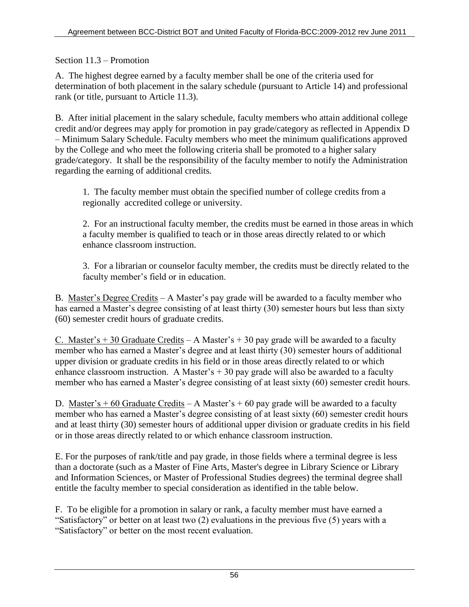Section 11.3 – Promotion

A. The highest degree earned by a faculty member shall be one of the criteria used for determination of both placement in the salary schedule (pursuant to Article 14) and professional rank (or title, pursuant to Article 11.3).

B. After initial placement in the salary schedule, faculty members who attain additional college credit and/or degrees may apply for promotion in pay grade/category as reflected in Appendix D – Minimum Salary Schedule. Faculty members who meet the minimum qualifications approved by the College and who meet the following criteria shall be promoted to a higher salary grade/category. It shall be the responsibility of the faculty member to notify the Administration regarding the earning of additional credits.

1. The faculty member must obtain the specified number of college credits from a regionally accredited college or university.

2. For an instructional faculty member, the credits must be earned in those areas in which a faculty member is qualified to teach or in those areas directly related to or which enhance classroom instruction.

3. For a librarian or counselor faculty member, the credits must be directly related to the faculty member's field or in education.

B. Master's Degree Credits – A Master's pay grade will be awarded to a faculty member who has earned a Master's degree consisting of at least thirty (30) semester hours but less than sixty (60) semester credit hours of graduate credits.

C. Master's  $+$  30 Graduate Credits – A Master's  $+$  30 pay grade will be awarded to a faculty member who has earned a Master's degree and at least thirty (30) semester hours of additional upper division or graduate credits in his field or in those areas directly related to or which enhance classroom instruction. A Master's  $+30$  pay grade will also be awarded to a faculty member who has earned a Master's degree consisting of at least sixty (60) semester credit hours.

D. Master's  $+60$  Graduate Credits – A Master's  $+60$  pay grade will be awarded to a faculty member who has earned a Master's degree consisting of at least sixty (60) semester credit hours and at least thirty (30) semester hours of additional upper division or graduate credits in his field or in those areas directly related to or which enhance classroom instruction.

E. For the purposes of rank/title and pay grade, in those fields where a terminal degree is less than a doctorate (such as a Master of Fine Arts, Master's degree in Library Science or Library and Information Sciences, or Master of Professional Studies degrees) the terminal degree shall entitle the faculty member to special consideration as identified in the table below.

F. To be eligible for a promotion in salary or rank, a faculty member must have earned a "Satisfactory" or better on at least two (2) evaluations in the previous five (5) years with a "Satisfactory" or better on the most recent evaluation.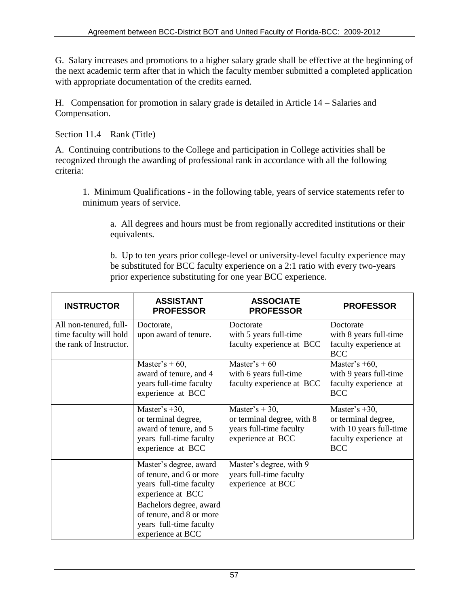G. Salary increases and promotions to a higher salary grade shall be effective at the beginning of the next academic term after that in which the faculty member submitted a completed application with appropriate documentation of the credits earned.

H. Compensation for promotion in salary grade is detailed in Article 14 – Salaries and Compensation.

Section 11.4 – Rank (Title)

A. Continuing contributions to the College and participation in College activities shall be recognized through the awarding of professional rank in accordance with all the following criteria:

1. Minimum Qualifications - in the following table, years of service statements refer to minimum years of service.

a. All degrees and hours must be from regionally accredited institutions or their equivalents.

b. Up to ten years prior college-level or university-level faculty experience may be substituted for BCC faculty experience on a 2:1 ratio with every two-years prior experience substituting for one year BCC experience.

| <b>INSTRUCTOR</b>                                                           | <b>ASSISTANT</b><br><b>PROFESSOR</b>                                                                              | <b>ASSOCIATE</b><br><b>PROFESSOR</b>                                                         | <b>PROFESSOR</b>                                                                                          |
|-----------------------------------------------------------------------------|-------------------------------------------------------------------------------------------------------------------|----------------------------------------------------------------------------------------------|-----------------------------------------------------------------------------------------------------------|
| All non-tenured, full-<br>time faculty will hold<br>the rank of Instructor. | Doctorate,<br>upon award of tenure.                                                                               | Doctorate<br>with 5 years full-time<br>faculty experience at BCC                             | Doctorate<br>with 8 years full-time<br>faculty experience at<br><b>BCC</b>                                |
|                                                                             | Master's $+60$ ,<br>award of tenure, and 4<br>years full-time faculty<br>experience at BCC                        | Master's $+60$<br>with 6 years full-time<br>faculty experience at BCC                        | Master's $+60$ ,<br>with 9 years full-time<br>faculty experience at<br><b>BCC</b>                         |
|                                                                             | Master's $+30$ ,<br>or terminal degree,<br>award of tenure, and 5<br>years full-time faculty<br>experience at BCC | Master's + 30,<br>or terminal degree, with 8<br>years full-time faculty<br>experience at BCC | Master's $+30$ ,<br>or terminal degree,<br>with 10 years full-time<br>faculty experience at<br><b>BCC</b> |
|                                                                             | Master's degree, award<br>of tenure, and 6 or more<br>years full-time faculty<br>experience at BCC                | Master's degree, with 9<br>years full-time faculty<br>experience at BCC                      |                                                                                                           |
|                                                                             | Bachelors degree, award<br>of tenure, and 8 or more<br>years full-time faculty<br>experience at BCC               |                                                                                              |                                                                                                           |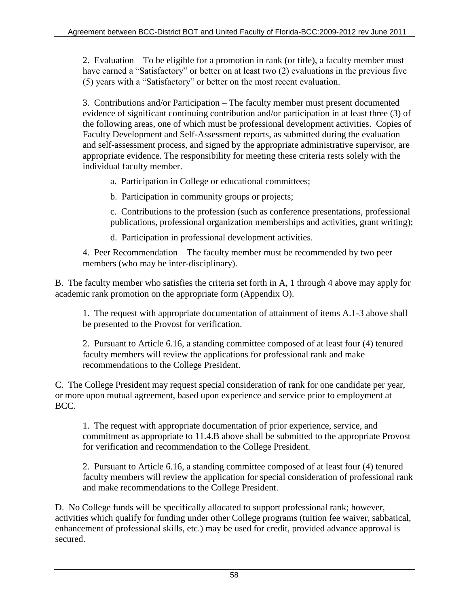2. Evaluation – To be eligible for a promotion in rank (or title), a faculty member must have earned a "Satisfactory" or better on at least two (2) evaluations in the previous five (5) years with a "Satisfactory" or better on the most recent evaluation.

3. Contributions and/or Participation – The faculty member must present documented evidence of significant continuing contribution and/or participation in at least three (3) of the following areas, one of which must be professional development activities. Copies of Faculty Development and Self-Assessment reports, as submitted during the evaluation and self-assessment process, and signed by the appropriate administrative supervisor, are appropriate evidence. The responsibility for meeting these criteria rests solely with the individual faculty member.

a. Participation in College or educational committees;

b. Participation in community groups or projects;

c. Contributions to the profession (such as conference presentations, professional publications, professional organization memberships and activities, grant writing);

d. Participation in professional development activities.

4. Peer Recommendation – The faculty member must be recommended by two peer members (who may be inter-disciplinary).

B. The faculty member who satisfies the criteria set forth in A, 1 through 4 above may apply for academic rank promotion on the appropriate form (Appendix O).

1. The request with appropriate documentation of attainment of items A.1-3 above shall be presented to the Provost for verification.

2. Pursuant to Article 6.16, a standing committee composed of at least four (4) tenured faculty members will review the applications for professional rank and make recommendations to the College President.

C. The College President may request special consideration of rank for one candidate per year, or more upon mutual agreement, based upon experience and service prior to employment at BCC.

1. The request with appropriate documentation of prior experience, service, and commitment as appropriate to 11.4.B above shall be submitted to the appropriate Provost for verification and recommendation to the College President.

2. Pursuant to Article 6.16, a standing committee composed of at least four (4) tenured faculty members will review the application for special consideration of professional rank and make recommendations to the College President.

D. No College funds will be specifically allocated to support professional rank; however, activities which qualify for funding under other College programs (tuition fee waiver, sabbatical, enhancement of professional skills, etc.) may be used for credit, provided advance approval is secured.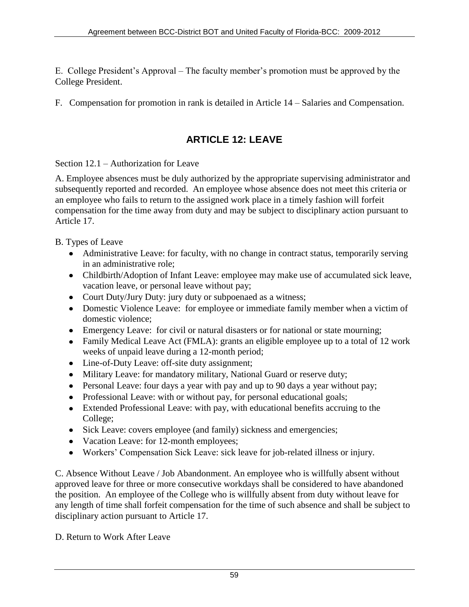E. College President's Approval – The faculty member's promotion must be approved by the College President.

F. Compensation for promotion in rank is detailed in Article 14 – Salaries and Compensation.

## **ARTICLE 12: LEAVE**

Section 12.1 – Authorization for Leave

A. Employee absences must be duly authorized by the appropriate supervising administrator and subsequently reported and recorded. An employee whose absence does not meet this criteria or an employee who fails to return to the assigned work place in a timely fashion will forfeit compensation for the time away from duty and may be subject to disciplinary action pursuant to Article 17.

B. Types of Leave

- Administrative Leave: for faculty, with no change in contract status, temporarily serving in an administrative role;
- Childbirth/Adoption of Infant Leave: employee may make use of accumulated sick leave, vacation leave, or personal leave without pay;
- Court Duty/Jury Duty: jury duty or subpoenaed as a witness;
- Domestic Violence Leave: for employee or immediate family member when a victim of domestic violence;
- Emergency Leave: for civil or natural disasters or for national or state mourning;
- Family Medical Leave Act (FMLA): grants an eligible employee up to a total of 12 work weeks of unpaid leave during a 12-month period;
- Line-of-Duty Leave: off-site duty assignment;
- Military Leave: for mandatory military, National Guard or reserve duty;
- Personal Leave: four days a year with pay and up to 90 days a year without pay;
- Professional Leave: with or without pay, for personal educational goals;
- Extended Professional Leave: with pay, with educational benefits accruing to the College;
- Sick Leave: covers employee (and family) sickness and emergencies;
- Vacation Leave: for 12-month employees;
- Workers' Compensation Sick Leave: sick leave for job-related illness or injury.

C. Absence Without Leave / Job Abandonment. An employee who is willfully absent without approved leave for three or more consecutive workdays shall be considered to have abandoned the position. An employee of the College who is willfully absent from duty without leave for any length of time shall forfeit compensation for the time of such absence and shall be subject to disciplinary action pursuant to Article 17.

D. Return to Work After Leave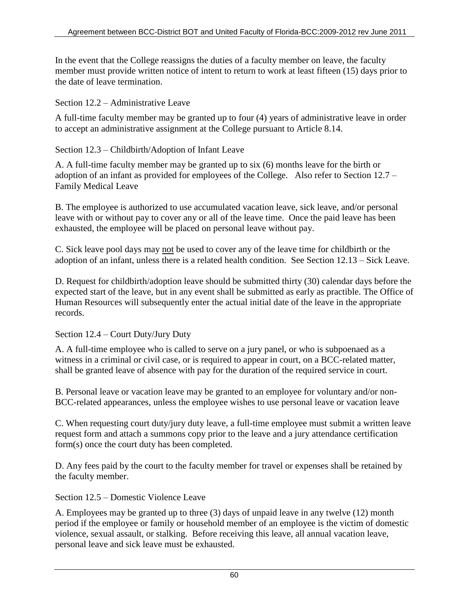In the event that the College reassigns the duties of a faculty member on leave, the faculty member must provide written notice of intent to return to work at least fifteen (15) days prior to the date of leave termination.

### Section 12.2 – Administrative Leave

A full-time faculty member may be granted up to four (4) years of administrative leave in order to accept an administrative assignment at the College pursuant to Article 8.14.

Section 12.3 – Childbirth/Adoption of Infant Leave

A. A full-time faculty member may be granted up to six (6) months leave for the birth or adoption of an infant as provided for employees of the College. Also refer to Section 12.7 – Family Medical Leave

B. The employee is authorized to use accumulated vacation leave, sick leave, and/or personal leave with or without pay to cover any or all of the leave time. Once the paid leave has been exhausted, the employee will be placed on personal leave without pay.

C. Sick leave pool days may not be used to cover any of the leave time for childbirth or the adoption of an infant, unless there is a related health condition. See Section 12.13 – Sick Leave.

D. Request for childbirth/adoption leave should be submitted thirty (30) calendar days before the expected start of the leave, but in any event shall be submitted as early as practible. The Office of Human Resources will subsequently enter the actual initial date of the leave in the appropriate records.

Section 12.4 – Court Duty/Jury Duty

A. A full-time employee who is called to serve on a jury panel, or who is subpoenaed as a witness in a criminal or civil case, or is required to appear in court, on a BCC-related matter, shall be granted leave of absence with pay for the duration of the required service in court.

B. Personal leave or vacation leave may be granted to an employee for voluntary and/or non-BCC-related appearances, unless the employee wishes to use personal leave or vacation leave

C. When requesting court duty/jury duty leave, a full-time employee must submit a written leave request form and attach a summons copy prior to the leave and a jury attendance certification form(s) once the court duty has been completed.

D. Any fees paid by the court to the faculty member for travel or expenses shall be retained by the faculty member.

Section 12.5 – Domestic Violence Leave

A. Employees may be granted up to three (3) days of unpaid leave in any twelve (12) month period if the employee or family or household member of an employee is the victim of domestic violence, sexual assault, or stalking. Before receiving this leave, all annual vacation leave, personal leave and sick leave must be exhausted.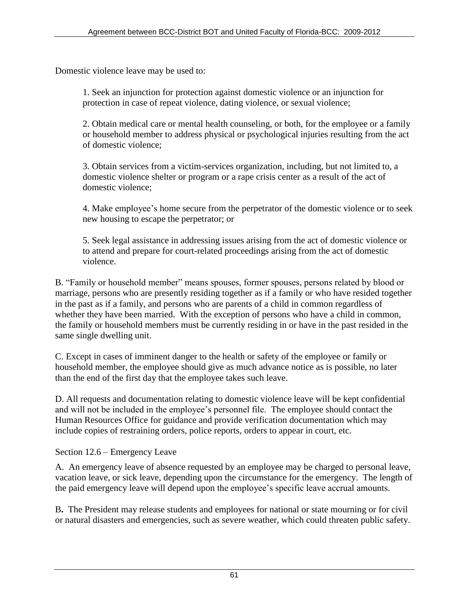Domestic violence leave may be used to:

1. Seek an injunction for protection against domestic violence or an injunction for protection in case of repeat violence, dating violence, or sexual violence;

2. Obtain medical care or mental health counseling, or both, for the employee or a family or household member to address physical or psychological injuries resulting from the act of domestic violence;

3. Obtain services from a victim-services organization, including, but not limited to, a domestic violence shelter or program or a rape crisis center as a result of the act of domestic violence;

4. Make employee's home secure from the perpetrator of the domestic violence or to seek new housing to escape the perpetrator; or

5. Seek legal assistance in addressing issues arising from the act of domestic violence or to attend and prepare for court-related proceedings arising from the act of domestic violence.

B. "Family or household member" means spouses, former spouses, persons related by blood or marriage, persons who are presently residing together as if a family or who have resided together in the past as if a family, and persons who are parents of a child in common regardless of whether they have been married. With the exception of persons who have a child in common, the family or household members must be currently residing in or have in the past resided in the same single dwelling unit.

C. Except in cases of imminent danger to the health or safety of the employee or family or household member, the employee should give as much advance notice as is possible, no later than the end of the first day that the employee takes such leave.

D. All requests and documentation relating to domestic violence leave will be kept confidential and will not be included in the employee's personnel file. The employee should contact the Human Resources Office for guidance and provide verification documentation which may include copies of restraining orders, police reports, orders to appear in court, etc.

Section 12.6 – Emergency Leave

A. An emergency leave of absence requested by an employee may be charged to personal leave, vacation leave, or sick leave, depending upon the circumstance for the emergency. The length of the paid emergency leave will depend upon the employee's specific leave accrual amounts.

B**.** The President may release students and employees for national or state mourning or for civil or natural disasters and emergencies, such as severe weather, which could threaten public safety.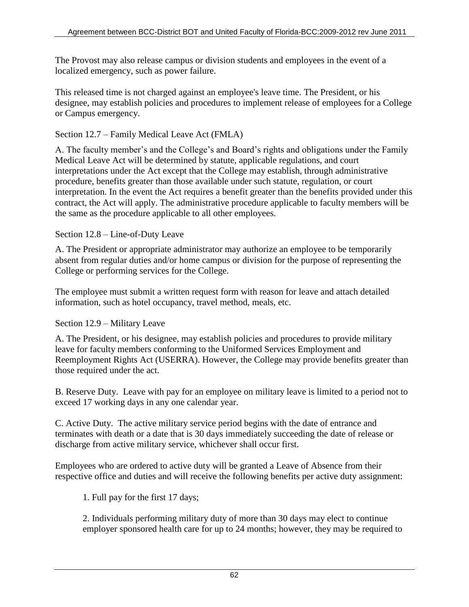The Provost may also release campus or division students and employees in the event of a localized emergency, such as power failure.

This released time is not charged against an employee's leave time. The President, or his designee, may establish policies and procedures to implement release of employees for a College or Campus emergency.

### Section 12.7 – Family Medical Leave Act (FMLA)

A. The faculty member's and the College's and Board's rights and obligations under the Family Medical Leave Act will be determined by statute, applicable regulations, and court interpretations under the Act except that the College may establish, through administrative procedure, benefits greater than those available under such statute, regulation, or court interpretation. In the event the Act requires a benefit greater than the benefits provided under this contract, the Act will apply. The administrative procedure applicable to faculty members will be the same as the procedure applicable to all other employees.

### Section 12.8 – Line-of-Duty Leave

A. The President or appropriate administrator may authorize an employee to be temporarily absent from regular duties and/or home campus or division for the purpose of representing the College or performing services for the College.

The employee must submit a written request form with reason for leave and attach detailed information, such as hotel occupancy, travel method, meals, etc.

## Section 12.9 – Military Leave

A. The President, or his designee, may establish policies and procedures to provide military leave for faculty members conforming to the Uniformed Services Employment and Reemployment Rights Act (USERRA). However, the College may provide benefits greater than those required under the act.

B. Reserve Duty. Leave with pay for an employee on military leave is limited to a period not to exceed 17 working days in any one calendar year.

C. Active Duty. The active military service period begins with the date of entrance and terminates with death or a date that is 30 days immediately succeeding the date of release or discharge from active military service, whichever shall occur first.

Employees who are ordered to active duty will be granted a Leave of Absence from their respective office and duties and will receive the following benefits per active duty assignment:

1. Full pay for the first 17 days;

2. Individuals performing military duty of more than 30 days may elect to continue employer sponsored health care for up to 24 months; however, they may be required to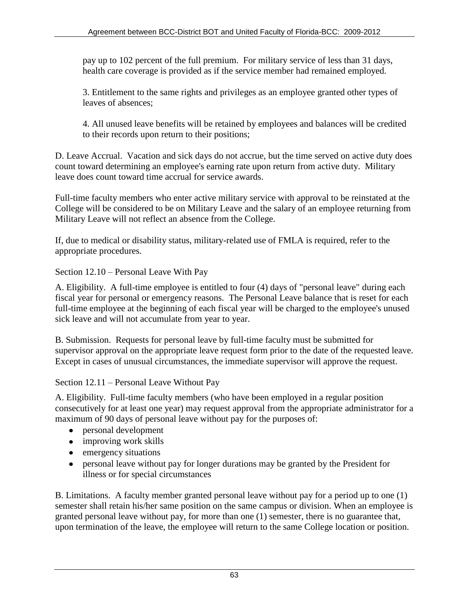pay up to 102 percent of the full premium. For military service of less than 31 days, health care coverage is provided as if the service member had remained employed.

3. Entitlement to the same rights and privileges as an employee granted other types of leaves of absences;

4. All unused leave benefits will be retained by employees and balances will be credited to their records upon return to their positions;

D. Leave Accrual. Vacation and sick days do not accrue, but the time served on active duty does count toward determining an employee's earning rate upon return from active duty. Military leave does count toward time accrual for service awards.

Full-time faculty members who enter active military service with approval to be reinstated at the College will be considered to be on Military Leave and the salary of an employee returning from Military Leave will not reflect an absence from the College.

If, due to medical or disability status, military-related use of FMLA is required, refer to the appropriate procedures.

Section 12.10 – Personal Leave With Pay

A. Eligibility. A full-time employee is entitled to four (4) days of "personal leave" during each fiscal year for personal or emergency reasons. The Personal Leave balance that is reset for each full-time employee at the beginning of each fiscal year will be charged to the employee's unused sick leave and will not accumulate from year to year.

B. Submission. Requests for personal leave by full-time faculty must be submitted for supervisor approval on the appropriate leave request form prior to the date of the requested leave. Except in cases of unusual circumstances, the immediate supervisor will approve the request.

Section 12.11 – Personal Leave Without Pay

A. Eligibility. Full-time faculty members (who have been employed in a regular position consecutively for at least one year) may request approval from the appropriate administrator for a maximum of 90 days of personal leave without pay for the purposes of:

- personal development
- improving work skills
- emergency situations
- personal leave without pay for longer durations may be granted by the President for illness or for special circumstances

B. Limitations. A faculty member granted personal leave without pay for a period up to one (1) semester shall retain his/her same position on the same campus or division. When an employee is granted personal leave without pay, for more than one (1) semester, there is no guarantee that, upon termination of the leave, the employee will return to the same College location or position.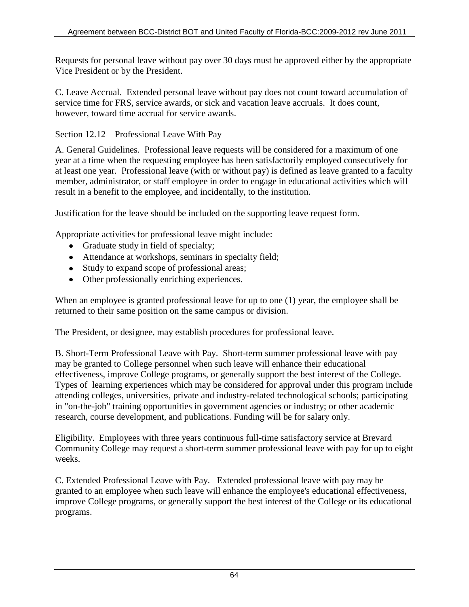Requests for personal leave without pay over 30 days must be approved either by the appropriate Vice President or by the President.

C. Leave Accrual. Extended personal leave without pay does not count toward accumulation of service time for FRS, service awards, or sick and vacation leave accruals. It does count, however, toward time accrual for service awards.

Section 12.12 – Professional Leave With Pay

A. General Guidelines. Professional leave requests will be considered for a maximum of one year at a time when the requesting employee has been satisfactorily employed consecutively for at least one year. Professional leave (with or without pay) is defined as leave granted to a faculty member, administrator, or staff employee in order to engage in educational activities which will result in a benefit to the employee, and incidentally, to the institution.

Justification for the leave should be included on the supporting leave request form.

Appropriate activities for professional leave might include:

- Graduate study in field of specialty;
- Attendance at workshops, seminars in specialty field;
- Study to expand scope of professional areas;
- Other professionally enriching experiences.

When an employee is granted professional leave for up to one (1) year, the employee shall be returned to their same position on the same campus or division.

The President, or designee, may establish procedures for professional leave.

B. Short-Term Professional Leave with Pay. Short-term summer professional leave with pay may be granted to College personnel when such leave will enhance their educational effectiveness, improve College programs, or generally support the best interest of the College. Types of learning experiences which may be considered for approval under this program include attending colleges, universities, private and industry-related technological schools; participating in "on-the-job" training opportunities in government agencies or industry; or other academic research, course development, and publications. Funding will be for salary only.

Eligibility.Employees with three years continuous full-time satisfactory service at Brevard Community College may request a short-term summer professional leave with pay for up to eight weeks.

C. Extended Professional Leave with Pay. Extended professional leave with pay may be granted to an employee when such leave will enhance the employee's educational effectiveness, improve College programs, or generally support the best interest of the College or its educational programs.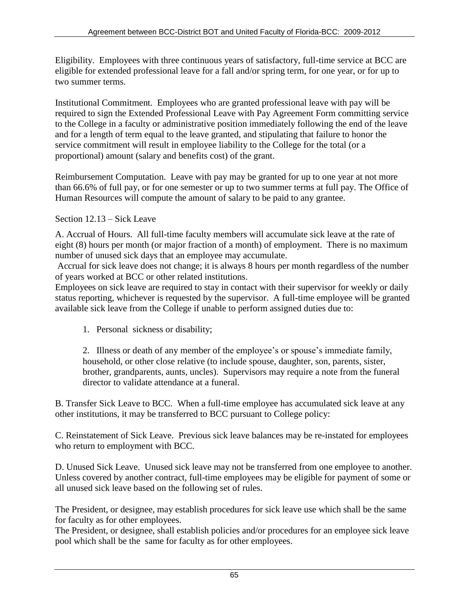Eligibility. Employees with three continuous years of satisfactory, full-time service at BCC are eligible for extended professional leave for a fall and/or spring term, for one year, or for up to two summer terms.

Institutional Commitment. Employees who are granted professional leave with pay will be required to sign the Extended Professional Leave with Pay Agreement Form committing service to the College in a faculty or administrative position immediately following the end of the leave and for a length of term equal to the leave granted, and stipulating that failure to honor the service commitment will result in employee liability to the College for the total (or a proportional) amount (salary and benefits cost) of the grant.

Reimbursement Computation. Leave with pay may be granted for up to one year at not more than 66.6% of full pay, or for one semester or up to two summer terms at full pay. The Office of Human Resources will compute the amount of salary to be paid to any grantee.

### Section 12.13 – Sick Leave

A. Accrual of Hours. All full-time faculty members will accumulate sick leave at the rate of eight (8) hours per month (or major fraction of a month) of employment. There is no maximum number of unused sick days that an employee may accumulate.

Accrual for sick leave does not change; it is always 8 hours per month regardless of the number of years worked at BCC or other related institutions.

Employees on sick leave are required to stay in contact with their supervisor for weekly or daily status reporting, whichever is requested by the supervisor. A full-time employee will be granted available sick leave from the College if unable to perform assigned duties due to:

1. Personal sickness or disability;

2. Illness or death of any member of the employee's or spouse's immediate family, household, or other close relative (to include spouse, daughter, son, parents, sister, brother, grandparents, aunts, uncles). Supervisors may require a note from the funeral director to validate attendance at a funeral.

B. Transfer Sick Leave to BCC. When a full-time employee has accumulated sick leave at any other institutions, it may be transferred to BCC pursuant to College policy:

C. Reinstatement of Sick Leave. Previous sick leave balances may be re-instated for employees who return to employment with BCC.

D. Unused Sick Leave. Unused sick leave may not be transferred from one employee to another. Unless covered by another contract, full-time employees may be eligible for payment of some or all unused sick leave based on the following set of rules.

The President, or designee, may establish procedures for sick leave use which shall be the same for faculty as for other employees.

The President, or designee, shall establish policies and/or procedures for an employee sick leave pool which shall be the same for faculty as for other employees.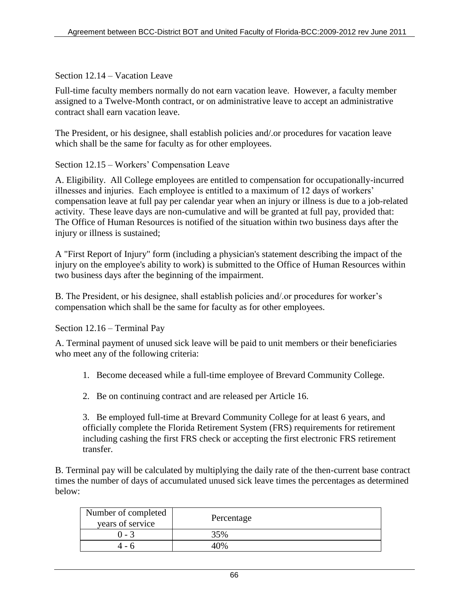Section 12.14 – Vacation Leave

Full-time faculty members normally do not earn vacation leave. However, a faculty member assigned to a Twelve-Month contract, or on administrative leave to accept an administrative contract shall earn vacation leave.

The President, or his designee, shall establish policies and/.or procedures for vacation leave which shall be the same for faculty as for other employees.

Section 12.15 – Workers' Compensation Leave

A. Eligibility. All College employees are entitled to compensation for occupationally-incurred illnesses and injuries. Each employee is entitled to a maximum of 12 days of workers' compensation leave at full pay per calendar year when an injury or illness is due to a job-related activity. These leave days are non-cumulative and will be granted at full pay, provided that: The Office of Human Resources is notified of the situation within two business days after the injury or illness is sustained;

A "First Report of Injury" form (including a physician's statement describing the impact of the injury on the employee's ability to work) is submitted to the Office of Human Resources within two business days after the beginning of the impairment.

B. The President, or his designee, shall establish policies and/.or procedures for worker's compensation which shall be the same for faculty as for other employees.

Section 12.16 – Terminal Pay

A. Terminal payment of unused sick leave will be paid to unit members or their beneficiaries who meet any of the following criteria:

- 1. Become deceased while a full-time employee of Brevard Community College.
- 2. Be on continuing contract and are released per Article 16.

3. Be employed full-time at Brevard Community College for at least 6 years, and officially complete the Florida Retirement System (FRS) requirements for retirement including cashing the first FRS check or accepting the first electronic FRS retirement transfer.

B. Terminal pay will be calculated by multiplying the daily rate of the then-current base contract times the number of days of accumulated unused sick leave times the percentages as determined below:

| Number of completed<br>years of service | Percentage |
|-----------------------------------------|------------|
| ი - 3                                   | 35%        |
|                                         | በ%         |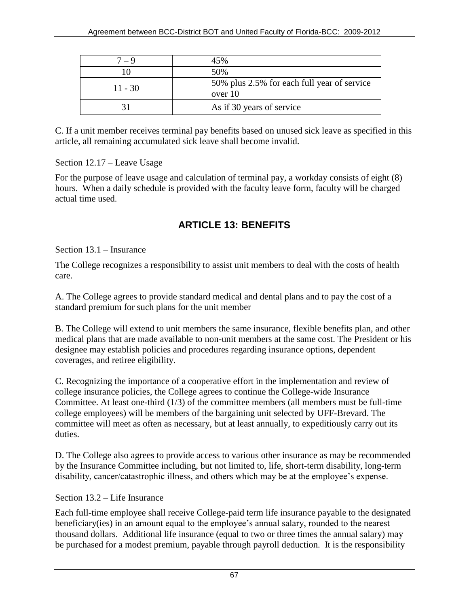| $7 - 9$   | 45%                                                    |
|-----------|--------------------------------------------------------|
|           | 50%                                                    |
| $11 - 30$ | 50% plus 2.5% for each full year of service<br>over 10 |
|           | As if 30 years of service                              |

C. If a unit member receives terminal pay benefits based on unused sick leave as specified in this article, all remaining accumulated sick leave shall become invalid.

Section 12.17 – Leave Usage

For the purpose of leave usage and calculation of terminal pay, a workday consists of eight (8) hours. When a daily schedule is provided with the faculty leave form, faculty will be charged actual time used.

# **ARTICLE 13: BENEFITS**

Section 13.1 – Insurance

The College recognizes a responsibility to assist unit members to deal with the costs of health care.

A. The College agrees to provide standard medical and dental plans and to pay the cost of a standard premium for such plans for the unit member

B. The College will extend to unit members the same insurance, flexible benefits plan, and other medical plans that are made available to non-unit members at the same cost. The President or his designee may establish policies and procedures regarding insurance options, dependent coverages, and retiree eligibility.

C. Recognizing the importance of a cooperative effort in the implementation and review of college insurance policies, the College agrees to continue the College-wide Insurance Committee. At least one-third (1/3) of the committee members (all members must be full-time college employees) will be members of the bargaining unit selected by UFF-Brevard. The committee will meet as often as necessary, but at least annually, to expeditiously carry out its duties.

D. The College also agrees to provide access to various other insurance as may be recommended by the Insurance Committee including, but not limited to, life, short-term disability, long-term disability, cancer/catastrophic illness, and others which may be at the employee's expense.

## Section 13.2 – Life Insurance

Each full-time employee shall receive College-paid term life insurance payable to the designated beneficiary(ies) in an amount equal to the employee's annual salary, rounded to the nearest thousand dollars. Additional life insurance (equal to two or three times the annual salary) may be purchased for a modest premium, payable through payroll deduction. It is the responsibility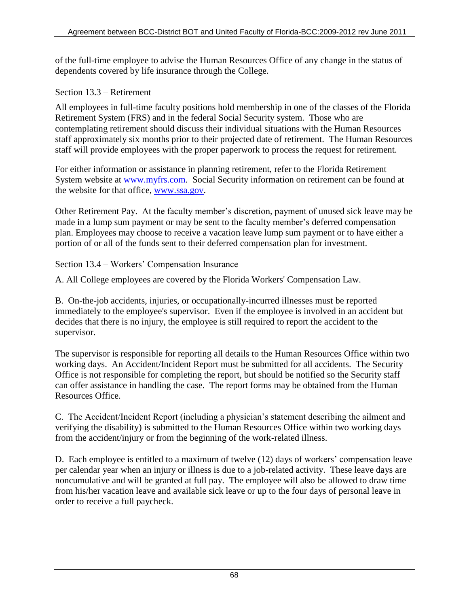of the full-time employee to advise the Human Resources Office of any change in the status of dependents covered by life insurance through the College.

### Section 13.3 – Retirement

All employees in full-time faculty positions hold membership in one of the classes of the Florida Retirement System (FRS) and in the federal Social Security system. Those who are contemplating retirement should discuss their individual situations with the Human Resources staff approximately six months prior to their projected date of retirement. The Human Resources staff will provide employees with the proper paperwork to process the request for retirement.

For either information or assistance in planning retirement, refer to the Florida Retirement System website at [www.myfrs.com.](http://www.myfrs.com/) Social Security information on retirement can be found at the website for that office, [www.ssa.gov.](http://www.ssa.gov/)

Other Retirement Pay. At the faculty member's discretion, payment of unused sick leave may be made in a lump sum payment or may be sent to the faculty member's deferred compensation plan. Employees may choose to receive a vacation leave lump sum payment or to have either a portion of or all of the funds sent to their deferred compensation plan for investment.

Section 13.4 – Workers' Compensation Insurance

A. All College employees are covered by the Florida Workers' Compensation Law.

B. On-the-job accidents, injuries, or occupationally-incurred illnesses must be reported immediately to the employee's supervisor. Even if the employee is involved in an accident but decides that there is no injury, the employee is still required to report the accident to the supervisor.

The supervisor is responsible for reporting all details to the Human Resources Office within two working days. An Accident/Incident Report must be submitted for all accidents. The Security Office is not responsible for completing the report, but should be notified so the Security staff can offer assistance in handling the case. The report forms may be obtained from the Human Resources Office.

C. The Accident/Incident Report (including a physician's statement describing the ailment and verifying the disability) is submitted to the Human Resources Office within two working days from the accident/injury or from the beginning of the work-related illness.

D. Each employee is entitled to a maximum of twelve (12) days of workers' compensation leave per calendar year when an injury or illness is due to a job-related activity. These leave days are noncumulative and will be granted at full pay. The employee will also be allowed to draw time from his/her vacation leave and available sick leave or up to the four days of personal leave in order to receive a full paycheck.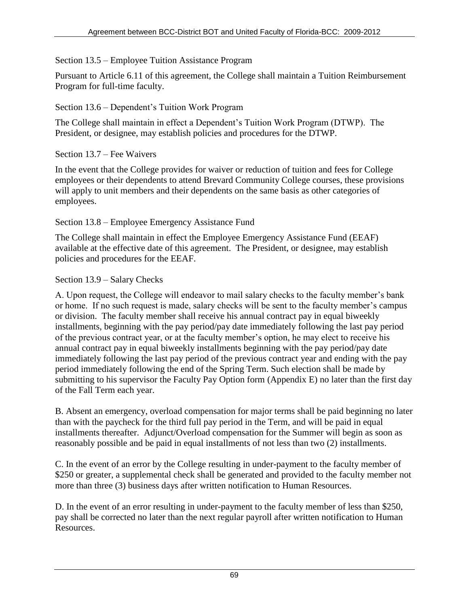### Section 13.5 – Employee Tuition Assistance Program

Pursuant to Article 6.11 of this agreement, the College shall maintain a Tuition Reimbursement Program for full-time faculty.

### Section 13.6 – Dependent's Tuition Work Program

The College shall maintain in effect a Dependent's Tuition Work Program (DTWP). The President, or designee, may establish policies and procedures for the DTWP.

### Section 13.7 – Fee Waivers

In the event that the College provides for waiver or reduction of tuition and fees for College employees or their dependents to attend Brevard Community College courses, these provisions will apply to unit members and their dependents on the same basis as other categories of employees.

### Section 13.8 – Employee Emergency Assistance Fund

The College shall maintain in effect the Employee Emergency Assistance Fund (EEAF) available at the effective date of this agreement. The President, or designee, may establish policies and procedures for the EEAF.

### Section 13.9 – Salary Checks

A. Upon request, the College will endeavor to mail salary checks to the faculty member's bank or home. If no such request is made, salary checks will be sent to the faculty member's campus or division. The faculty member shall receive his annual contract pay in equal biweekly installments, beginning with the pay period/pay date immediately following the last pay period of the previous contract year, or at the faculty member's option, he may elect to receive his annual contract pay in equal biweekly installments beginning with the pay period/pay date immediately following the last pay period of the previous contract year and ending with the pay period immediately following the end of the Spring Term. Such election shall be made by submitting to his supervisor the Faculty Pay Option form (Appendix E) no later than the first day of the Fall Term each year.

B. Absent an emergency, overload compensation for major terms shall be paid beginning no later than with the paycheck for the third full pay period in the Term, and will be paid in equal installments thereafter. Adjunct/Overload compensation for the Summer will begin as soon as reasonably possible and be paid in equal installments of not less than two (2) installments.

C. In the event of an error by the College resulting in under-payment to the faculty member of \$250 or greater, a supplemental check shall be generated and provided to the faculty member not more than three (3) business days after written notification to Human Resources.

D. In the event of an error resulting in under-payment to the faculty member of less than \$250, pay shall be corrected no later than the next regular payroll after written notification to Human Resources.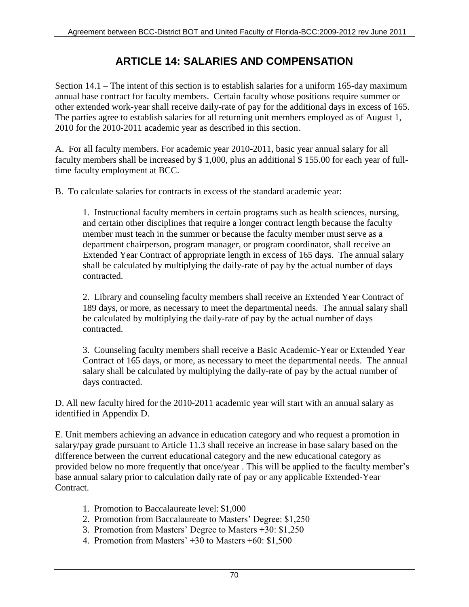# **ARTICLE 14: SALARIES AND COMPENSATION**

Section 14.1 – The intent of this section is to establish salaries for a uniform 165-day maximum annual base contract for faculty members. Certain faculty whose positions require summer or other extended work-year shall receive daily-rate of pay for the additional days in excess of 165. The parties agree to establish salaries for all returning unit members employed as of August 1, 2010 for the 2010-2011 academic year as described in this section.

A. For all faculty members. For academic year 2010-2011, basic year annual salary for all faculty members shall be increased by \$ 1,000, plus an additional \$ 155.00 for each year of fulltime faculty employment at BCC.

B. To calculate salaries for contracts in excess of the standard academic year:

1. Instructional faculty members in certain programs such as health sciences, nursing, and certain other disciplines that require a longer contract length because the faculty member must teach in the summer or because the faculty member must serve as a department chairperson, program manager, or program coordinator, shall receive an Extended Year Contract of appropriate length in excess of 165 days. The annual salary shall be calculated by multiplying the daily-rate of pay by the actual number of days contracted.

2. Library and counseling faculty members shall receive an Extended Year Contract of 189 days, or more, as necessary to meet the departmental needs. The annual salary shall be calculated by multiplying the daily-rate of pay by the actual number of days contracted.

3. Counseling faculty members shall receive a Basic Academic-Year or Extended Year Contract of 165 days, or more, as necessary to meet the departmental needs. The annual salary shall be calculated by multiplying the daily-rate of pay by the actual number of days contracted.

D. All new faculty hired for the 2010-2011 academic year will start with an annual salary as identified in Appendix D.

E. Unit members achieving an advance in education category and who request a promotion in salary/pay grade pursuant to Article 11.3 shall receive an increase in base salary based on the difference between the current educational category and the new educational category as provided below no more frequently that once/year . This will be applied to the faculty member's base annual salary prior to calculation daily rate of pay or any applicable Extended-Year Contract.

- 1. Promotion to Baccalaureate level: \$1,000
- 2. Promotion from Baccalaureate to Masters' Degree: \$1,250
- 3. Promotion from Masters' Degree to Masters +30: \$1,250
- 4. Promotion from Masters' +30 to Masters +60: \$1,500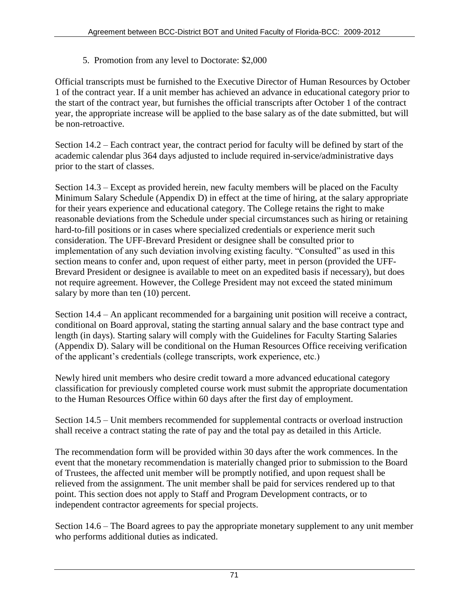5. Promotion from any level to Doctorate: \$2,000

Official transcripts must be furnished to the Executive Director of Human Resources by October 1 of the contract year. If a unit member has achieved an advance in educational category prior to the start of the contract year, but furnishes the official transcripts after October 1 of the contract year, the appropriate increase will be applied to the base salary as of the date submitted, but will be non-retroactive.

Section 14.2 – Each contract year, the contract period for faculty will be defined by start of the academic calendar plus 364 days adjusted to include required in-service/administrative days prior to the start of classes.

Section 14.3 – Except as provided herein, new faculty members will be placed on the Faculty Minimum Salary Schedule (Appendix D) in effect at the time of hiring, at the salary appropriate for their years experience and educational category. The College retains the right to make reasonable deviations from the Schedule under special circumstances such as hiring or retaining hard-to-fill positions or in cases where specialized credentials or experience merit such consideration. The UFF-Brevard President or designee shall be consulted prior to implementation of any such deviation involving existing faculty. "Consulted" as used in this section means to confer and, upon request of either party, meet in person (provided the UFF-Brevard President or designee is available to meet on an expedited basis if necessary), but does not require agreement. However, the College President may not exceed the stated minimum salary by more than ten (10) percent.

Section 14.4 – An applicant recommended for a bargaining unit position will receive a contract, conditional on Board approval, stating the starting annual salary and the base contract type and length (in days). Starting salary will comply with the Guidelines for Faculty Starting Salaries (Appendix D). Salary will be conditional on the Human Resources Office receiving verification of the applicant's credentials (college transcripts, work experience, etc.)

Newly hired unit members who desire credit toward a more advanced educational category classification for previously completed course work must submit the appropriate documentation to the Human Resources Office within 60 days after the first day of employment.

Section 14.5 – Unit members recommended for supplemental contracts or overload instruction shall receive a contract stating the rate of pay and the total pay as detailed in this Article.

The recommendation form will be provided within 30 days after the work commences. In the event that the monetary recommendation is materially changed prior to submission to the Board of Trustees, the affected unit member will be promptly notified, and upon request shall be relieved from the assignment. The unit member shall be paid for services rendered up to that point. This section does not apply to Staff and Program Development contracts, or to independent contractor agreements for special projects.

Section 14.6 – The Board agrees to pay the appropriate monetary supplement to any unit member who performs additional duties as indicated.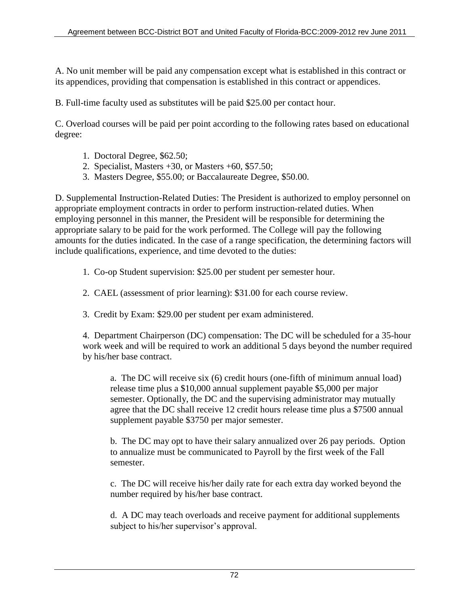A. No unit member will be paid any compensation except what is established in this contract or its appendices, providing that compensation is established in this contract or appendices.

B. Full-time faculty used as substitutes will be paid \$25.00 per contact hour.

C. Overload courses will be paid per point according to the following rates based on educational degree:

- 1. Doctoral Degree, \$62.50;
- 2. Specialist, Masters  $+30$ , or Masters  $+60$ , \$57.50;
- 3. Masters Degree, \$55.00; or Baccalaureate Degree, \$50.00.

D. Supplemental Instruction-Related Duties: The President is authorized to employ personnel on appropriate employment contracts in order to perform instruction-related duties. When employing personnel in this manner, the President will be responsible for determining the appropriate salary to be paid for the work performed. The College will pay the following amounts for the duties indicated. In the case of a range specification, the determining factors will include qualifications, experience, and time devoted to the duties:

1. Co-op Student supervision: \$25.00 per student per semester hour.

- 2. CAEL (assessment of prior learning): \$31.00 for each course review.
- 3. Credit by Exam: \$29.00 per student per exam administered.

4. Department Chairperson (DC) compensation: The DC will be scheduled for a 35-hour work week and will be required to work an additional 5 days beyond the number required by his/her base contract.

a. The DC will receive six (6) credit hours (one-fifth of minimum annual load) release time plus a \$10,000 annual supplement payable \$5,000 per major semester. Optionally, the DC and the supervising administrator may mutually agree that the DC shall receive 12 credit hours release time plus a \$7500 annual supplement payable \$3750 per major semester.

b. The DC may opt to have their salary annualized over 26 pay periods. Option to annualize must be communicated to Payroll by the first week of the Fall semester.

c. The DC will receive his/her daily rate for each extra day worked beyond the number required by his/her base contract.

d. A DC may teach overloads and receive payment for additional supplements subject to his/her supervisor's approval.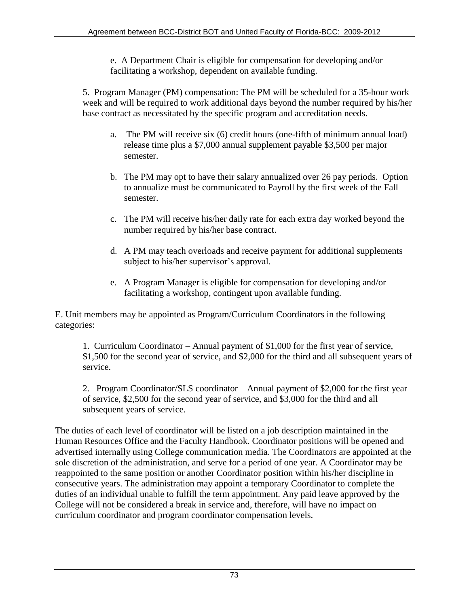e. A Department Chair is eligible for compensation for developing and/or facilitating a workshop, dependent on available funding.

5. Program Manager (PM) compensation: The PM will be scheduled for a 35-hour work week and will be required to work additional days beyond the number required by his/her base contract as necessitated by the specific program and accreditation needs.

- a. The PM will receive six (6) credit hours (one-fifth of minimum annual load) release time plus a \$7,000 annual supplement payable \$3,500 per major semester.
- b. The PM may opt to have their salary annualized over 26 pay periods. Option to annualize must be communicated to Payroll by the first week of the Fall semester.
- c. The PM will receive his/her daily rate for each extra day worked beyond the number required by his/her base contract.
- d. A PM may teach overloads and receive payment for additional supplements subject to his/her supervisor's approval.
- e. A Program Manager is eligible for compensation for developing and/or facilitating a workshop, contingent upon available funding.

E. Unit members may be appointed as Program/Curriculum Coordinators in the following categories:

1. Curriculum Coordinator – Annual payment of \$1,000 for the first year of service, \$1,500 for the second year of service, and \$2,000 for the third and all subsequent years of service.

2. Program Coordinator/SLS coordinator – Annual payment of \$2,000 for the first year of service, \$2,500 for the second year of service, and \$3,000 for the third and all subsequent years of service.

The duties of each level of coordinator will be listed on a job description maintained in the Human Resources Office and the Faculty Handbook. Coordinator positions will be opened and advertised internally using College communication media. The Coordinators are appointed at the sole discretion of the administration, and serve for a period of one year. A Coordinator may be reappointed to the same position or another Coordinator position within his/her discipline in consecutive years. The administration may appoint a temporary Coordinator to complete the duties of an individual unable to fulfill the term appointment. Any paid leave approved by the College will not be considered a break in service and, therefore, will have no impact on curriculum coordinator and program coordinator compensation levels.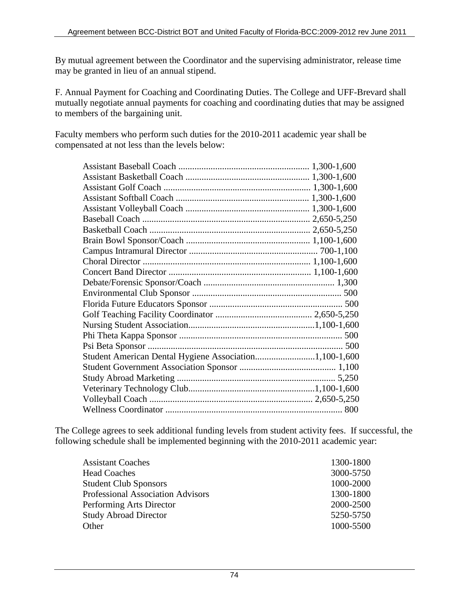By mutual agreement between the Coordinator and the supervising administrator, release time may be granted in lieu of an annual stipend.

F. Annual Payment for Coaching and Coordinating Duties. The College and UFF-Brevard shall mutually negotiate annual payments for coaching and coordinating duties that may be assigned to members of the bargaining unit.

Faculty members who perform such duties for the 2010-2011 academic year shall be compensated at not less than the levels below:

The College agrees to seek additional funding levels from student activity fees. If successful, the following schedule shall be implemented beginning with the 2010-2011 academic year:

| <b>Assistant Coaches</b>                 | 1300-1800 |
|------------------------------------------|-----------|
| <b>Head Coaches</b>                      | 3000-5750 |
| <b>Student Club Sponsors</b>             | 1000-2000 |
| <b>Professional Association Advisors</b> | 1300-1800 |
| Performing Arts Director                 | 2000-2500 |
| <b>Study Abroad Director</b>             | 5250-5750 |
| Other                                    | 1000-5500 |
|                                          |           |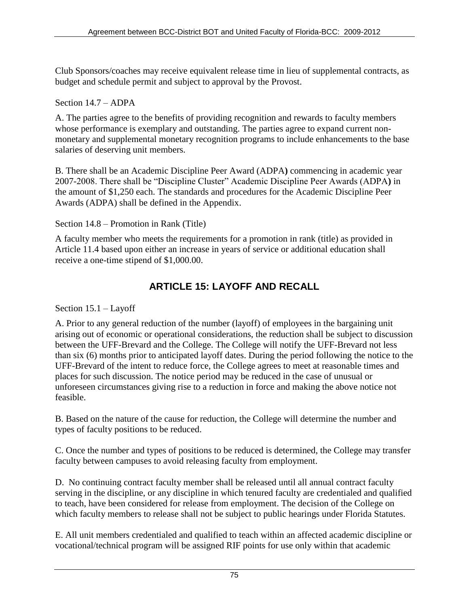Club Sponsors/coaches may receive equivalent release time in lieu of supplemental contracts, as budget and schedule permit and subject to approval by the Provost.

### Section 14.7 – ADPA

A. The parties agree to the benefits of providing recognition and rewards to faculty members whose performance is exemplary and outstanding. The parties agree to expand current nonmonetary and supplemental monetary recognition programs to include enhancements to the base salaries of deserving unit members.

B. There shall be an Academic Discipline Peer Award (ADPA**)** commencing in academic year 2007-2008. There shall be "Discipline Cluster" Academic Discipline Peer Awards (ADPA**)** in the amount of \$1,250 each. The standards and procedures for the Academic Discipline Peer Awards (ADPA) shall be defined in the Appendix.

Section 14.8 – Promotion in Rank (Title)

A faculty member who meets the requirements for a promotion in rank (title) as provided in Article 11.4 based upon either an increase in years of service or additional education shall receive a one-time stipend of \$1,000.00.

## **ARTICLE 15: LAYOFF AND RECALL**

Section 15.1 – Layoff

A. Prior to any general reduction of the number (layoff) of employees in the bargaining unit arising out of economic or operational considerations, the reduction shall be subject to discussion between the UFF-Brevard and the College. The College will notify the UFF-Brevard not less than six (6) months prior to anticipated layoff dates. During the period following the notice to the UFF-Brevard of the intent to reduce force, the College agrees to meet at reasonable times and places for such discussion. The notice period may be reduced in the case of unusual or unforeseen circumstances giving rise to a reduction in force and making the above notice not feasible.

B. Based on the nature of the cause for reduction, the College will determine the number and types of faculty positions to be reduced.

C. Once the number and types of positions to be reduced is determined, the College may transfer faculty between campuses to avoid releasing faculty from employment.

D. No continuing contract faculty member shall be released until all annual contract faculty serving in the discipline, or any discipline in which tenured faculty are credentialed and qualified to teach, have been considered for release from employment. The decision of the College on which faculty members to release shall not be subject to public hearings under Florida Statutes.

E. All unit members credentialed and qualified to teach within an affected academic discipline or vocational/technical program will be assigned RIF points for use only within that academic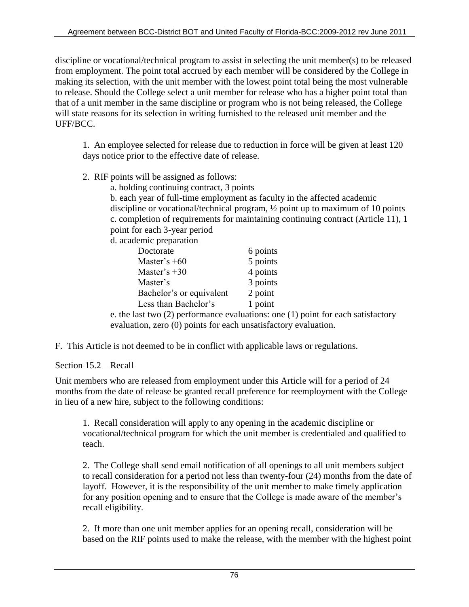discipline or vocational/technical program to assist in selecting the unit member(s) to be released from employment. The point total accrued by each member will be considered by the College in making its selection, with the unit member with the lowest point total being the most vulnerable to release. Should the College select a unit member for release who has a higher point total than that of a unit member in the same discipline or program who is not being released, the College will state reasons for its selection in writing furnished to the released unit member and the UFF/BCC.

1. An employee selected for release due to reduction in force will be given at least 120 days notice prior to the effective date of release.

- 2. RIF points will be assigned as follows:
	- a. holding continuing contract, 3 points

 b. each year of full-time employment as faculty in the affected academic discipline or vocational/technical program, ½ point up to maximum of 10 points c. completion of requirements for maintaining continuing contract (Article 11), 1 point for each 3-year period

d. academic preparation

| Doctorate                | 6 points                                                                             |
|--------------------------|--------------------------------------------------------------------------------------|
| Master's $+60$           | 5 points                                                                             |
| Master's $+30$           | 4 points                                                                             |
| Master's                 | 3 points                                                                             |
| Bachelor's or equivalent | 2 point                                                                              |
| Less than Bachelor's     | 1 point                                                                              |
|                          | e. the last two $(2)$ performance evaluations: one $(1)$ point for each satisfactory |

evaluation, zero (0) points for each unsatisfactory evaluation.

F. This Article is not deemed to be in conflict with applicable laws or regulations.

Section 15.2 – Recall

Unit members who are released from employment under this Article will for a period of 24 months from the date of release be granted recall preference for reemployment with the College in lieu of a new hire, subject to the following conditions:

1. Recall consideration will apply to any opening in the academic discipline or vocational/technical program for which the unit member is credentialed and qualified to teach.

2. The College shall send email notification of all openings to all unit members subject to recall consideration for a period not less than twenty-four (24) months from the date of layoff. However, it is the responsibility of the unit member to make timely application for any position opening and to ensure that the College is made aware of the member's recall eligibility.

2. If more than one unit member applies for an opening recall, consideration will be based on the RIF points used to make the release, with the member with the highest point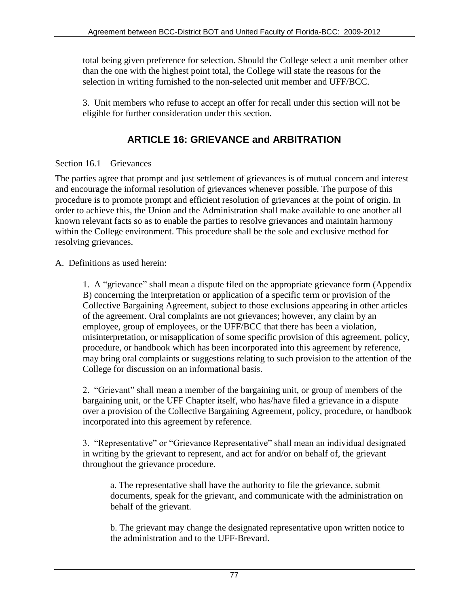total being given preference for selection. Should the College select a unit member other than the one with the highest point total, the College will state the reasons for the selection in writing furnished to the non-selected unit member and UFF/BCC.

3. Unit members who refuse to accept an offer for recall under this section will not be eligible for further consideration under this section.

## **ARTICLE 16: GRIEVANCE and ARBITRATION**

### Section 16.1 – Grievances

The parties agree that prompt and just settlement of grievances is of mutual concern and interest and encourage the informal resolution of grievances whenever possible. The purpose of this procedure is to promote prompt and efficient resolution of grievances at the point of origin. In order to achieve this, the Union and the Administration shall make available to one another all known relevant facts so as to enable the parties to resolve grievances and maintain harmony within the College environment. This procedure shall be the sole and exclusive method for resolving grievances.

A. Definitions as used herein:

1. A "grievance" shall mean a dispute filed on the appropriate grievance form (Appendix B) concerning the interpretation or application of a specific term or provision of the Collective Bargaining Agreement, subject to those exclusions appearing in other articles of the agreement. Oral complaints are not grievances; however, any claim by an employee, group of employees, or the UFF/BCC that there has been a violation, misinterpretation, or misapplication of some specific provision of this agreement, policy, procedure, or handbook which has been incorporated into this agreement by reference, may bring oral complaints or suggestions relating to such provision to the attention of the College for discussion on an informational basis.

2. "Grievant" shall mean a member of the bargaining unit, or group of members of the bargaining unit, or the UFF Chapter itself, who has/have filed a grievance in a dispute over a provision of the Collective Bargaining Agreement, policy, procedure, or handbook incorporated into this agreement by reference.

3. "Representative" or "Grievance Representative" shall mean an individual designated in writing by the grievant to represent, and act for and/or on behalf of, the grievant throughout the grievance procedure.

a. The representative shall have the authority to file the grievance, submit documents, speak for the grievant, and communicate with the administration on behalf of the grievant.

b. The grievant may change the designated representative upon written notice to the administration and to the UFF-Brevard.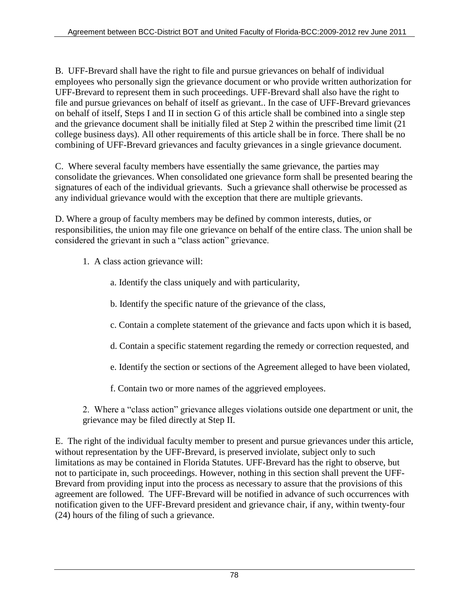B. UFF-Brevard shall have the right to file and pursue grievances on behalf of individual employees who personally sign the grievance document or who provide written authorization for UFF-Brevard to represent them in such proceedings. UFF-Brevard shall also have the right to file and pursue grievances on behalf of itself as grievant.. In the case of UFF-Brevard grievances on behalf of itself, Steps I and II in section G of this article shall be combined into a single step and the grievance document shall be initially filed at Step 2 within the prescribed time limit (21 college business days). All other requirements of this article shall be in force. There shall be no combining of UFF-Brevard grievances and faculty grievances in a single grievance document.

C. Where several faculty members have essentially the same grievance, the parties may consolidate the grievances. When consolidated one grievance form shall be presented bearing the signatures of each of the individual grievants. Such a grievance shall otherwise be processed as any individual grievance would with the exception that there are multiple grievants.

D. Where a group of faculty members may be defined by common interests, duties, or responsibilities, the union may file one grievance on behalf of the entire class. The union shall be considered the grievant in such a "class action" grievance.

- 1. A class action grievance will:
	- a. Identify the class uniquely and with particularity,
	- b. Identify the specific nature of the grievance of the class,
	- c. Contain a complete statement of the grievance and facts upon which it is based,
	- d. Contain a specific statement regarding the remedy or correction requested, and
	- e. Identify the section or sections of the Agreement alleged to have been violated,
	- f. Contain two or more names of the aggrieved employees.

2. Where a "class action" grievance alleges violations outside one department or unit, the grievance may be filed directly at Step II.

E.The right of the individual faculty member to present and pursue grievances under this article, without representation by the UFF-Brevard, is preserved inviolate, subject only to such limitations as may be contained in Florida Statutes. UFF-Brevard has the right to observe, but not to participate in, such proceedings. However, nothing in this section shall prevent the UFF-Brevard from providing input into the process as necessary to assure that the provisions of this agreement are followed. The UFF-Brevard will be notified in advance of such occurrences with notification given to the UFF-Brevard president and grievance chair, if any, within twenty-four (24) hours of the filing of such a grievance.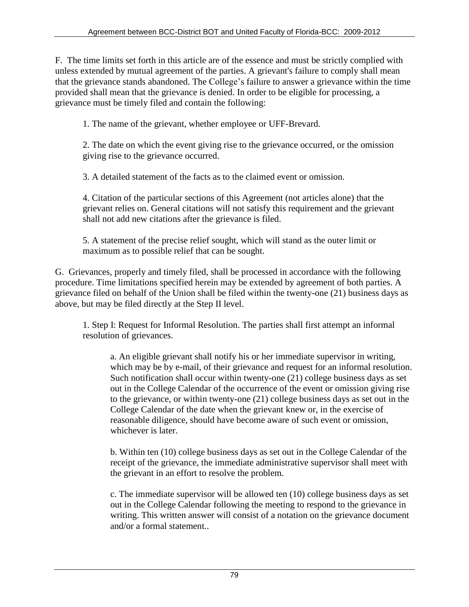F. The time limits set forth in this article are of the essence and must be strictly complied with unless extended by mutual agreement of the parties. A grievant's failure to comply shall mean that the grievance stands abandoned. The College's failure to answer a grievance within the time provided shall mean that the grievance is denied. In order to be eligible for processing, a grievance must be timely filed and contain the following:

1. The name of the grievant, whether employee or UFF-Brevard.

2. The date on which the event giving rise to the grievance occurred, or the omission giving rise to the grievance occurred.

3. A detailed statement of the facts as to the claimed event or omission.

4. Citation of the particular sections of this Agreement (not articles alone) that the grievant relies on. General citations will not satisfy this requirement and the grievant shall not add new citations after the grievance is filed.

5. A statement of the precise relief sought, which will stand as the outer limit or maximum as to possible relief that can be sought.

G. Grievances, properly and timely filed, shall be processed in accordance with the following procedure. Time limitations specified herein may be extended by agreement of both parties. A grievance filed on behalf of the Union shall be filed within the twenty-one (21) business days as above, but may be filed directly at the Step II level.

1. Step I: Request for Informal Resolution. The parties shall first attempt an informal resolution of grievances.

a. An eligible grievant shall notify his or her immediate supervisor in writing, which may be by e-mail, of their grievance and request for an informal resolution. Such notification shall occur within twenty-one (21) college business days as set out in the College Calendar of the occurrence of the event or omission giving rise to the grievance, or within twenty-one (21) college business days as set out in the College Calendar of the date when the grievant knew or, in the exercise of reasonable diligence, should have become aware of such event or omission, whichever is later.

b. Within ten (10) college business days as set out in the College Calendar of the receipt of the grievance, the immediate administrative supervisor shall meet with the grievant in an effort to resolve the problem.

c. The immediate supervisor will be allowed ten (10) college business days as set out in the College Calendar following the meeting to respond to the grievance in writing. This written answer will consist of a notation on the grievance document and/or a formal statement..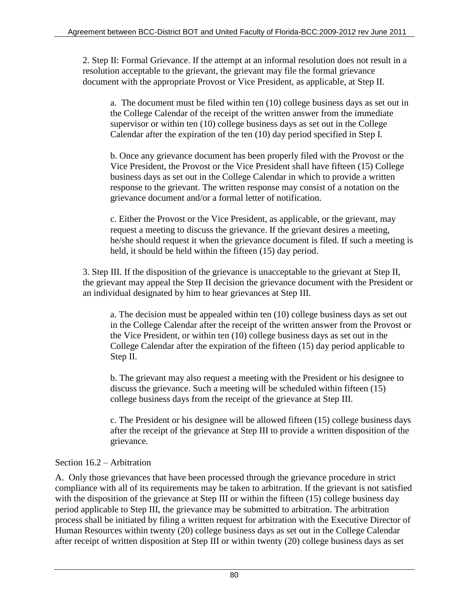2. Step II: Formal Grievance. If the attempt at an informal resolution does not result in a resolution acceptable to the grievant, the grievant may file the formal grievance document with the appropriate Provost or Vice President, as applicable, at Step II.

a. The document must be filed within ten (10) college business days as set out in the College Calendar of the receipt of the written answer from the immediate supervisor or within ten (10) college business days as set out in the College Calendar after the expiration of the ten (10) day period specified in Step I.

b. Once any grievance document has been properly filed with the Provost or the Vice President, the Provost or the Vice President shall have fifteen (15) College business days as set out in the College Calendar in which to provide a written response to the grievant. The written response may consist of a notation on the grievance document and/or a formal letter of notification.

c. Either the Provost or the Vice President, as applicable, or the grievant, may request a meeting to discuss the grievance. If the grievant desires a meeting, he/she should request it when the grievance document is filed. If such a meeting is held, it should be held within the fifteen (15) day period.

3. Step III. If the disposition of the grievance is unacceptable to the grievant at Step II, the grievant may appeal the Step II decision the grievance document with the President or an individual designated by him to hear grievances at Step III.

a. The decision must be appealed within ten (10) college business days as set out in the College Calendar after the receipt of the written answer from the Provost or the Vice President, or within ten (10) college business days as set out in the College Calendar after the expiration of the fifteen (15) day period applicable to Step II.

b. The grievant may also request a meeting with the President or his designee to discuss the grievance. Such a meeting will be scheduled within fifteen (15) college business days from the receipt of the grievance at Step III.

c. The President or his designee will be allowed fifteen (15) college business days after the receipt of the grievance at Step III to provide a written disposition of the grievance.

## Section 16.2 – Arbitration

A. Only those grievances that have been processed through the grievance procedure in strict compliance with all of its requirements may be taken to arbitration. If the grievant is not satisfied with the disposition of the grievance at Step III or within the fifteen (15) college business day period applicable to Step III, the grievance may be submitted to arbitration. The arbitration process shall be initiated by filing a written request for arbitration with the Executive Director of Human Resources within twenty (20) college business days as set out in the College Calendar after receipt of written disposition at Step III or within twenty (20) college business days as set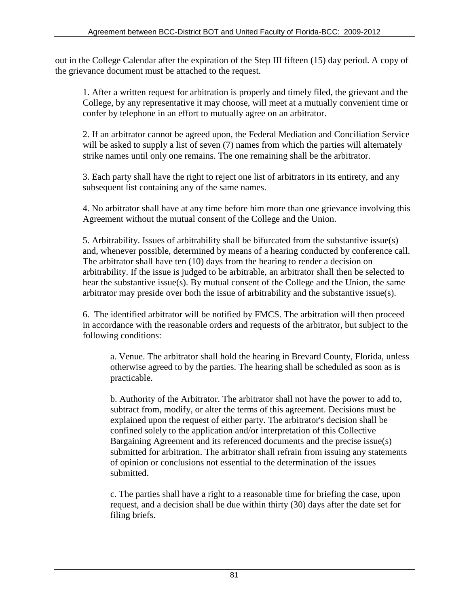out in the College Calendar after the expiration of the Step III fifteen (15) day period. A copy of the grievance document must be attached to the request.

1. After a written request for arbitration is properly and timely filed, the grievant and the College, by any representative it may choose, will meet at a mutually convenient time or confer by telephone in an effort to mutually agree on an arbitrator.

2. If an arbitrator cannot be agreed upon, the Federal Mediation and Conciliation Service will be asked to supply a list of seven (7) names from which the parties will alternately strike names until only one remains. The one remaining shall be the arbitrator.

3. Each party shall have the right to reject one list of arbitrators in its entirety, and any subsequent list containing any of the same names.

4. No arbitrator shall have at any time before him more than one grievance involving this Agreement without the mutual consent of the College and the Union.

5. Arbitrability. Issues of arbitrability shall be bifurcated from the substantive issue(s) and, whenever possible, determined by means of a hearing conducted by conference call. The arbitrator shall have ten (10) days from the hearing to render a decision on arbitrability. If the issue is judged to be arbitrable, an arbitrator shall then be selected to hear the substantive issue(s). By mutual consent of the College and the Union, the same arbitrator may preside over both the issue of arbitrability and the substantive issue(s).

6. The identified arbitrator will be notified by FMCS. The arbitration will then proceed in accordance with the reasonable orders and requests of the arbitrator, but subject to the following conditions:

a. Venue. The arbitrator shall hold the hearing in Brevard County, Florida, unless otherwise agreed to by the parties. The hearing shall be scheduled as soon as is practicable.

b. Authority of the Arbitrator. The arbitrator shall not have the power to add to, subtract from, modify, or alter the terms of this agreement. Decisions must be explained upon the request of either party. The arbitrator's decision shall be confined solely to the application and/or interpretation of this Collective Bargaining Agreement and its referenced documents and the precise issue(s) submitted for arbitration. The arbitrator shall refrain from issuing any statements of opinion or conclusions not essential to the determination of the issues submitted.

c. The parties shall have a right to a reasonable time for briefing the case, upon request, and a decision shall be due within thirty (30) days after the date set for filing briefs.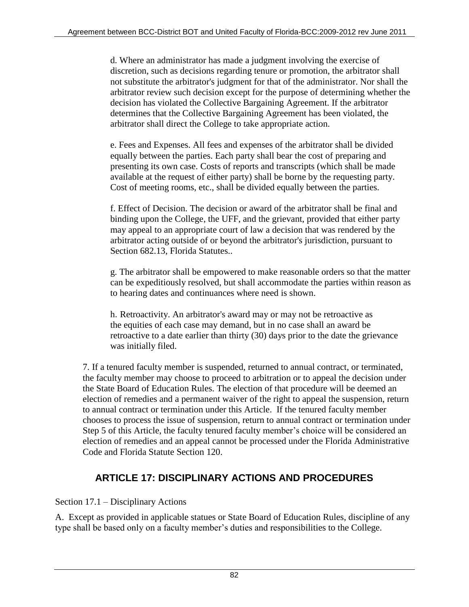d. Where an administrator has made a judgment involving the exercise of discretion, such as decisions regarding tenure or promotion, the arbitrator shall not substitute the arbitrator's judgment for that of the administrator. Nor shall the arbitrator review such decision except for the purpose of determining whether the decision has violated the Collective Bargaining Agreement. If the arbitrator determines that the Collective Bargaining Agreement has been violated, the arbitrator shall direct the College to take appropriate action.

e. Fees and Expenses. All fees and expenses of the arbitrator shall be divided equally between the parties. Each party shall bear the cost of preparing and presenting its own case. Costs of reports and transcripts (which shall be made available at the request of either party) shall be borne by the requesting party. Cost of meeting rooms, etc., shall be divided equally between the parties.

f. Effect of Decision. The decision or award of the arbitrator shall be final and binding upon the College, the UFF, and the grievant, provided that either party may appeal to an appropriate court of law a decision that was rendered by the arbitrator acting outside of or beyond the arbitrator's jurisdiction, pursuant to Section 682.13, Florida Statutes..

g. The arbitrator shall be empowered to make reasonable orders so that the matter can be expeditiously resolved, but shall accommodate the parties within reason as to hearing dates and continuances where need is shown.

h. Retroactivity. An arbitrator's award may or may not be retroactive as the equities of each case may demand, but in no case shall an award be retroactive to a date earlier than thirty (30) days prior to the date the grievance was initially filed.

7. If a tenured faculty member is suspended, returned to annual contract, or terminated, the faculty member may choose to proceed to arbitration or to appeal the decision under the State Board of Education Rules. The election of that procedure will be deemed an election of remedies and a permanent waiver of the right to appeal the suspension, return to annual contract or termination under this Article. If the tenured faculty member chooses to process the issue of suspension, return to annual contract or termination under Step 5 of this Article, the faculty tenured faculty member's choice will be considered an election of remedies and an appeal cannot be processed under the Florida Administrative Code and Florida Statute Section 120.

# **ARTICLE 17: DISCIPLINARY ACTIONS AND PROCEDURES**

## Section 17.1 – Disciplinary Actions

A. Except as provided in applicable statues or State Board of Education Rules, discipline of any type shall be based only on a faculty member's duties and responsibilities to the College.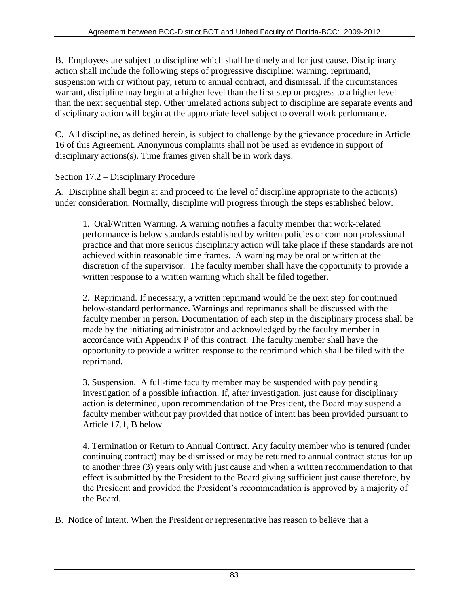B. Employees are subject to discipline which shall be timely and for just cause. Disciplinary action shall include the following steps of progressive discipline: warning, reprimand, suspension with or without pay, return to annual contract, and dismissal. If the circumstances warrant, discipline may begin at a higher level than the first step or progress to a higher level than the next sequential step. Other unrelated actions subject to discipline are separate events and disciplinary action will begin at the appropriate level subject to overall work performance.

C. All discipline, as defined herein, is subject to challenge by the grievance procedure in Article 16 of this Agreement. Anonymous complaints shall not be used as evidence in support of disciplinary actions(s). Time frames given shall be in work days.

## Section 17.2 – Disciplinary Procedure

A. Discipline shall begin at and proceed to the level of discipline appropriate to the action(s) under consideration. Normally, discipline will progress through the steps established below.

1. Oral/Written Warning. A warning notifies a faculty member that work-related performance is below standards established by written policies or common professional practice and that more serious disciplinary action will take place if these standards are not achieved within reasonable time frames. A warning may be oral or written at the discretion of the supervisor. The faculty member shall have the opportunity to provide a written response to a written warning which shall be filed together.

2. Reprimand. If necessary, a written reprimand would be the next step for continued below-standard performance. Warnings and reprimands shall be discussed with the faculty member in person. Documentation of each step in the disciplinary process shall be made by the initiating administrator and acknowledged by the faculty member in accordance with Appendix P of this contract. The faculty member shall have the opportunity to provide a written response to the reprimand which shall be filed with the reprimand.

3. Suspension. A full-time faculty member may be suspended with pay pending investigation of a possible infraction. If, after investigation, just cause for disciplinary action is determined, upon recommendation of the President, the Board may suspend a faculty member without pay provided that notice of intent has been provided pursuant to Article 17.1, B below.

4. Termination or Return to Annual Contract. Any faculty member who is tenured (under continuing contract) may be dismissed or may be returned to annual contract status for up to another three (3) years only with just cause and when a written recommendation to that effect is submitted by the President to the Board giving sufficient just cause therefore, by the President and provided the President's recommendation is approved by a majority of the Board.

B. Notice of Intent. When the President or representative has reason to believe that a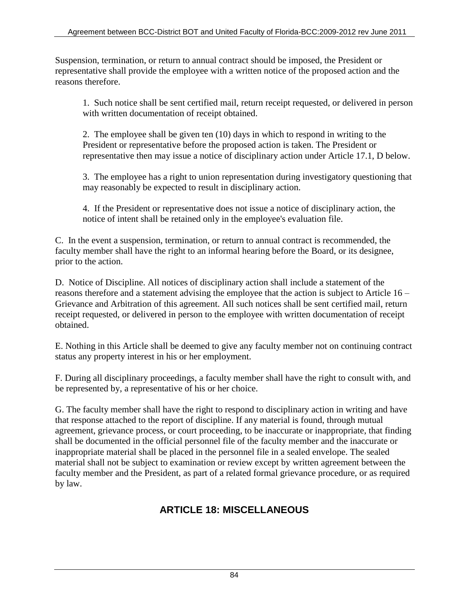Suspension, termination, or return to annual contract should be imposed, the President or representative shall provide the employee with a written notice of the proposed action and the reasons therefore.

1. Such notice shall be sent certified mail, return receipt requested, or delivered in person with written documentation of receipt obtained.

2. The employee shall be given ten (10) days in which to respond in writing to the President or representative before the proposed action is taken. The President or representative then may issue a notice of disciplinary action under Article 17.1, D below.

3. The employee has a right to union representation during investigatory questioning that may reasonably be expected to result in disciplinary action.

4. If the President or representative does not issue a notice of disciplinary action, the notice of intent shall be retained only in the employee's evaluation file.

C. In the event a suspension, termination, or return to annual contract is recommended, the faculty member shall have the right to an informal hearing before the Board, or its designee, prior to the action.

D. Notice of Discipline. All notices of disciplinary action shall include a statement of the reasons therefore and a statement advising the employee that the action is subject to Article 16 – Grievance and Arbitration of this agreement. All such notices shall be sent certified mail, return receipt requested, or delivered in person to the employee with written documentation of receipt obtained.

E. Nothing in this Article shall be deemed to give any faculty member not on continuing contract status any property interest in his or her employment.

F. During all disciplinary proceedings, a faculty member shall have the right to consult with, and be represented by, a representative of his or her choice.

G. The faculty member shall have the right to respond to disciplinary action in writing and have that response attached to the report of discipline. If any material is found, through mutual agreement, grievance process, or court proceeding, to be inaccurate or inappropriate, that finding shall be documented in the official personnel file of the faculty member and the inaccurate or inappropriate material shall be placed in the personnel file in a sealed envelope. The sealed material shall not be subject to examination or review except by written agreement between the faculty member and the President, as part of a related formal grievance procedure, or as required by law.

# **ARTICLE 18: MISCELLANEOUS**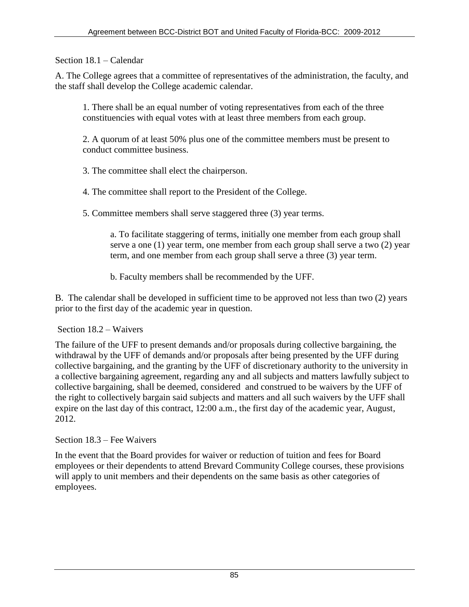Section 18.1 – Calendar

A. The College agrees that a committee of representatives of the administration, the faculty, and the staff shall develop the College academic calendar.

1. There shall be an equal number of voting representatives from each of the three constituencies with equal votes with at least three members from each group.

2. A quorum of at least 50% plus one of the committee members must be present to conduct committee business.

3. The committee shall elect the chairperson.

4. The committee shall report to the President of the College.

5. Committee members shall serve staggered three (3) year terms.

a. To facilitate staggering of terms, initially one member from each group shall serve a one (1) year term, one member from each group shall serve a two (2) year term, and one member from each group shall serve a three (3) year term.

b. Faculty members shall be recommended by the UFF.

B. The calendar shall be developed in sufficient time to be approved not less than two (2) years prior to the first day of the academic year in question.

Section 18.2 – Waivers

The failure of the UFF to present demands and/or proposals during collective bargaining, the withdrawal by the UFF of demands and/or proposals after being presented by the UFF during collective bargaining, and the granting by the UFF of discretionary authority to the university in a collective bargaining agreement, regarding any and all subjects and matters lawfully subject to collective bargaining, shall be deemed, considered and construed to be waivers by the UFF of the right to collectively bargain said subjects and matters and all such waivers by the UFF shall expire on the last day of this contract, 12:00 a.m., the first day of the academic year, August, 2012.

Section 18.3 – Fee Waivers

In the event that the Board provides for waiver or reduction of tuition and fees for Board employees or their dependents to attend Brevard Community College courses, these provisions will apply to unit members and their dependents on the same basis as other categories of employees.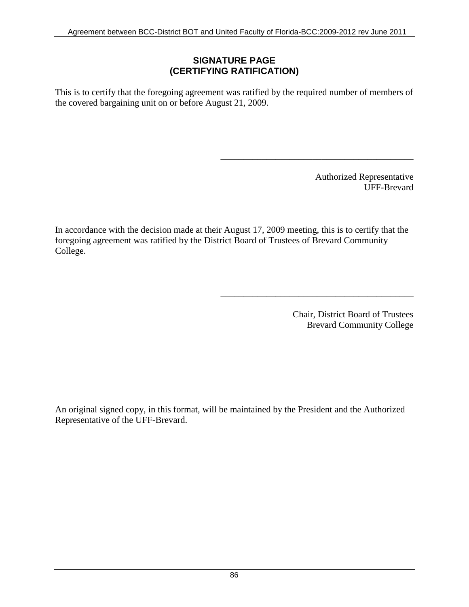### **SIGNATURE PAGE (CERTIFYING RATIFICATION)**

This is to certify that the foregoing agreement was ratified by the required number of members of the covered bargaining unit on or before August 21, 2009.

> Authorized Representative UFF-Brevard

\_\_\_\_\_\_\_\_\_\_\_\_\_\_\_\_\_\_\_\_\_\_\_\_\_\_\_\_\_\_\_\_\_\_\_\_\_\_\_\_\_\_

\_\_\_\_\_\_\_\_\_\_\_\_\_\_\_\_\_\_\_\_\_\_\_\_\_\_\_\_\_\_\_\_\_\_\_\_\_\_\_\_\_\_

In accordance with the decision made at their August 17, 2009 meeting, this is to certify that the foregoing agreement was ratified by the District Board of Trustees of Brevard Community College.

> Chair, District Board of Trustees Brevard Community College

An original signed copy, in this format, will be maintained by the President and the Authorized Representative of the UFF-Brevard.